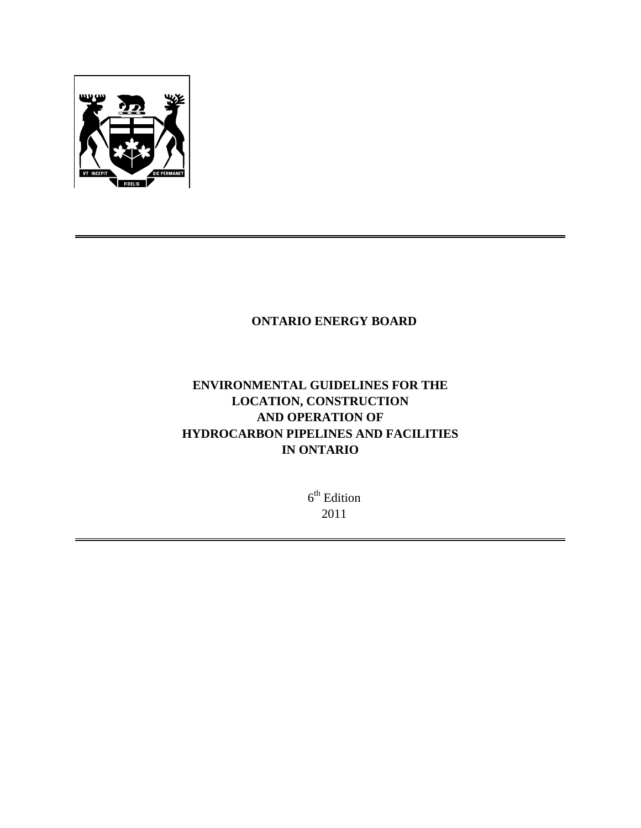

# **ONTARIO ENERGY BOARD**

# **ENVIRONMENTAL GUIDELINES FOR THE LOCATION, CONSTRUCTION AND OPERATION OF HYDROCARBON PIPELINES AND FACILITIES IN ONTARIO**

 $6<sup>th</sup>$  Edition 2011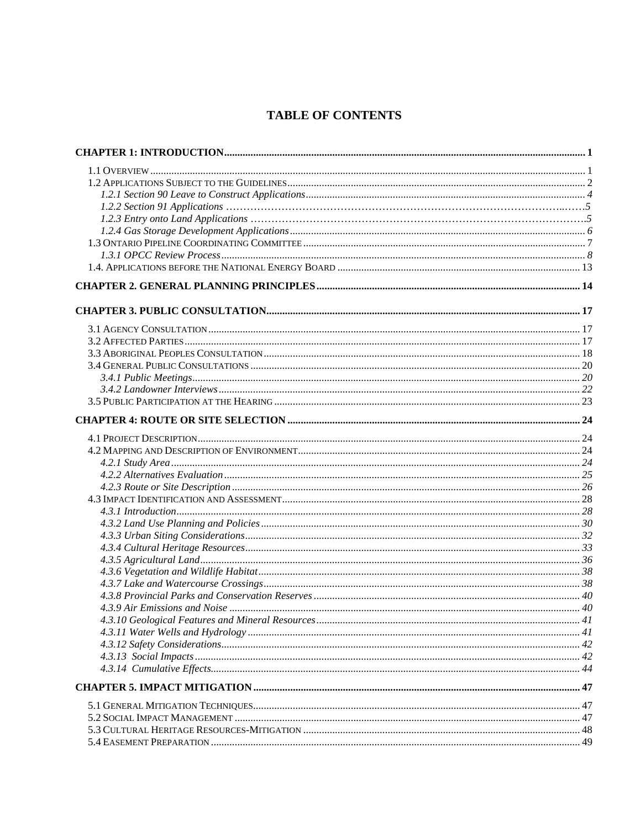# **TABLE OF CONTENTS**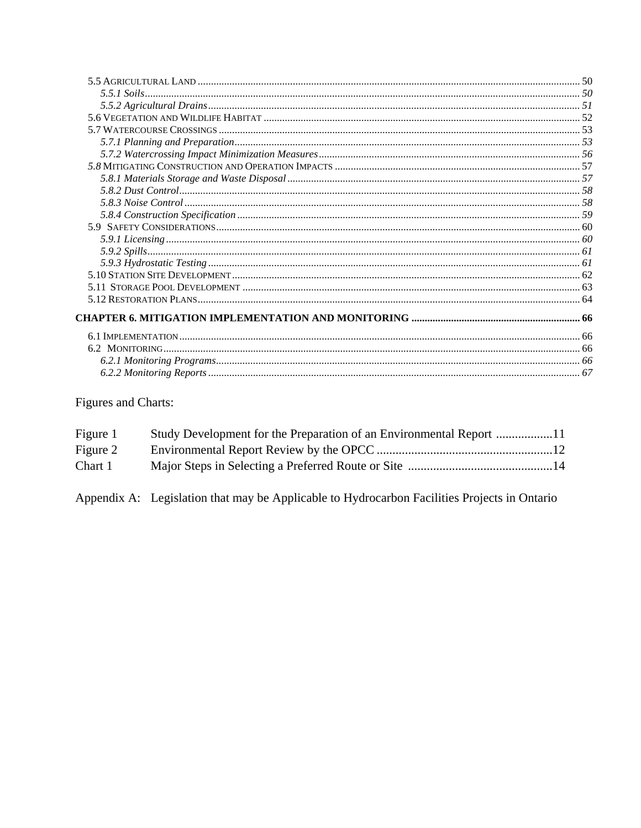# Figures and Charts:

| Figure 1 |  |
|----------|--|
| Figure 2 |  |
| Chart 1  |  |

Appendix A: Legislation that may be Applicable to Hydrocarbon Facilities Projects in Ontario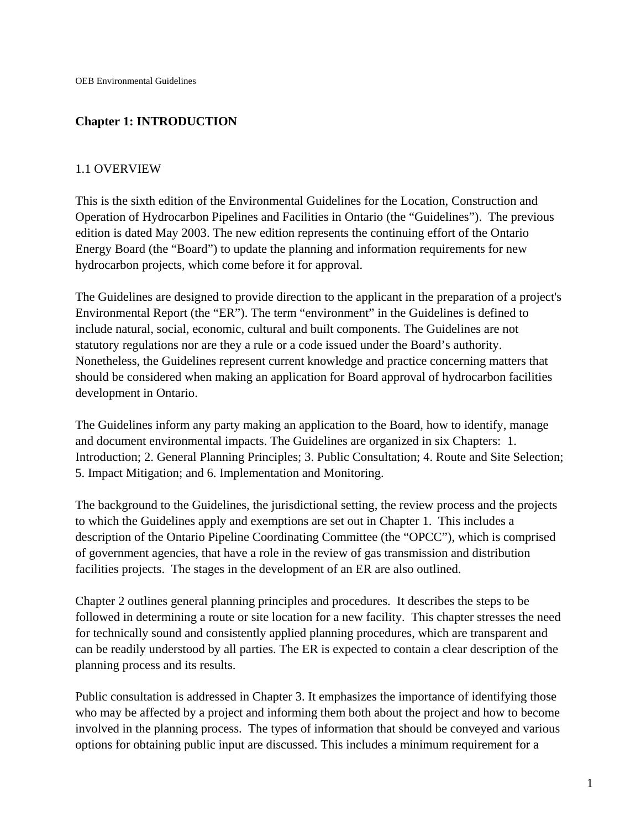# **Chapter 1: INTRODUCTION**

### 1.1 OVERVIEW

This is the sixth edition of the Environmental Guidelines for the Location, Construction and Operation of Hydrocarbon Pipelines and Facilities in Ontario (the "Guidelines").The previous edition is dated May 2003. The new edition represents the continuing effort of the Ontario Energy Board (the "Board") to update the planning and information requirements for new hydrocarbon projects, which come before it for approval.

The Guidelines are designed to provide direction to the applicant in the preparation of a project's Environmental Report (the "ER"). The term "environment" in the Guidelines is defined to include natural, social, economic, cultural and built components. The Guidelines are not statutory regulations nor are they a rule or a code issued under the Board's authority. Nonetheless, the Guidelines represent current knowledge and practice concerning matters that should be considered when making an application for Board approval of hydrocarbon facilities development in Ontario.

The Guidelines inform any party making an application to the Board, how to identify, manage and document environmental impacts. The Guidelines are organized in six Chapters: 1. Introduction; 2. General Planning Principles; 3. Public Consultation; 4. Route and Site Selection; 5. Impact Mitigation; and 6. Implementation and Monitoring.

The background to the Guidelines, the jurisdictional setting, the review process and the projects to which the Guidelines apply and exemptions are set out in Chapter 1. This includes a description of the Ontario Pipeline Coordinating Committee (the "OPCC"), which is comprised of government agencies, that have a role in the review of gas transmission and distribution facilities projects. The stages in the development of an ER are also outlined.

Chapter 2 outlines general planning principles and procedures. It describes the steps to be followed in determining a route or site location for a new facility. This chapter stresses the need for technically sound and consistently applied planning procedures, which are transparent and can be readily understood by all parties. The ER is expected to contain a clear description of the planning process and its results.

Public consultation is addressed in Chapter 3. It emphasizes the importance of identifying those who may be affected by a project and informing them both about the project and how to become involved in the planning process. The types of information that should be conveyed and various options for obtaining public input are discussed. This includes a minimum requirement for a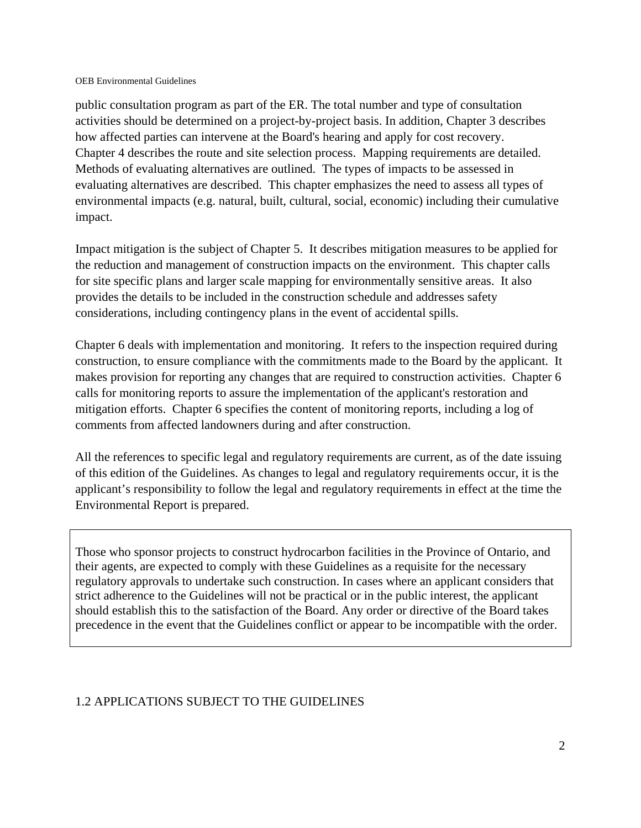public consultation program as part of the ER. The total number and type of consultation activities should be determined on a project-by-project basis. In addition, Chapter 3 describes how affected parties can intervene at the Board's hearing and apply for cost recovery. Chapter 4 describes the route and site selection process. Mapping requirements are detailed. Methods of evaluating alternatives are outlined. The types of impacts to be assessed in evaluating alternatives are described. This chapter emphasizes the need to assess all types of environmental impacts (e.g. natural, built, cultural, social, economic) including their cumulative impact.

Impact mitigation is the subject of Chapter 5. It describes mitigation measures to be applied for the reduction and management of construction impacts on the environment. This chapter calls for site specific plans and larger scale mapping for environmentally sensitive areas. It also provides the details to be included in the construction schedule and addresses safety considerations, including contingency plans in the event of accidental spills.

Chapter 6 deals with implementation and monitoring. It refers to the inspection required during construction, to ensure compliance with the commitments made to the Board by the applicant. It makes provision for reporting any changes that are required to construction activities. Chapter 6 calls for monitoring reports to assure the implementation of the applicant's restoration and mitigation efforts. Chapter 6 specifies the content of monitoring reports, including a log of comments from affected landowners during and after construction.

All the references to specific legal and regulatory requirements are current, as of the date issuing of this edition of the Guidelines. As changes to legal and regulatory requirements occur, it is the applicant's responsibility to follow the legal and regulatory requirements in effect at the time the Environmental Report is prepared.

Those who sponsor projects to construct hydrocarbon facilities in the Province of Ontario, and their agents, are expected to comply with these Guidelines as a requisite for the necessary regulatory approvals to undertake such construction. In cases where an applicant considers that strict adherence to the Guidelines will not be practical or in the public interest, the applicant should establish this to the satisfaction of the Board. Any order or directive of the Board takes precedence in the event that the Guidelines conflict or appear to be incompatible with the order.

# 1.2 APPLICATIONS SUBJECT TO THE GUIDELINES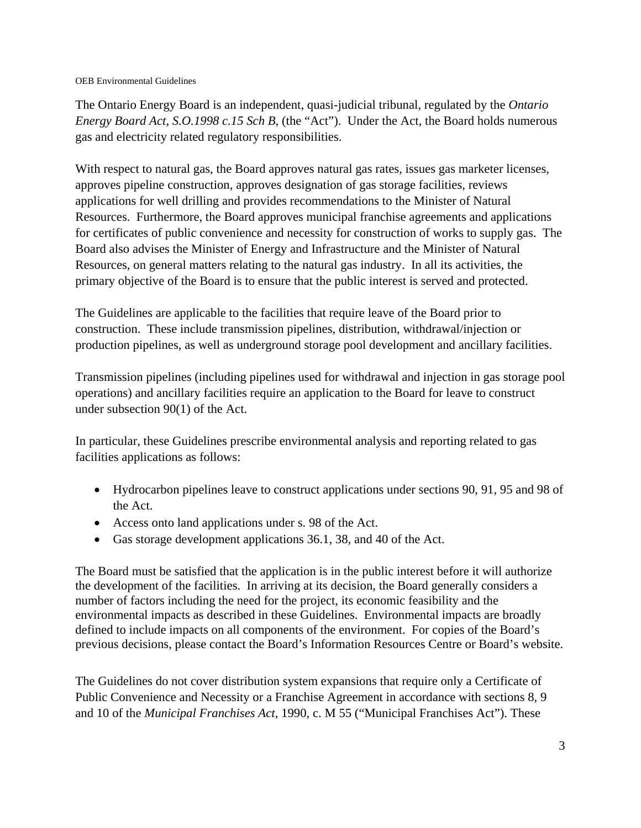The Ontario Energy Board is an independent, quasi-judicial tribunal, regulated by the *Ontario Energy Board Act*, *S.O.1998 c.15 Sch B*, (the "Act"). Under the Act, the Board holds numerous gas and electricity related regulatory responsibilities.

With respect to natural gas, the Board approves natural gas rates, issues gas marketer licenses, approves pipeline construction, approves designation of gas storage facilities, reviews applications for well drilling and provides recommendations to the Minister of Natural Resources. Furthermore, the Board approves municipal franchise agreements and applications for certificates of public convenience and necessity for construction of works to supply gas. The Board also advises the Minister of Energy and Infrastructure and the Minister of Natural Resources, on general matters relating to the natural gas industry. In all its activities, the primary objective of the Board is to ensure that the public interest is served and protected.

The Guidelines are applicable to the facilities that require leave of the Board prior to construction. These include transmission pipelines, distribution, withdrawal/injection or production pipelines, as well as underground storage pool development and ancillary facilities.

Transmission pipelines (including pipelines used for withdrawal and injection in gas storage pool operations) and ancillary facilities require an application to the Board for leave to construct under subsection 90(1) of the Act.

In particular, these Guidelines prescribe environmental analysis and reporting related to gas facilities applications as follows:

- Hydrocarbon pipelines leave to construct applications under sections 90, 91, 95 and 98 of the Act.
- Access onto land applications under s. 98 of the Act.
- Gas storage development applications 36.1, 38, and 40 of the Act.

The Board must be satisfied that the application is in the public interest before it will authorize the development of the facilities. In arriving at its decision, the Board generally considers a number of factors including the need for the project, its economic feasibility and the environmental impacts as described in these Guidelines. Environmental impacts are broadly defined to include impacts on all components of the environment. For copies of the Board's previous decisions, please contact the Board's Information Resources Centre or Board's website.

The Guidelines do not cover distribution system expansions that require only a Certificate of Public Convenience and Necessity or a Franchise Agreement in accordance with sections 8, 9 and 10 of the *Municipal Franchises Act*, 1990, c. M 55 ("Municipal Franchises Act"). These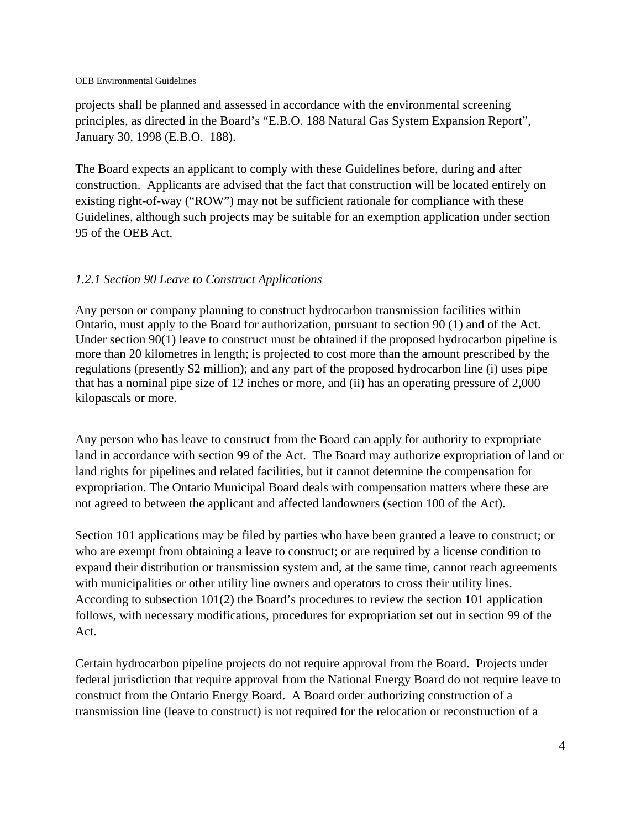projects shall be planned and assessed in accordance with the environmental screening principles, as directed in the Board's "E.B.O. 188 Natural Gas System Expansion Report", January 30, 1998 (E.B.O. 188).

The Board expects an applicant to comply with these Guidelines before, during and after construction. Applicants are advised that the fact that construction will be located entirely on existing right-of-way ("ROW") may not be sufficient rationale for compliance with these Guidelines, although such projects may be suitable for an exemption application under section 95 of the OEB Act.

### *1.2.1 Section 90 Leave to Construct Applications*

Any person or company planning to construct hydrocarbon transmission facilities within Ontario, must apply to the Board for authorization, pursuant to section 90 (1) and of the Act. Under section 90(1) leave to construct must be obtained if the proposed hydrocarbon pipeline is more than 20 kilometres in length; is projected to cost more than the amount prescribed by the regulations (presently \$2 million); and any part of the proposed hydrocarbon line (i) uses pipe that has a nominal pipe size of 12 inches or more, and (ii) has an operating pressure of 2,000 kilopascals or more.

Any person who has leave to construct from the Board can apply for authority to expropriate land in accordance with section 99 of the Act. The Board may authorize expropriation of land or land rights for pipelines and related facilities, but it cannot determine the compensation for expropriation. The Ontario Municipal Board deals with compensation matters where these are not agreed to between the applicant and affected landowners (section 100 of the Act).

Section 101 applications may be filed by parties who have been granted a leave to construct; or who are exempt from obtaining a leave to construct; or are required by a license condition to expand their distribution or transmission system and, at the same time, cannot reach agreements with municipalities or other utility line owners and operators to cross their utility lines. According to subsection 101(2) the Board's procedures to review the section 101 application follows, with necessary modifications, procedures for expropriation set out in section 99 of the Act.

Certain hydrocarbon pipeline projects do not require approval from the Board. Projects under federal jurisdiction that require approval from the National Energy Board do not require leave to construct from the Ontario Energy Board. A Board order authorizing construction of a transmission line (leave to construct) is not required for the relocation or reconstruction of a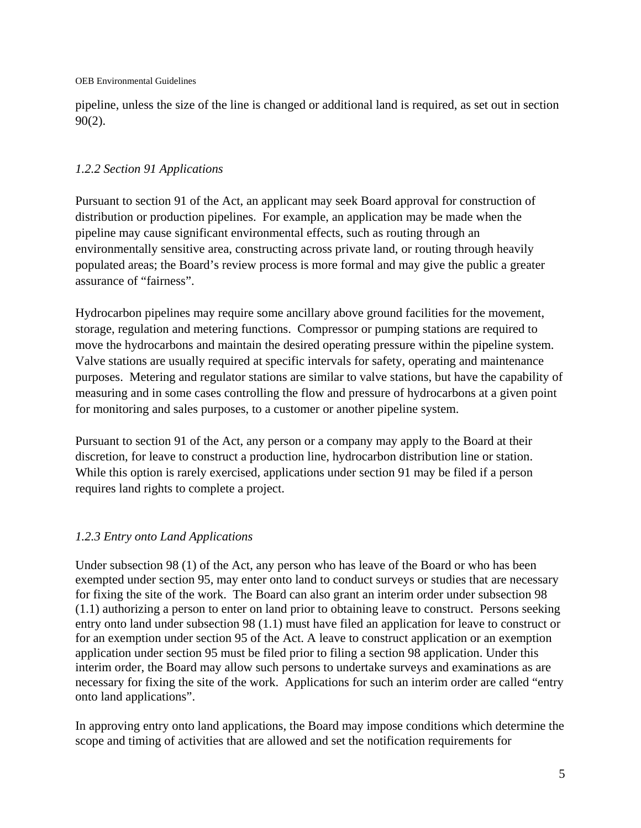pipeline, unless the size of the line is changed or additional land is required, as set out in section 90(2).

# *1.2.2 Section 91 Applications*

Pursuant to section 91 of the Act, an applicant may seek Board approval for construction of distribution or production pipelines. For example, an application may be made when the pipeline may cause significant environmental effects, such as routing through an environmentally sensitive area, constructing across private land, or routing through heavily populated areas; the Board's review process is more formal and may give the public a greater assurance of "fairness".

Hydrocarbon pipelines may require some ancillary above ground facilities for the movement, storage, regulation and metering functions. Compressor or pumping stations are required to move the hydrocarbons and maintain the desired operating pressure within the pipeline system. Valve stations are usually required at specific intervals for safety, operating and maintenance purposes. Metering and regulator stations are similar to valve stations, but have the capability of measuring and in some cases controlling the flow and pressure of hydrocarbons at a given point for monitoring and sales purposes, to a customer or another pipeline system.

Pursuant to section 91 of the Act, any person or a company may apply to the Board at their discretion, for leave to construct a production line, hydrocarbon distribution line or station. While this option is rarely exercised, applications under section 91 may be filed if a person requires land rights to complete a project.

# *1.2.3 Entry onto Land Applications*

Under subsection 98 (1) of the Act, any person who has leave of the Board or who has been exempted under section 95, may enter onto land to conduct surveys or studies that are necessary for fixing the site of the work. The Board can also grant an interim order under subsection 98 (1.1) authorizing a person to enter on land prior to obtaining leave to construct.Persons seeking entry onto land under subsection 98 (1.1) must have filed an application for leave to construct or for an exemption under section 95 of the Act. A leave to construct application or an exemption application under section 95 must be filed prior to filing a section 98 application. Under this interim order, the Board may allow such persons to undertake surveys and examinations as are necessary for fixing the site of the work. Applications for such an interim order are called "entry onto land applications".

In approving entry onto land applications, the Board may impose conditions which determine the scope and timing of activities that are allowed and set the notification requirements for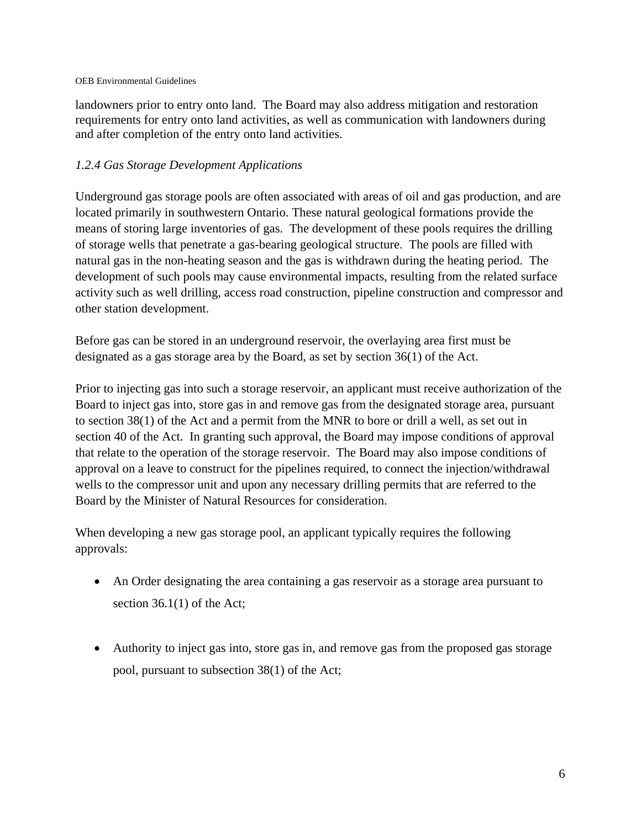landowners prior to entry onto land. The Board may also address mitigation and restoration requirements for entry onto land activities, as well as communication with landowners during and after completion of the entry onto land activities.

# *1.2.4 Gas Storage Development Applications*

Underground gas storage pools are often associated with areas of oil and gas production, and are located primarily in southwestern Ontario. These natural geological formations provide the means of storing large inventories of gas. The development of these pools requires the drilling of storage wells that penetrate a gas-bearing geological structure. The pools are filled with natural gas in the non-heating season and the gas is withdrawn during the heating period. The development of such pools may cause environmental impacts, resulting from the related surface activity such as well drilling, access road construction, pipeline construction and compressor and other station development.

Before gas can be stored in an underground reservoir, the overlaying area first must be designated as a gas storage area by the Board, as set by section 36(1) of the Act.

Prior to injecting gas into such a storage reservoir, an applicant must receive authorization of the Board to inject gas into, store gas in and remove gas from the designated storage area, pursuant to section 38(1) of the Act and a permit from the MNR to bore or drill a well, as set out in section 40 of the Act. In granting such approval, the Board may impose conditions of approval that relate to the operation of the storage reservoir. The Board may also impose conditions of approval on a leave to construct for the pipelines required, to connect the injection/withdrawal wells to the compressor unit and upon any necessary drilling permits that are referred to the Board by the Minister of Natural Resources for consideration.

When developing a new gas storage pool, an applicant typically requires the following approvals:

- An Order designating the area containing a gas reservoir as a storage area pursuant to section 36.1(1) of the Act;
- Authority to inject gas into, store gas in, and remove gas from the proposed gas storage pool, pursuant to subsection 38(1) of the Act;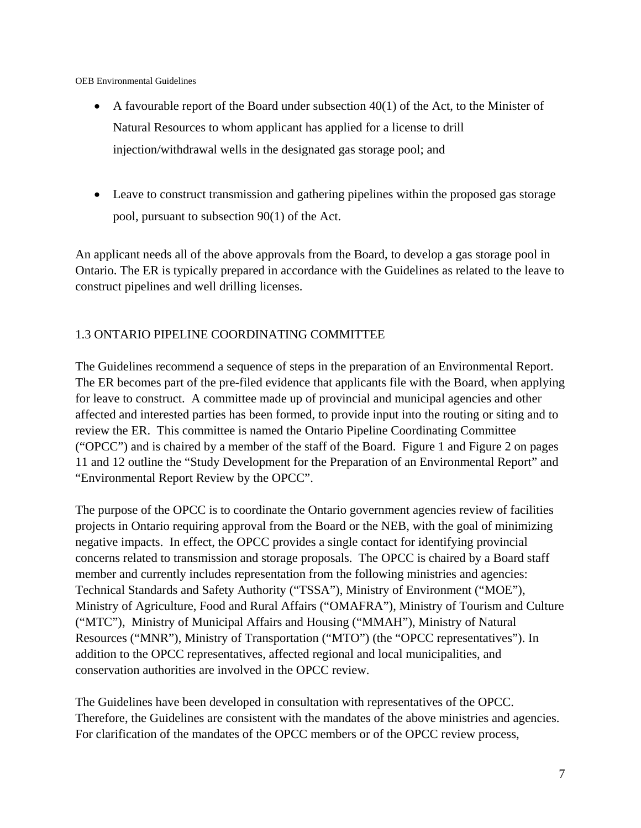- $\bullet$  A favourable report of the Board under subsection 40(1) of the Act, to the Minister of Natural Resources to whom applicant has applied for a license to drill injection/withdrawal wells in the designated gas storage pool; and
- Leave to construct transmission and gathering pipelines within the proposed gas storage pool, pursuant to subsection 90(1) of the Act.

An applicant needs all of the above approvals from the Board, to develop a gas storage pool in Ontario. The ER is typically prepared in accordance with the Guidelines as related to the leave to construct pipelines and well drilling licenses.

# 1.3 ONTARIO PIPELINE COORDINATING COMMITTEE

The Guidelines recommend a sequence of steps in the preparation of an Environmental Report. The ER becomes part of the pre-filed evidence that applicants file with the Board, when applying for leave to construct. A committee made up of provincial and municipal agencies and other affected and interested parties has been formed, to provide input into the routing or siting and to review the ER. This committee is named the Ontario Pipeline Coordinating Committee ("OPCC") and is chaired by a member of the staff of the Board. Figure 1 and Figure 2 on pages 11 and 12 outline the "Study Development for the Preparation of an Environmental Report" and "Environmental Report Review by the OPCC".

The purpose of the OPCC is to coordinate the Ontario government agencies review of facilities projects in Ontario requiring approval from the Board or the NEB, with the goal of minimizing negative impacts. In effect, the OPCC provides a single contact for identifying provincial concerns related to transmission and storage proposals. The OPCC is chaired by a Board staff member and currently includes representation from the following ministries and agencies: Technical Standards and Safety Authority ("TSSA"), Ministry of Environment ("MOE"), Ministry of Agriculture, Food and Rural Affairs ("OMAFRA"), Ministry of Tourism and Culture ("MTC"), Ministry of Municipal Affairs and Housing ("MMAH"), Ministry of Natural Resources ("MNR"), Ministry of Transportation ("MTO") (the "OPCC representatives"). In addition to the OPCC representatives, affected regional and local municipalities, and conservation authorities are involved in the OPCC review.

The Guidelines have been developed in consultation with representatives of the OPCC. Therefore, the Guidelines are consistent with the mandates of the above ministries and agencies. For clarification of the mandates of the OPCC members or of the OPCC review process,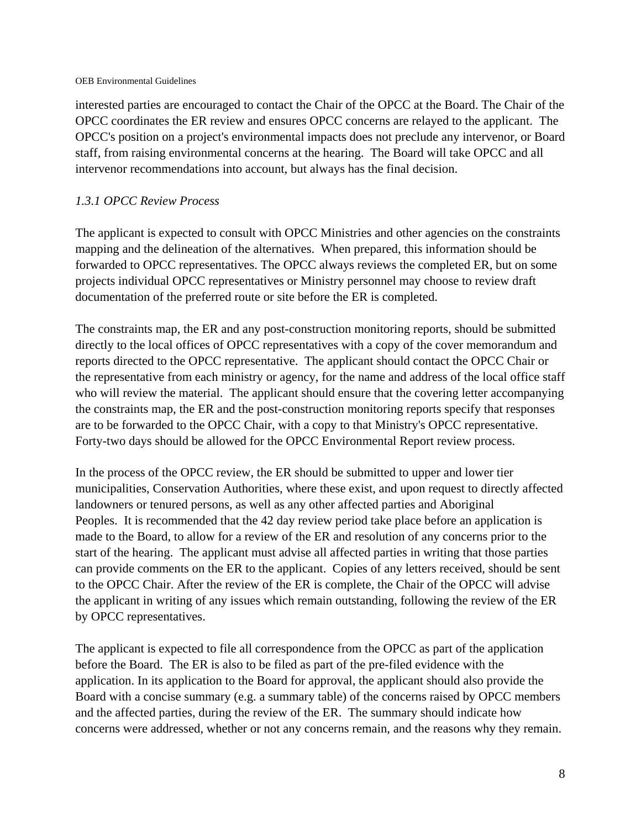interested parties are encouraged to contact the Chair of the OPCC at the Board. The Chair of the OPCC coordinates the ER review and ensures OPCC concerns are relayed to the applicant. The OPCC's position on a project's environmental impacts does not preclude any intervenor, or Board staff, from raising environmental concerns at the hearing. The Board will take OPCC and all intervenor recommendations into account, but always has the final decision.

# *1.3.1 OPCC Review Process*

The applicant is expected to consult with OPCC Ministries and other agencies on the constraints mapping and the delineation of the alternatives. When prepared, this information should be forwarded to OPCC representatives. The OPCC always reviews the completed ER, but on some projects individual OPCC representatives or Ministry personnel may choose to review draft documentation of the preferred route or site before the ER is completed.

The constraints map, the ER and any post-construction monitoring reports, should be submitted directly to the local offices of OPCC representatives with a copy of the cover memorandum and reports directed to the OPCC representative. The applicant should contact the OPCC Chair or the representative from each ministry or agency, for the name and address of the local office staff who will review the material. The applicant should ensure that the covering letter accompanying the constraints map, the ER and the post-construction monitoring reports specify that responses are to be forwarded to the OPCC Chair, with a copy to that Ministry's OPCC representative. Forty-two days should be allowed for the OPCC Environmental Report review process.

In the process of the OPCC review, the ER should be submitted to upper and lower tier municipalities, Conservation Authorities, where these exist, and upon request to directly affected landowners or tenured persons, as well as any other affected parties and Aboriginal Peoples. It is recommended that the 42 day review period take place before an application is made to the Board, to allow for a review of the ER and resolution of any concerns prior to the start of the hearing. The applicant must advise all affected parties in writing that those parties can provide comments on the ER to the applicant. Copies of any letters received, should be sent to the OPCC Chair. After the review of the ER is complete, the Chair of the OPCC will advise the applicant in writing of any issues which remain outstanding, following the review of the ER by OPCC representatives.

The applicant is expected to file all correspondence from the OPCC as part of the application before the Board. The ER is also to be filed as part of the pre-filed evidence with the application. In its application to the Board for approval, the applicant should also provide the Board with a concise summary (e.g. a summary table) of the concerns raised by OPCC members and the affected parties, during the review of the ER. The summary should indicate how concerns were addressed, whether or not any concerns remain, and the reasons why they remain.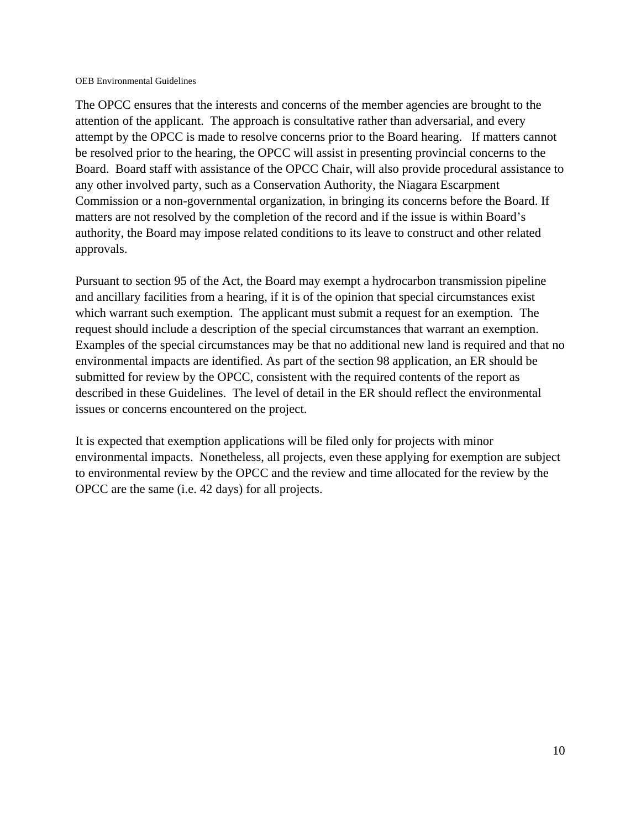The OPCC ensures that the interests and concerns of the member agencies are brought to the attention of the applicant. The approach is consultative rather than adversarial, and every attempt by the OPCC is made to resolve concerns prior to the Board hearing. If matters cannot be resolved prior to the hearing, the OPCC will assist in presenting provincial concerns to the Board. Board staff with assistance of the OPCC Chair, will also provide procedural assistance to any other involved party, such as a Conservation Authority, the Niagara Escarpment Commission or a non-governmental organization, in bringing its concerns before the Board. If matters are not resolved by the completion of the record and if the issue is within Board's authority, the Board may impose related conditions to its leave to construct and other related approvals.

Pursuant to section 95 of the Act, the Board may exempt a hydrocarbon transmission pipeline and ancillary facilities from a hearing, if it is of the opinion that special circumstances exist which warrant such exemption. The applicant must submit a request for an exemption. The request should include a description of the special circumstances that warrant an exemption. Examples of the special circumstances may be that no additional new land is required and that no environmental impacts are identified. As part of the section 98 application, an ER should be submitted for review by the OPCC, consistent with the required contents of the report as described in these Guidelines. The level of detail in the ER should reflect the environmental issues or concerns encountered on the project.

It is expected that exemption applications will be filed only for projects with minor environmental impacts. Nonetheless, all projects, even these applying for exemption are subject to environmental review by the OPCC and the review and time allocated for the review by the OPCC are the same (i.e. 42 days) for all projects.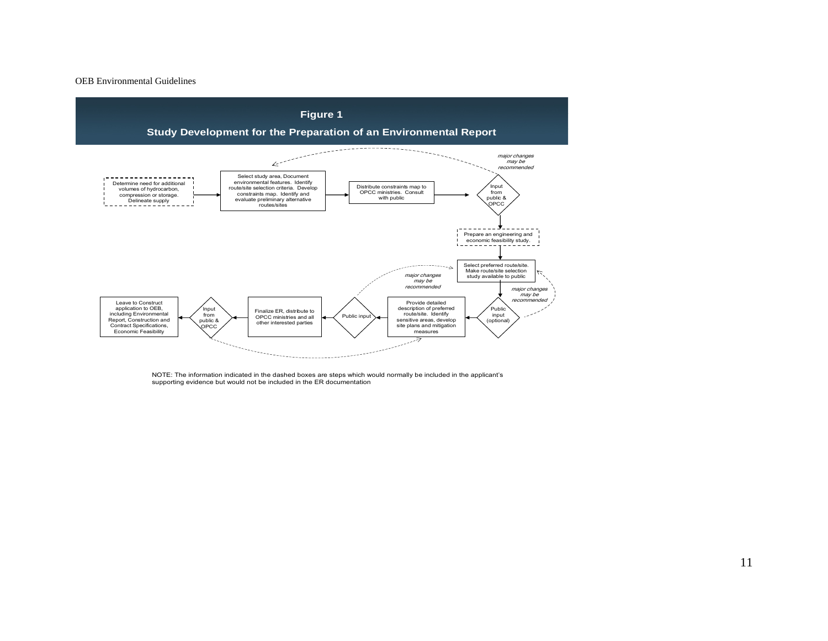

NOTE: The information indicated in the dashed boxes are steps which would normally be included in the applicant's supporting evidence but would not be included in the ER documentation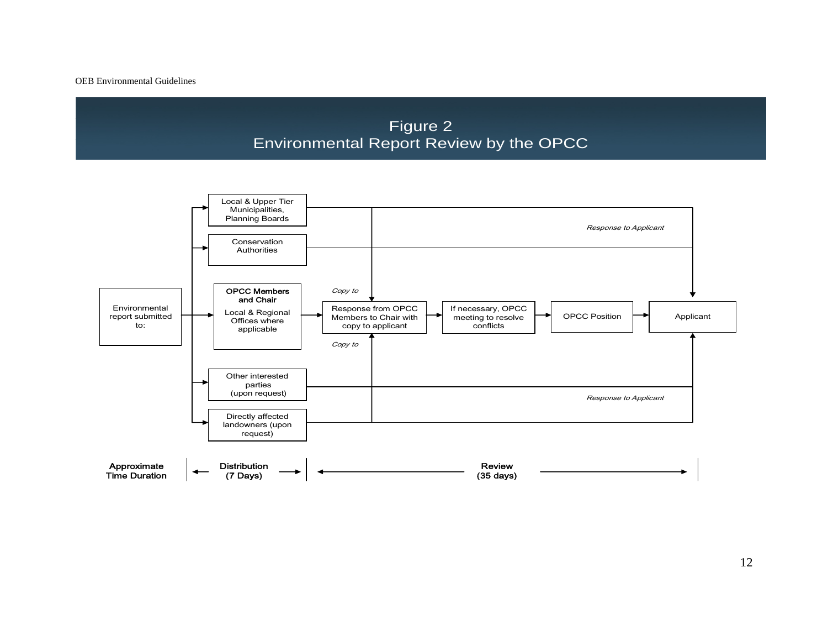Figure 2 Environmental Report Review by the OPCC



12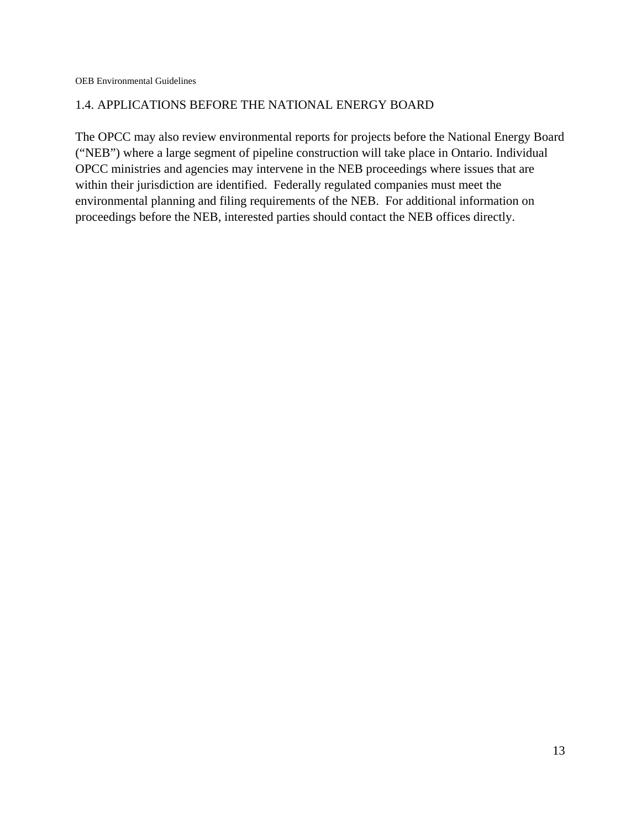### 1.4. APPLICATIONS BEFORE THE NATIONAL ENERGY BOARD

The OPCC may also review environmental reports for projects before the National Energy Board ("NEB") where a large segment of pipeline construction will take place in Ontario. Individual OPCC ministries and agencies may intervene in the NEB proceedings where issues that are within their jurisdiction are identified. Federally regulated companies must meet the environmental planning and filing requirements of the NEB. For additional information on proceedings before the NEB, interested parties should contact the NEB offices directly.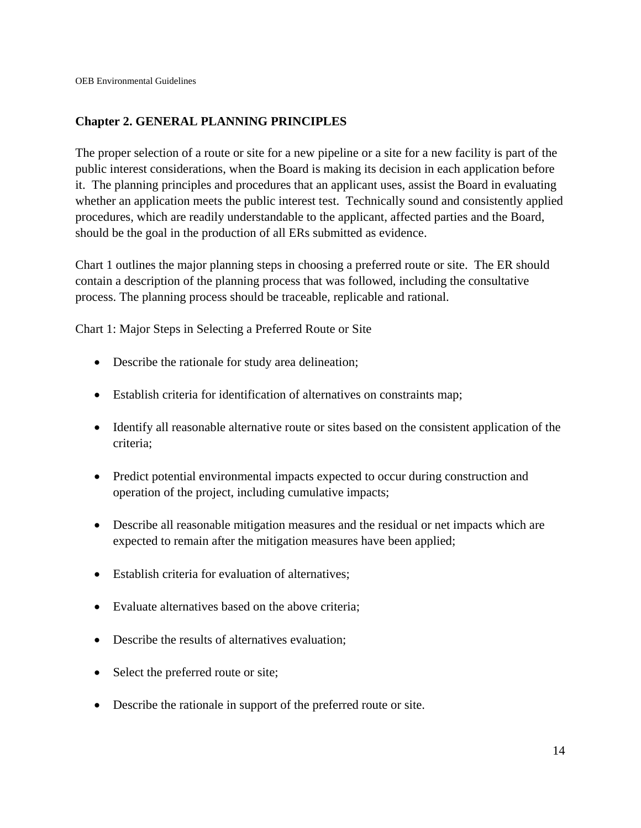# **Chapter 2. GENERAL PLANNING PRINCIPLES**

The proper selection of a route or site for a new pipeline or a site for a new facility is part of the public interest considerations, when the Board is making its decision in each application before it. The planning principles and procedures that an applicant uses, assist the Board in evaluating whether an application meets the public interest test. Technically sound and consistently applied procedures, which are readily understandable to the applicant, affected parties and the Board, should be the goal in the production of all ERs submitted as evidence.

Chart 1 outlines the major planning steps in choosing a preferred route or site. The ER should contain a description of the planning process that was followed, including the consultative process. The planning process should be traceable, replicable and rational.

Chart 1: Major Steps in Selecting a Preferred Route or Site

- Describe the rationale for study area delineation;
- Establish criteria for identification of alternatives on constraints map;
- Identify all reasonable alternative route or sites based on the consistent application of the criteria;
- Predict potential environmental impacts expected to occur during construction and operation of the project, including cumulative impacts;
- Describe all reasonable mitigation measures and the residual or net impacts which are expected to remain after the mitigation measures have been applied;
- Establish criteria for evaluation of alternatives:
- Evaluate alternatives based on the above criteria;
- Describe the results of alternatives evaluation:
- Select the preferred route or site;
- Describe the rationale in support of the preferred route or site.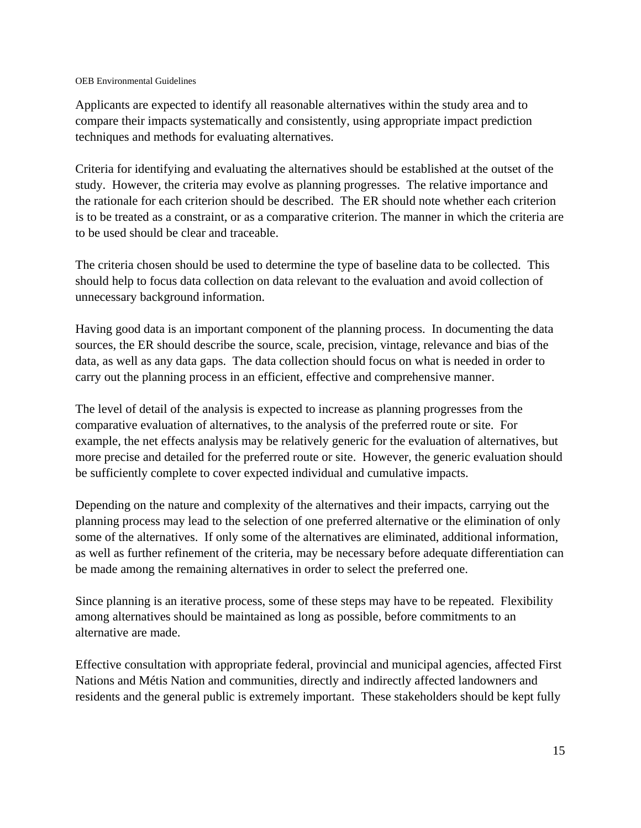Applicants are expected to identify all reasonable alternatives within the study area and to compare their impacts systematically and consistently, using appropriate impact prediction techniques and methods for evaluating alternatives.

Criteria for identifying and evaluating the alternatives should be established at the outset of the study. However, the criteria may evolve as planning progresses. The relative importance and the rationale for each criterion should be described. The ER should note whether each criterion is to be treated as a constraint, or as a comparative criterion. The manner in which the criteria are to be used should be clear and traceable.

The criteria chosen should be used to determine the type of baseline data to be collected. This should help to focus data collection on data relevant to the evaluation and avoid collection of unnecessary background information.

Having good data is an important component of the planning process. In documenting the data sources, the ER should describe the source, scale, precision, vintage, relevance and bias of the data, as well as any data gaps. The data collection should focus on what is needed in order to carry out the planning process in an efficient, effective and comprehensive manner.

The level of detail of the analysis is expected to increase as planning progresses from the comparative evaluation of alternatives, to the analysis of the preferred route or site. For example, the net effects analysis may be relatively generic for the evaluation of alternatives, but more precise and detailed for the preferred route or site. However, the generic evaluation should be sufficiently complete to cover expected individual and cumulative impacts.

Depending on the nature and complexity of the alternatives and their impacts, carrying out the planning process may lead to the selection of one preferred alternative or the elimination of only some of the alternatives. If only some of the alternatives are eliminated, additional information, as well as further refinement of the criteria, may be necessary before adequate differentiation can be made among the remaining alternatives in order to select the preferred one.

Since planning is an iterative process, some of these steps may have to be repeated. Flexibility among alternatives should be maintained as long as possible, before commitments to an alternative are made.

Effective consultation with appropriate federal, provincial and municipal agencies, affected First Nations and Métis Nation and communities, directly and indirectly affected landowners and residents and the general public is extremely important. These stakeholders should be kept fully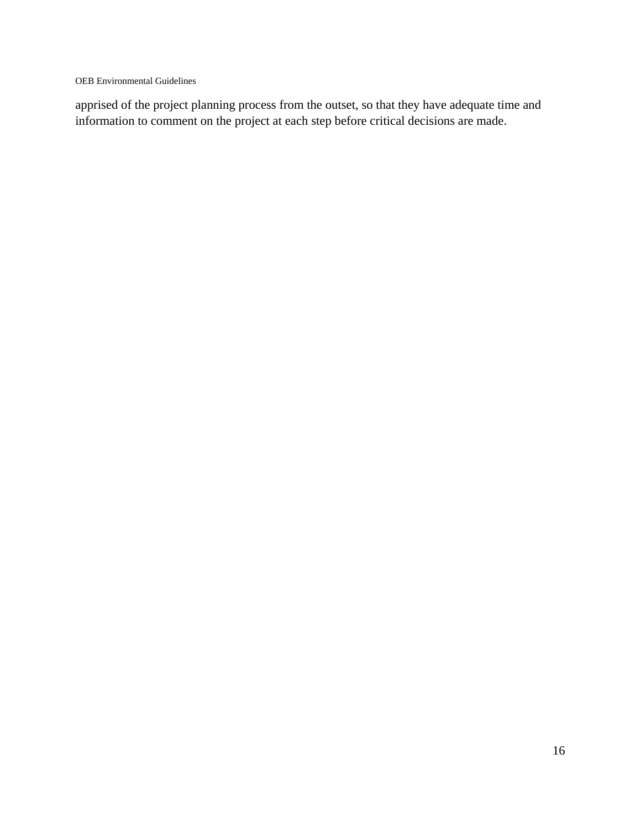apprised of the project planning process from the outset, so that they have adequate time and information to comment on the project at each step before critical decisions are made.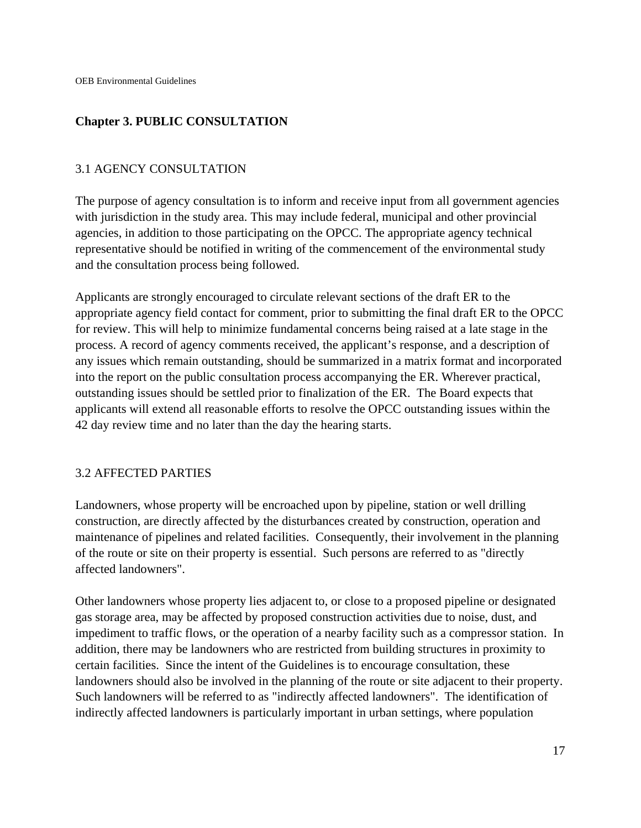# **Chapter 3. PUBLIC CONSULTATION**

### 3.1 AGENCY CONSULTATION

The purpose of agency consultation is to inform and receive input from all government agencies with jurisdiction in the study area. This may include federal, municipal and other provincial agencies, in addition to those participating on the OPCC. The appropriate agency technical representative should be notified in writing of the commencement of the environmental study and the consultation process being followed.

Applicants are strongly encouraged to circulate relevant sections of the draft ER to the appropriate agency field contact for comment, prior to submitting the final draft ER to the OPCC for review. This will help to minimize fundamental concerns being raised at a late stage in the process. A record of agency comments received, the applicant's response, and a description of any issues which remain outstanding, should be summarized in a matrix format and incorporated into the report on the public consultation process accompanying the ER. Wherever practical, outstanding issues should be settled prior to finalization of the ER. The Board expects that applicants will extend all reasonable efforts to resolve the OPCC outstanding issues within the 42 day review time and no later than the day the hearing starts.

### 3.2 AFFECTED PARTIES

Landowners, whose property will be encroached upon by pipeline, station or well drilling construction, are directly affected by the disturbances created by construction, operation and maintenance of pipelines and related facilities. Consequently, their involvement in the planning of the route or site on their property is essential. Such persons are referred to as "directly affected landowners".

Other landowners whose property lies adjacent to, or close to a proposed pipeline or designated gas storage area, may be affected by proposed construction activities due to noise, dust, and impediment to traffic flows, or the operation of a nearby facility such as a compressor station. In addition, there may be landowners who are restricted from building structures in proximity to certain facilities. Since the intent of the Guidelines is to encourage consultation, these landowners should also be involved in the planning of the route or site adjacent to their property. Such landowners will be referred to as "indirectly affected landowners". The identification of indirectly affected landowners is particularly important in urban settings, where population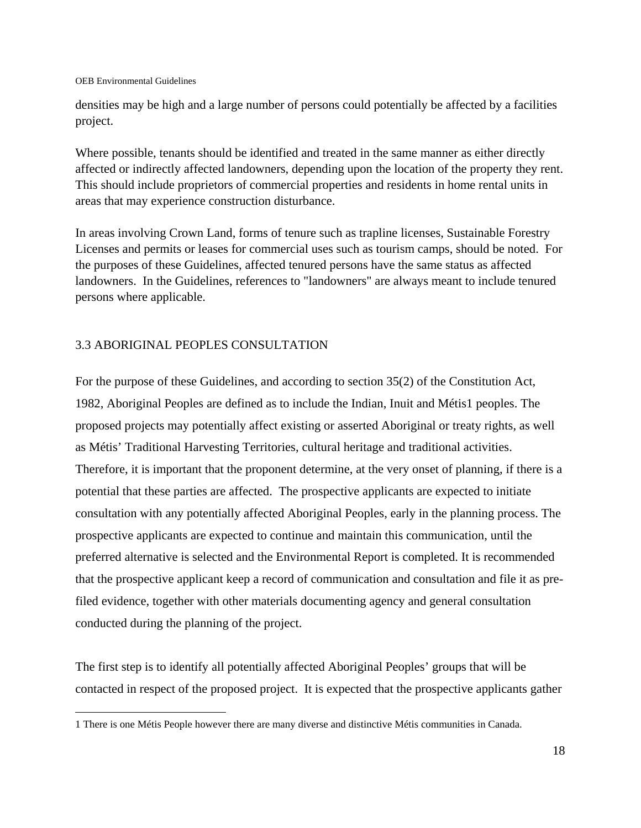$\overline{a}$ 

densities may be high and a large number of persons could potentially be affected by a facilities project.

Where possible, tenants should be identified and treated in the same manner as either directly affected or indirectly affected landowners, depending upon the location of the property they rent. This should include proprietors of commercial properties and residents in home rental units in areas that may experience construction disturbance.

In areas involving Crown Land, forms of tenure such as trapline licenses, Sustainable Forestry Licenses and permits or leases for commercial uses such as tourism camps, should be noted. For the purposes of these Guidelines, affected tenured persons have the same status as affected landowners. In the Guidelines, references to "landowners" are always meant to include tenured persons where applicable.

# 3.3 ABORIGINAL PEOPLES CONSULTATION

For the purpose of these Guidelines, and according to section 35(2) of the Constitution Act, 1982, Aboriginal Peoples are defined as to include the Indian, Inuit and Métis1 peoples. The proposed projects may potentially affect existing or asserted Aboriginal or treaty rights, as well as Métis' Traditional Harvesting Territories, cultural heritage and traditional activities. Therefore, it is important that the proponent determine, at the very onset of planning, if there is a potential that these parties are affected. The prospective applicants are expected to initiate consultation with any potentially affected Aboriginal Peoples, early in the planning process. The prospective applicants are expected to continue and maintain this communication, until the preferred alternative is selected and the Environmental Report is completed. It is recommended that the prospective applicant keep a record of communication and consultation and file it as prefiled evidence, together with other materials documenting agency and general consultation conducted during the planning of the project.

The first step is to identify all potentially affected Aboriginal Peoples' groups that will be contacted in respect of the proposed project. It is expected that the prospective applicants gather

<sup>1</sup> There is one Métis People however there are many diverse and distinctive Métis communities in Canada.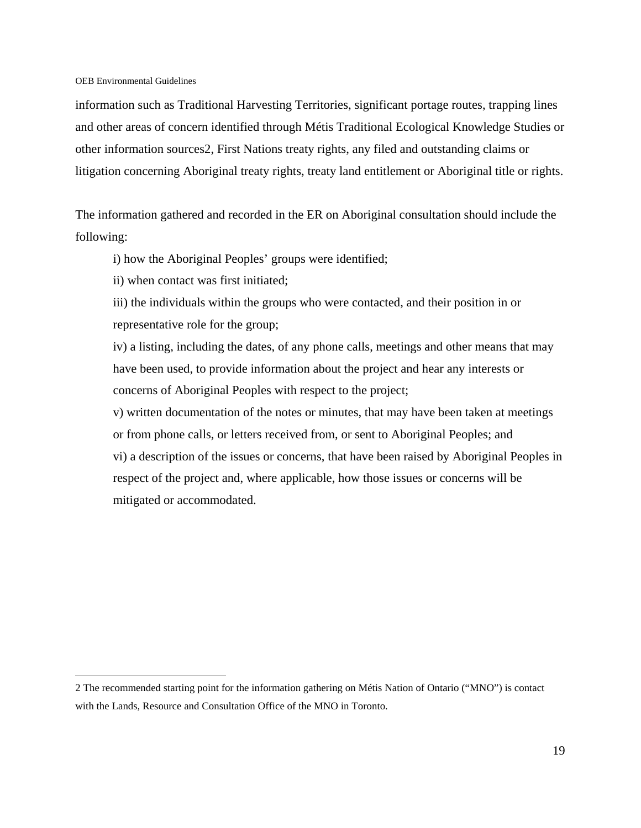$\overline{a}$ 

information such as Traditional Harvesting Territories, significant portage routes, trapping lines and other areas of concern identified through Métis Traditional Ecological Knowledge Studies or other information sources2, First Nations treaty rights, any filed and outstanding claims or litigation concerning Aboriginal treaty rights, treaty land entitlement or Aboriginal title or rights.

The information gathered and recorded in the ER on Aboriginal consultation should include the following:

i) how the Aboriginal Peoples' groups were identified;

ii) when contact was first initiated;

iii) the individuals within the groups who were contacted, and their position in or representative role for the group;

iv) a listing, including the dates, of any phone calls, meetings and other means that may have been used, to provide information about the project and hear any interests or concerns of Aboriginal Peoples with respect to the project;

v) written documentation of the notes or minutes, that may have been taken at meetings or from phone calls, or letters received from, or sent to Aboriginal Peoples; and vi) a description of the issues or concerns, that have been raised by Aboriginal Peoples in respect of the project and, where applicable, how those issues or concerns will be mitigated or accommodated.

<sup>2</sup> The recommended starting point for the information gathering on Métis Nation of Ontario ("MNO") is contact with the Lands, Resource and Consultation Office of the MNO in Toronto.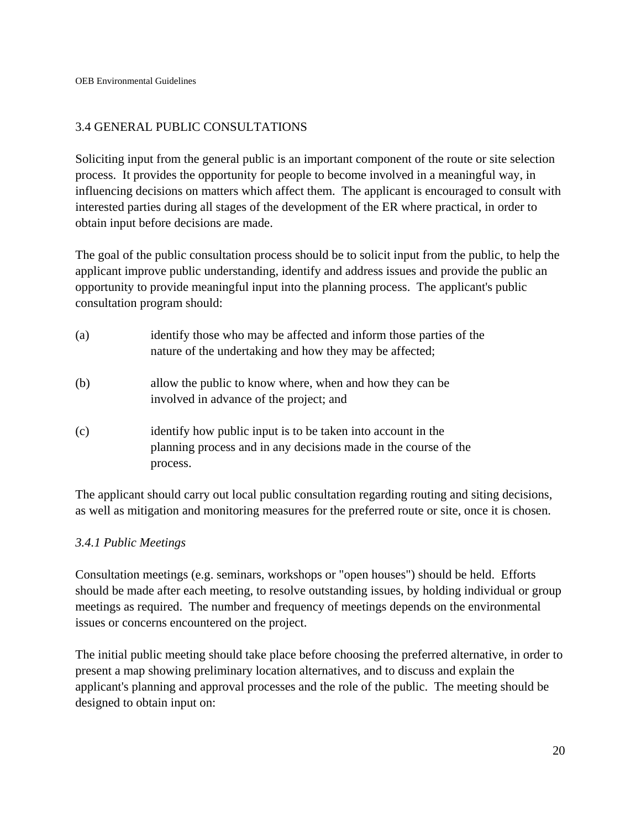# 3.4 GENERAL PUBLIC CONSULTATIONS

Soliciting input from the general public is an important component of the route or site selection process. It provides the opportunity for people to become involved in a meaningful way, in influencing decisions on matters which affect them. The applicant is encouraged to consult with interested parties during all stages of the development of the ER where practical, in order to obtain input before decisions are made.

The goal of the public consultation process should be to solicit input from the public, to help the applicant improve public understanding, identify and address issues and provide the public an opportunity to provide meaningful input into the planning process. The applicant's public consultation program should:

- (a) identify those who may be affected and inform those parties of the nature of the undertaking and how they may be affected;
- (b) allow the public to know where, when and how they can be involved in advance of the project; and
- (c) identify how public input is to be taken into account in the planning process and in any decisions made in the course of the process.

The applicant should carry out local public consultation regarding routing and siting decisions, as well as mitigation and monitoring measures for the preferred route or site, once it is chosen.

### *3.4.1 Public Meetings*

Consultation meetings (e.g. seminars, workshops or "open houses") should be held. Efforts should be made after each meeting, to resolve outstanding issues, by holding individual or group meetings as required. The number and frequency of meetings depends on the environmental issues or concerns encountered on the project.

The initial public meeting should take place before choosing the preferred alternative, in order to present a map showing preliminary location alternatives, and to discuss and explain the applicant's planning and approval processes and the role of the public. The meeting should be designed to obtain input on: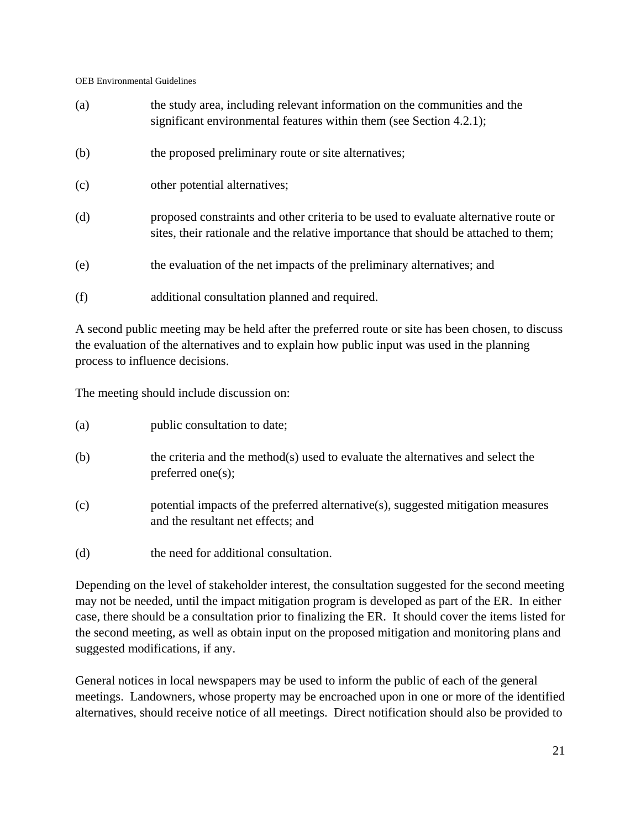| (a) | the study area, including relevant information on the communities and the<br>significant environmental features within them (see Section 4.2.1);                           |
|-----|----------------------------------------------------------------------------------------------------------------------------------------------------------------------------|
| (b) | the proposed preliminary route or site alternatives;                                                                                                                       |
| (c) | other potential alternatives;                                                                                                                                              |
| (d) | proposed constraints and other criteria to be used to evaluate alternative route or<br>sites, their rationale and the relative importance that should be attached to them; |
| (e) | the evaluation of the net impacts of the preliminary alternatives; and                                                                                                     |

(f) additional consultation planned and required.

A second public meeting may be held after the preferred route or site has been chosen, to discuss the evaluation of the alternatives and to explain how public input was used in the planning process to influence decisions.

The meeting should include discussion on:

| (a) | public consultation to date; |
|-----|------------------------------|
|-----|------------------------------|

- (b) the criteria and the method(s) used to evaluate the alternatives and select the preferred one(s);
- (c) potential impacts of the preferred alternative(s), suggested mitigation measures and the resultant net effects; and
- (d) the need for additional consultation.

Depending on the level of stakeholder interest, the consultation suggested for the second meeting may not be needed, until the impact mitigation program is developed as part of the ER. In either case, there should be a consultation prior to finalizing the ER. It should cover the items listed for the second meeting, as well as obtain input on the proposed mitigation and monitoring plans and suggested modifications, if any.

General notices in local newspapers may be used to inform the public of each of the general meetings. Landowners, whose property may be encroached upon in one or more of the identified alternatives, should receive notice of all meetings. Direct notification should also be provided to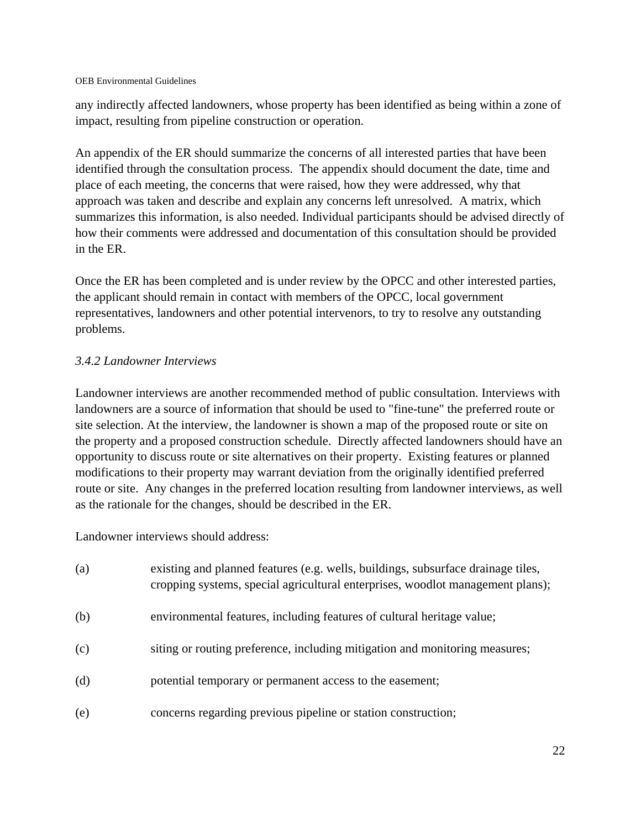any indirectly affected landowners, whose property has been identified as being within a zone of impact, resulting from pipeline construction or operation.

An appendix of the ER should summarize the concerns of all interested parties that have been identified through the consultation process. The appendix should document the date, time and place of each meeting, the concerns that were raised, how they were addressed, why that approach was taken and describe and explain any concerns left unresolved. A matrix, which summarizes this information, is also needed. Individual participants should be advised directly of how their comments were addressed and documentation of this consultation should be provided in the ER.

Once the ER has been completed and is under review by the OPCC and other interested parties, the applicant should remain in contact with members of the OPCC, local government representatives, landowners and other potential intervenors, to try to resolve any outstanding problems.

### *3.4.2 Landowner Interviews*

Landowner interviews are another recommended method of public consultation. Interviews with landowners are a source of information that should be used to "fine-tune" the preferred route or site selection. At the interview, the landowner is shown a map of the proposed route or site on the property and a proposed construction schedule. Directly affected landowners should have an opportunity to discuss route or site alternatives on their property. Existing features or planned modifications to their property may warrant deviation from the originally identified preferred route or site. Any changes in the preferred location resulting from landowner interviews, as well as the rationale for the changes, should be described in the ER.

Landowner interviews should address:

| (a) | existing and planned features (e.g. wells, buildings, subsurface drainage tiles,<br>cropping systems, special agricultural enterprises, woodlot management plans); |
|-----|--------------------------------------------------------------------------------------------------------------------------------------------------------------------|
| (b) | environmental features, including features of cultural heritage value;                                                                                             |
| (c) | siting or routing preference, including mitigation and monitoring measures;                                                                                        |
| (d) | potential temporary or permanent access to the easement;                                                                                                           |
| (e) | concerns regarding previous pipeline or station construction;                                                                                                      |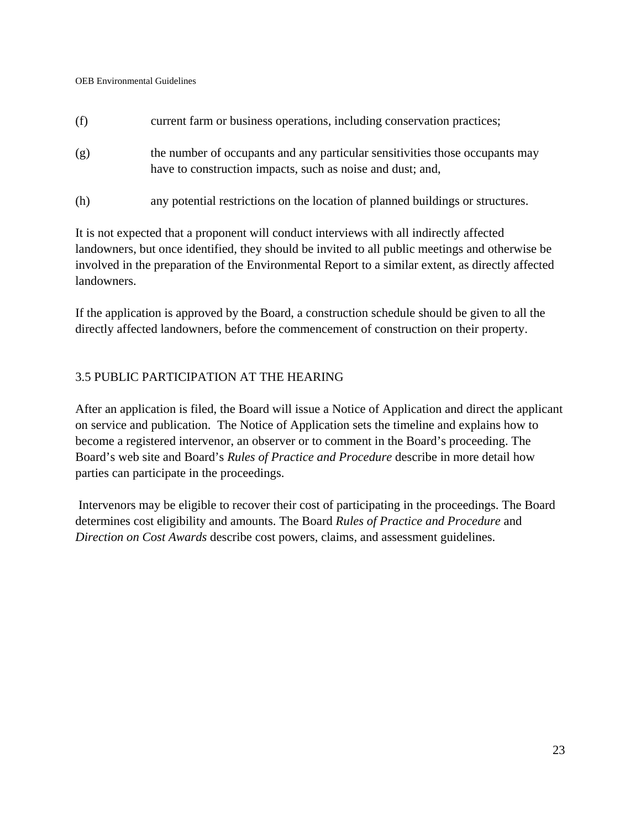- (f) current farm or business operations, including conservation practices;
- (g) the number of occupants and any particular sensitivities those occupants may have to construction impacts, such as noise and dust; and,
- (h) any potential restrictions on the location of planned buildings or structures.

It is not expected that a proponent will conduct interviews with all indirectly affected landowners, but once identified, they should be invited to all public meetings and otherwise be involved in the preparation of the Environmental Report to a similar extent, as directly affected landowners.

If the application is approved by the Board, a construction schedule should be given to all the directly affected landowners, before the commencement of construction on their property.

### 3.5 PUBLIC PARTICIPATION AT THE HEARING

After an application is filed, the Board will issue a Notice of Application and direct the applicant on service and publication. The Notice of Application sets the timeline and explains how to become a registered intervenor, an observer or to comment in the Board's proceeding. The Board's web site and Board's *Rules of Practice and Procedure* describe in more detail how parties can participate in the proceedings.

 Intervenors may be eligible to recover their cost of participating in the proceedings. The Board determines cost eligibility and amounts. The Board *Rules of Practice and Procedure* and *Direction on Cost Awards* describe cost powers, claims, and assessment guidelines.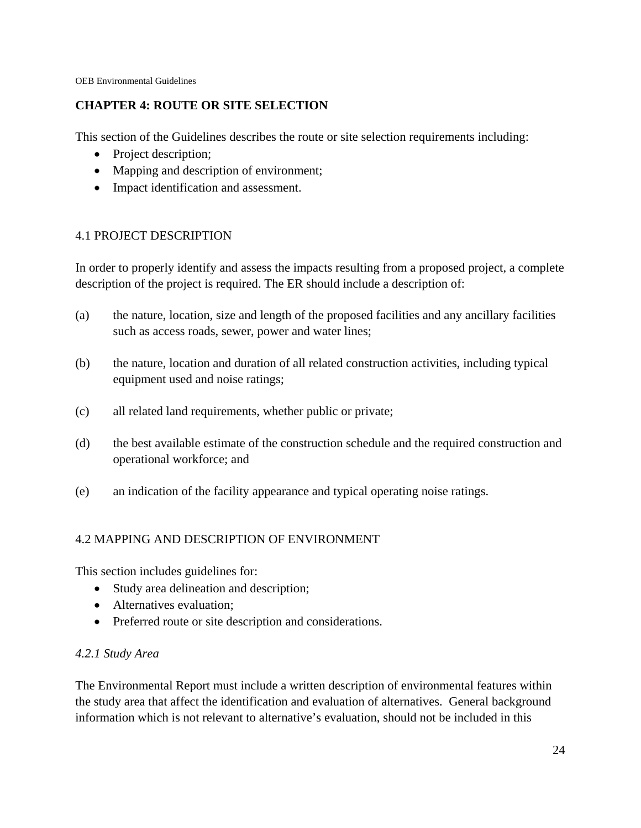### **CHAPTER 4: ROUTE OR SITE SELECTION**

This section of the Guidelines describes the route or site selection requirements including:

- Project description;
- Mapping and description of environment;
- Impact identification and assessment.

# 4.1 PROJECT DESCRIPTION

In order to properly identify and assess the impacts resulting from a proposed project, a complete description of the project is required. The ER should include a description of:

- (a) the nature, location, size and length of the proposed facilities and any ancillary facilities such as access roads, sewer, power and water lines;
- (b) the nature, location and duration of all related construction activities, including typical equipment used and noise ratings;
- (c) all related land requirements, whether public or private;
- (d) the best available estimate of the construction schedule and the required construction and operational workforce; and
- (e) an indication of the facility appearance and typical operating noise ratings.

### 4.2 MAPPING AND DESCRIPTION OF ENVIRONMENT

This section includes guidelines for:

- Study area delineation and description;
- Alternatives evaluation:
- Preferred route or site description and considerations.

### *4.2.1 Study Area*

The Environmental Report must include a written description of environmental features within the study area that affect the identification and evaluation of alternatives. General background information which is not relevant to alternative's evaluation, should not be included in this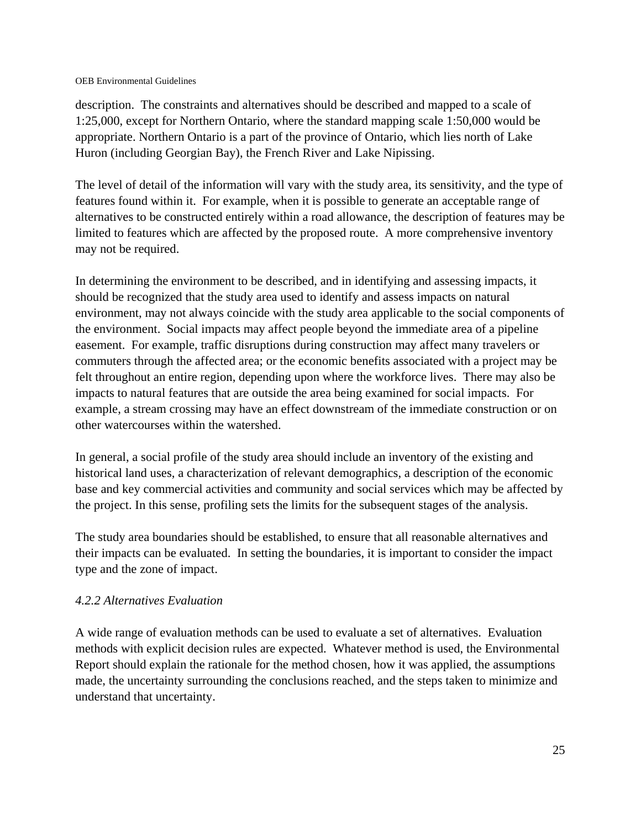description. The constraints and alternatives should be described and mapped to a scale of 1:25,000, except for Northern Ontario, where the standard mapping scale 1:50,000 would be appropriate. Northern Ontario is a part of the province of Ontario, which lies north of Lake Huron (including Georgian Bay), the French River and Lake Nipissing.

The level of detail of the information will vary with the study area, its sensitivity, and the type of features found within it. For example, when it is possible to generate an acceptable range of alternatives to be constructed entirely within a road allowance, the description of features may be limited to features which are affected by the proposed route. A more comprehensive inventory may not be required.

In determining the environment to be described, and in identifying and assessing impacts, it should be recognized that the study area used to identify and assess impacts on natural environment, may not always coincide with the study area applicable to the social components of the environment. Social impacts may affect people beyond the immediate area of a pipeline easement. For example, traffic disruptions during construction may affect many travelers or commuters through the affected area; or the economic benefits associated with a project may be felt throughout an entire region, depending upon where the workforce lives. There may also be impacts to natural features that are outside the area being examined for social impacts. For example, a stream crossing may have an effect downstream of the immediate construction or on other watercourses within the watershed.

In general, a social profile of the study area should include an inventory of the existing and historical land uses, a characterization of relevant demographics, a description of the economic base and key commercial activities and community and social services which may be affected by the project. In this sense, profiling sets the limits for the subsequent stages of the analysis.

The study area boundaries should be established, to ensure that all reasonable alternatives and their impacts can be evaluated. In setting the boundaries, it is important to consider the impact type and the zone of impact.

### *4.2.2 Alternatives Evaluation*

A wide range of evaluation methods can be used to evaluate a set of alternatives. Evaluation methods with explicit decision rules are expected. Whatever method is used, the Environmental Report should explain the rationale for the method chosen, how it was applied, the assumptions made, the uncertainty surrounding the conclusions reached, and the steps taken to minimize and understand that uncertainty.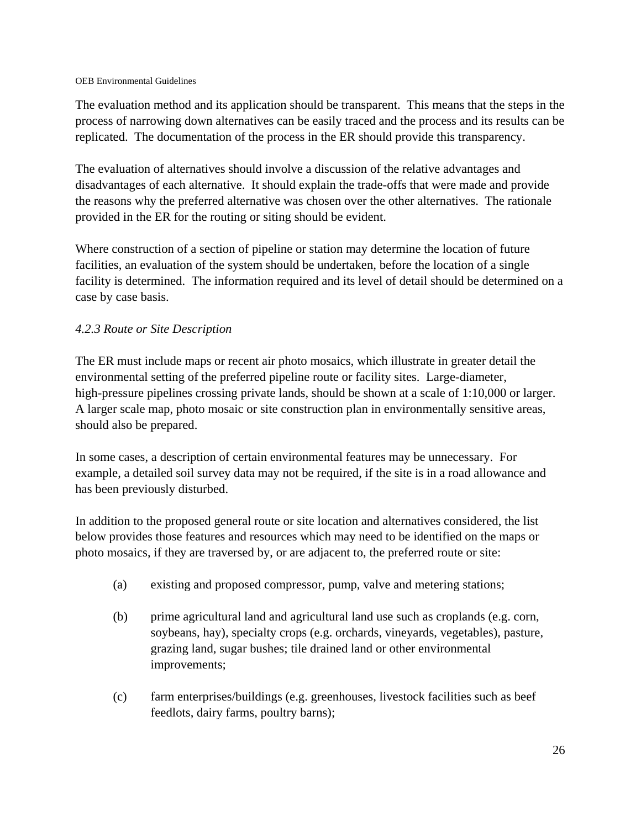The evaluation method and its application should be transparent. This means that the steps in the process of narrowing down alternatives can be easily traced and the process and its results can be replicated. The documentation of the process in the ER should provide this transparency.

The evaluation of alternatives should involve a discussion of the relative advantages and disadvantages of each alternative. It should explain the trade-offs that were made and provide the reasons why the preferred alternative was chosen over the other alternatives. The rationale provided in the ER for the routing or siting should be evident.

Where construction of a section of pipeline or station may determine the location of future facilities, an evaluation of the system should be undertaken, before the location of a single facility is determined. The information required and its level of detail should be determined on a case by case basis.

# *4.2.3 Route or Site Description*

The ER must include maps or recent air photo mosaics, which illustrate in greater detail the environmental setting of the preferred pipeline route or facility sites. Large-diameter, high-pressure pipelines crossing private lands, should be shown at a scale of 1:10,000 or larger. A larger scale map, photo mosaic or site construction plan in environmentally sensitive areas, should also be prepared.

In some cases, a description of certain environmental features may be unnecessary. For example, a detailed soil survey data may not be required, if the site is in a road allowance and has been previously disturbed.

In addition to the proposed general route or site location and alternatives considered, the list below provides those features and resources which may need to be identified on the maps or photo mosaics, if they are traversed by, or are adjacent to, the preferred route or site:

- (a) existing and proposed compressor, pump, valve and metering stations;
- (b) prime agricultural land and agricultural land use such as croplands (e.g. corn, soybeans, hay), specialty crops (e.g. orchards, vineyards, vegetables), pasture, grazing land, sugar bushes; tile drained land or other environmental improvements;
- (c) farm enterprises/buildings (e.g. greenhouses, livestock facilities such as beef feedlots, dairy farms, poultry barns);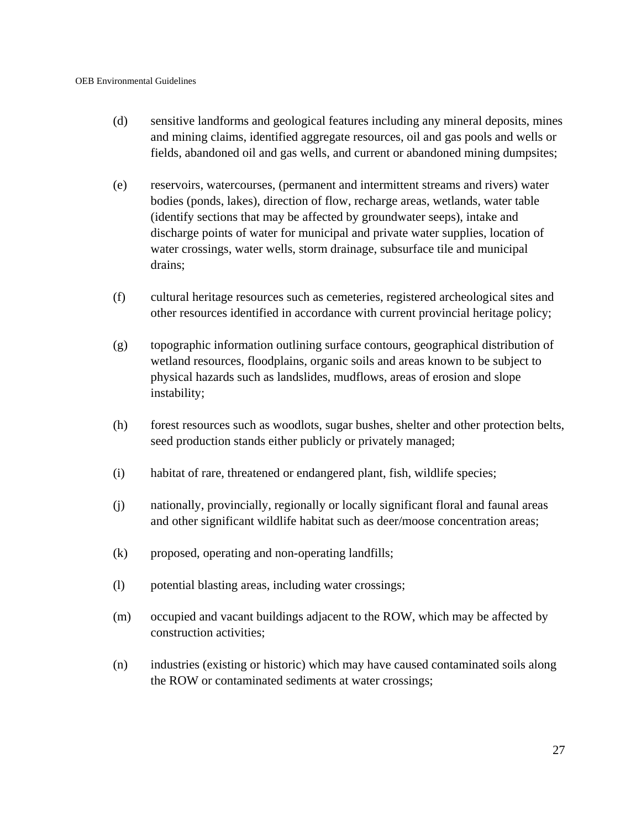- (d) sensitive landforms and geological features including any mineral deposits, mines and mining claims, identified aggregate resources, oil and gas pools and wells or fields, abandoned oil and gas wells, and current or abandoned mining dumpsites;
- (e) reservoirs, watercourses, (permanent and intermittent streams and rivers) water bodies (ponds, lakes), direction of flow, recharge areas, wetlands, water table (identify sections that may be affected by groundwater seeps), intake and discharge points of water for municipal and private water supplies, location of water crossings, water wells, storm drainage, subsurface tile and municipal drains;
- (f) cultural heritage resources such as cemeteries, registered archeological sites and other resources identified in accordance with current provincial heritage policy;
- (g) topographic information outlining surface contours, geographical distribution of wetland resources, floodplains, organic soils and areas known to be subject to physical hazards such as landslides, mudflows, areas of erosion and slope instability;
- (h) forest resources such as woodlots, sugar bushes, shelter and other protection belts, seed production stands either publicly or privately managed;
- (i) habitat of rare, threatened or endangered plant, fish, wildlife species;
- (j) nationally, provincially, regionally or locally significant floral and faunal areas and other significant wildlife habitat such as deer/moose concentration areas;
- (k) proposed, operating and non-operating landfills;
- (l) potential blasting areas, including water crossings;
- (m) occupied and vacant buildings adjacent to the ROW, which may be affected by construction activities;
- (n) industries (existing or historic) which may have caused contaminated soils along the ROW or contaminated sediments at water crossings;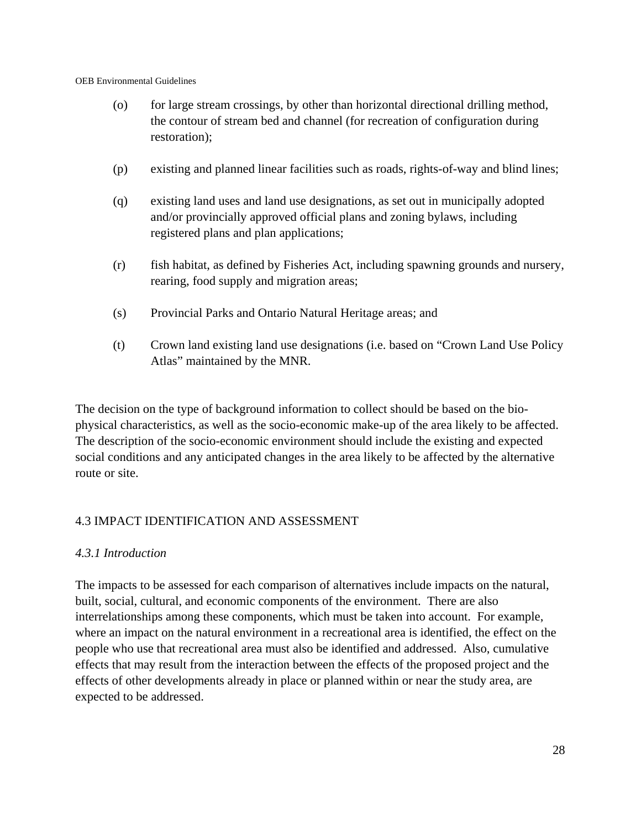- (o) for large stream crossings, by other than horizontal directional drilling method, the contour of stream bed and channel (for recreation of configuration during restoration);
- (p) existing and planned linear facilities such as roads, rights-of-way and blind lines;
- (q) existing land uses and land use designations, as set out in municipally adopted and/or provincially approved official plans and zoning bylaws, including registered plans and plan applications;
- (r) fish habitat, as defined by Fisheries Act, including spawning grounds and nursery, rearing, food supply and migration areas;
- (s) Provincial Parks and Ontario Natural Heritage areas; and
- (t) Crown land existing land use designations (i.e. based on "Crown Land Use Policy Atlas" maintained by the MNR.

The decision on the type of background information to collect should be based on the biophysical characteristics, as well as the socio-economic make-up of the area likely to be affected. The description of the socio-economic environment should include the existing and expected social conditions and any anticipated changes in the area likely to be affected by the alternative route or site.

### 4.3 IMPACT IDENTIFICATION AND ASSESSMENT

### *4.3.1 Introduction*

The impacts to be assessed for each comparison of alternatives include impacts on the natural, built, social, cultural, and economic components of the environment. There are also interrelationships among these components, which must be taken into account. For example, where an impact on the natural environment in a recreational area is identified, the effect on the people who use that recreational area must also be identified and addressed. Also, cumulative effects that may result from the interaction between the effects of the proposed project and the effects of other developments already in place or planned within or near the study area, are expected to be addressed.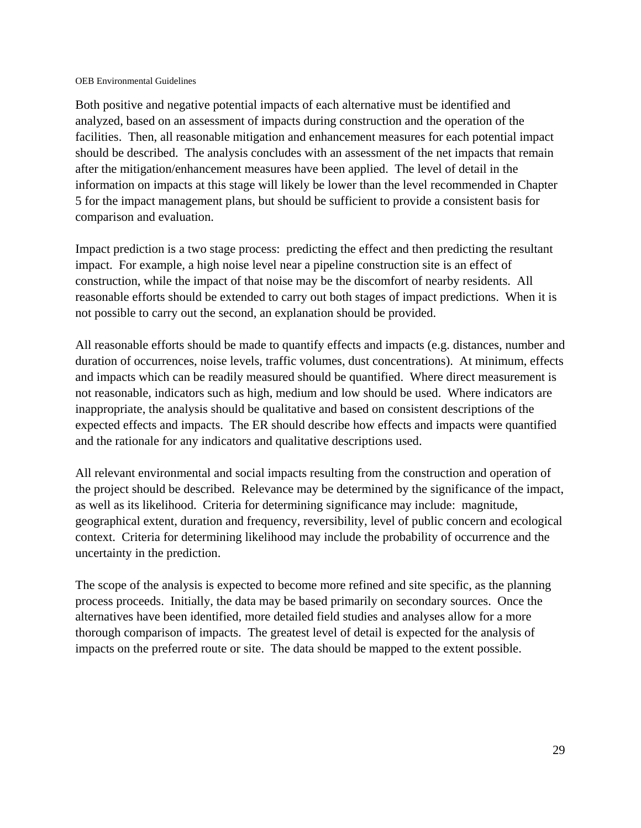Both positive and negative potential impacts of each alternative must be identified and analyzed, based on an assessment of impacts during construction and the operation of the facilities. Then, all reasonable mitigation and enhancement measures for each potential impact should be described. The analysis concludes with an assessment of the net impacts that remain after the mitigation/enhancement measures have been applied. The level of detail in the information on impacts at this stage will likely be lower than the level recommended in Chapter 5 for the impact management plans, but should be sufficient to provide a consistent basis for comparison and evaluation.

Impact prediction is a two stage process: predicting the effect and then predicting the resultant impact. For example, a high noise level near a pipeline construction site is an effect of construction, while the impact of that noise may be the discomfort of nearby residents. All reasonable efforts should be extended to carry out both stages of impact predictions. When it is not possible to carry out the second, an explanation should be provided.

All reasonable efforts should be made to quantify effects and impacts (e.g. distances, number and duration of occurrences, noise levels, traffic volumes, dust concentrations). At minimum, effects and impacts which can be readily measured should be quantified. Where direct measurement is not reasonable, indicators such as high, medium and low should be used. Where indicators are inappropriate, the analysis should be qualitative and based on consistent descriptions of the expected effects and impacts. The ER should describe how effects and impacts were quantified and the rationale for any indicators and qualitative descriptions used.

All relevant environmental and social impacts resulting from the construction and operation of the project should be described. Relevance may be determined by the significance of the impact, as well as its likelihood. Criteria for determining significance may include: magnitude, geographical extent, duration and frequency, reversibility, level of public concern and ecological context. Criteria for determining likelihood may include the probability of occurrence and the uncertainty in the prediction.

The scope of the analysis is expected to become more refined and site specific, as the planning process proceeds. Initially, the data may be based primarily on secondary sources. Once the alternatives have been identified, more detailed field studies and analyses allow for a more thorough comparison of impacts. The greatest level of detail is expected for the analysis of impacts on the preferred route or site. The data should be mapped to the extent possible.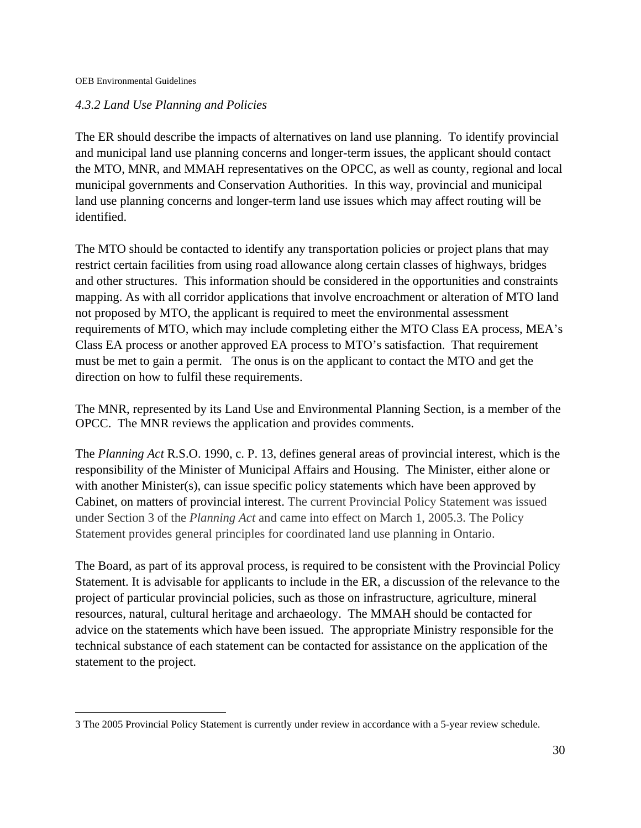$\overline{a}$ 

### *4.3.2 Land Use Planning and Policies*

The ER should describe the impacts of alternatives on land use planning. To identify provincial and municipal land use planning concerns and longer-term issues, the applicant should contact the MTO, MNR, and MMAH representatives on the OPCC, as well as county, regional and local municipal governments and Conservation Authorities. In this way, provincial and municipal land use planning concerns and longer-term land use issues which may affect routing will be identified.

The MTO should be contacted to identify any transportation policies or project plans that may restrict certain facilities from using road allowance along certain classes of highways, bridges and other structures. This information should be considered in the opportunities and constraints mapping. As with all corridor applications that involve encroachment or alteration of MTO land not proposed by MTO, the applicant is required to meet the environmental assessment requirements of MTO, which may include completing either the MTO Class EA process, MEA's Class EA process or another approved EA process to MTO's satisfaction. That requirement must be met to gain a permit. The onus is on the applicant to contact the MTO and get the direction on how to fulfil these requirements.

The MNR, represented by its Land Use and Environmental Planning Section, is a member of the OPCC. The MNR reviews the application and provides comments.

The *Planning Act* R.S.O. 1990, c. P. 13, defines general areas of provincial interest, which is the responsibility of the Minister of Municipal Affairs and Housing. The Minister, either alone or with another Minister(s), can issue specific policy statements which have been approved by Cabinet, on matters of provincial interest. The current Provincial Policy Statement was issued under Section 3 of the *Planning Act* and came into effect on March 1, 2005.3. The Policy Statement provides general principles for coordinated land use planning in Ontario.

The Board, as part of its approval process, is required to be consistent with the Provincial Policy Statement. It is advisable for applicants to include in the ER, a discussion of the relevance to the project of particular provincial policies, such as those on infrastructure, agriculture, mineral resources, natural, cultural heritage and archaeology. The MMAH should be contacted for advice on the statements which have been issued. The appropriate Ministry responsible for the technical substance of each statement can be contacted for assistance on the application of the statement to the project.

<sup>3</sup> The 2005 Provincial Policy Statement is currently under review in accordance with a 5-year review schedule.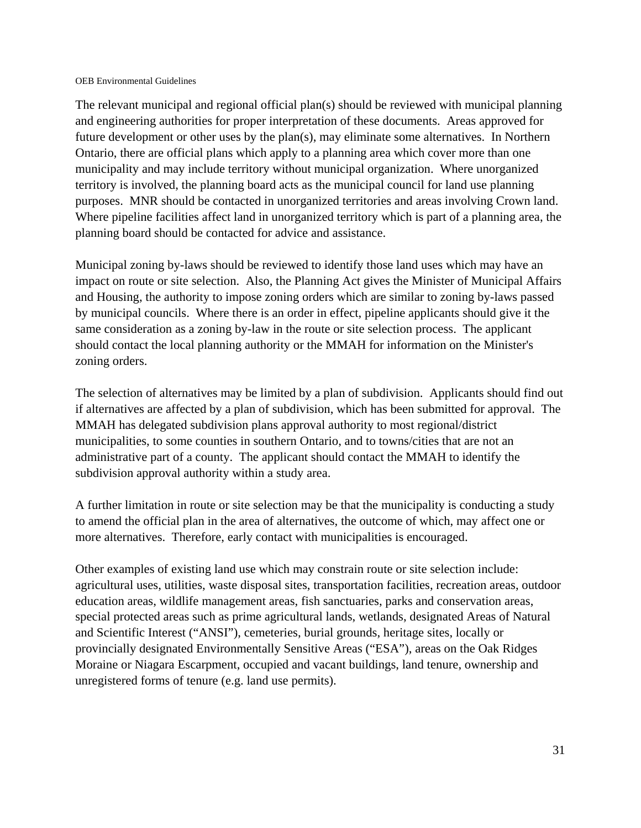The relevant municipal and regional official plan(s) should be reviewed with municipal planning and engineering authorities for proper interpretation of these documents. Areas approved for future development or other uses by the plan(s), may eliminate some alternatives. In Northern Ontario, there are official plans which apply to a planning area which cover more than one municipality and may include territory without municipal organization. Where unorganized territory is involved, the planning board acts as the municipal council for land use planning purposes. MNR should be contacted in unorganized territories and areas involving Crown land. Where pipeline facilities affect land in unorganized territory which is part of a planning area, the planning board should be contacted for advice and assistance.

Municipal zoning by-laws should be reviewed to identify those land uses which may have an impact on route or site selection. Also, the Planning Act gives the Minister of Municipal Affairs and Housing, the authority to impose zoning orders which are similar to zoning by-laws passed by municipal councils. Where there is an order in effect, pipeline applicants should give it the same consideration as a zoning by-law in the route or site selection process. The applicant should contact the local planning authority or the MMAH for information on the Minister's zoning orders.

The selection of alternatives may be limited by a plan of subdivision. Applicants should find out if alternatives are affected by a plan of subdivision, which has been submitted for approval. The MMAH has delegated subdivision plans approval authority to most regional/district municipalities, to some counties in southern Ontario, and to towns/cities that are not an administrative part of a county. The applicant should contact the MMAH to identify the subdivision approval authority within a study area.

A further limitation in route or site selection may be that the municipality is conducting a study to amend the official plan in the area of alternatives, the outcome of which, may affect one or more alternatives. Therefore, early contact with municipalities is encouraged.

Other examples of existing land use which may constrain route or site selection include: agricultural uses, utilities, waste disposal sites, transportation facilities, recreation areas, outdoor education areas, wildlife management areas, fish sanctuaries, parks and conservation areas, special protected areas such as prime agricultural lands, wetlands, designated Areas of Natural and Scientific Interest ("ANSI"), cemeteries, burial grounds, heritage sites, locally or provincially designated Environmentally Sensitive Areas ("ESA"), areas on the Oak Ridges Moraine or Niagara Escarpment, occupied and vacant buildings, land tenure, ownership and unregistered forms of tenure (e.g. land use permits).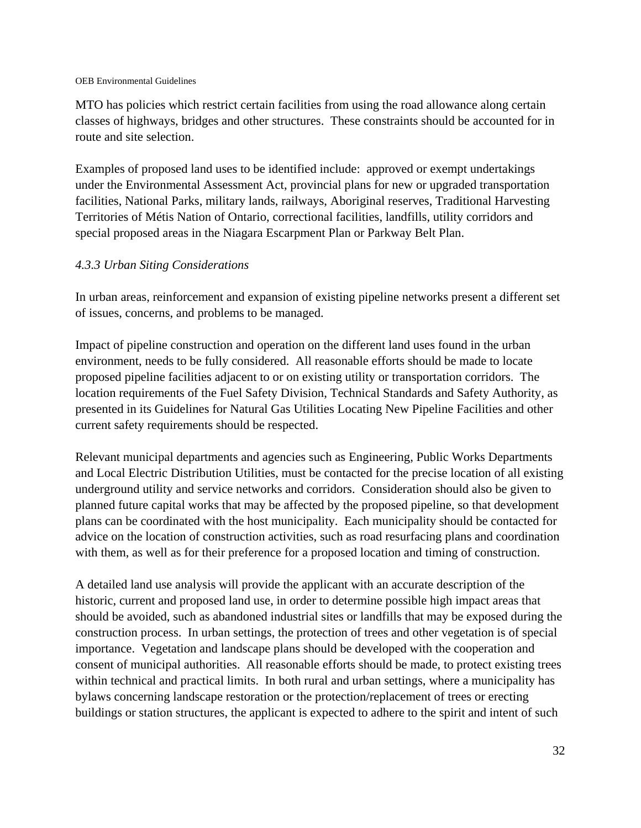MTO has policies which restrict certain facilities from using the road allowance along certain classes of highways, bridges and other structures. These constraints should be accounted for in route and site selection.

Examples of proposed land uses to be identified include: approved or exempt undertakings under the Environmental Assessment Act, provincial plans for new or upgraded transportation facilities, National Parks, military lands, railways, Aboriginal reserves, Traditional Harvesting Territories of Métis Nation of Ontario, correctional facilities, landfills, utility corridors and special proposed areas in the Niagara Escarpment Plan or Parkway Belt Plan.

### *4.3.3 Urban Siting Considerations*

In urban areas, reinforcement and expansion of existing pipeline networks present a different set of issues, concerns, and problems to be managed.

Impact of pipeline construction and operation on the different land uses found in the urban environment, needs to be fully considered. All reasonable efforts should be made to locate proposed pipeline facilities adjacent to or on existing utility or transportation corridors. The location requirements of the Fuel Safety Division, Technical Standards and Safety Authority, as presented in its Guidelines for Natural Gas Utilities Locating New Pipeline Facilities and other current safety requirements should be respected.

Relevant municipal departments and agencies such as Engineering, Public Works Departments and Local Electric Distribution Utilities, must be contacted for the precise location of all existing underground utility and service networks and corridors. Consideration should also be given to planned future capital works that may be affected by the proposed pipeline, so that development plans can be coordinated with the host municipality. Each municipality should be contacted for advice on the location of construction activities, such as road resurfacing plans and coordination with them, as well as for their preference for a proposed location and timing of construction.

A detailed land use analysis will provide the applicant with an accurate description of the historic, current and proposed land use, in order to determine possible high impact areas that should be avoided, such as abandoned industrial sites or landfills that may be exposed during the construction process. In urban settings, the protection of trees and other vegetation is of special importance. Vegetation and landscape plans should be developed with the cooperation and consent of municipal authorities. All reasonable efforts should be made, to protect existing trees within technical and practical limits. In both rural and urban settings, where a municipality has bylaws concerning landscape restoration or the protection/replacement of trees or erecting buildings or station structures, the applicant is expected to adhere to the spirit and intent of such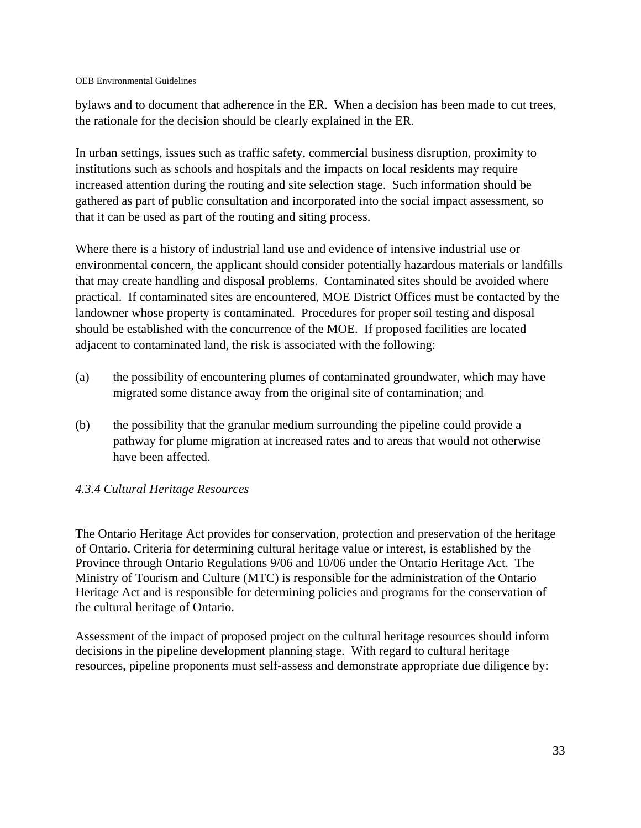bylaws and to document that adherence in the ER. When a decision has been made to cut trees, the rationale for the decision should be clearly explained in the ER.

In urban settings, issues such as traffic safety, commercial business disruption, proximity to institutions such as schools and hospitals and the impacts on local residents may require increased attention during the routing and site selection stage. Such information should be gathered as part of public consultation and incorporated into the social impact assessment, so that it can be used as part of the routing and siting process.

Where there is a history of industrial land use and evidence of intensive industrial use or environmental concern, the applicant should consider potentially hazardous materials or landfills that may create handling and disposal problems. Contaminated sites should be avoided where practical. If contaminated sites are encountered, MOE District Offices must be contacted by the landowner whose property is contaminated. Procedures for proper soil testing and disposal should be established with the concurrence of the MOE. If proposed facilities are located adjacent to contaminated land, the risk is associated with the following:

- (a) the possibility of encountering plumes of contaminated groundwater, which may have migrated some distance away from the original site of contamination; and
- (b) the possibility that the granular medium surrounding the pipeline could provide a pathway for plume migration at increased rates and to areas that would not otherwise have been affected.

### *4.3.4 Cultural Heritage Resources*

The Ontario Heritage Act provides for conservation, protection and preservation of the heritage of Ontario. Criteria for determining cultural heritage value or interest, is established by the Province through Ontario Regulations 9/06 and 10/06 under the Ontario Heritage Act. The Ministry of Tourism and Culture (MTC) is responsible for the administration of the Ontario Heritage Act and is responsible for determining policies and programs for the conservation of the cultural heritage of Ontario.

Assessment of the impact of proposed project on the cultural heritage resources should inform decisions in the pipeline development planning stage. With regard to cultural heritage resources, pipeline proponents must self-assess and demonstrate appropriate due diligence by: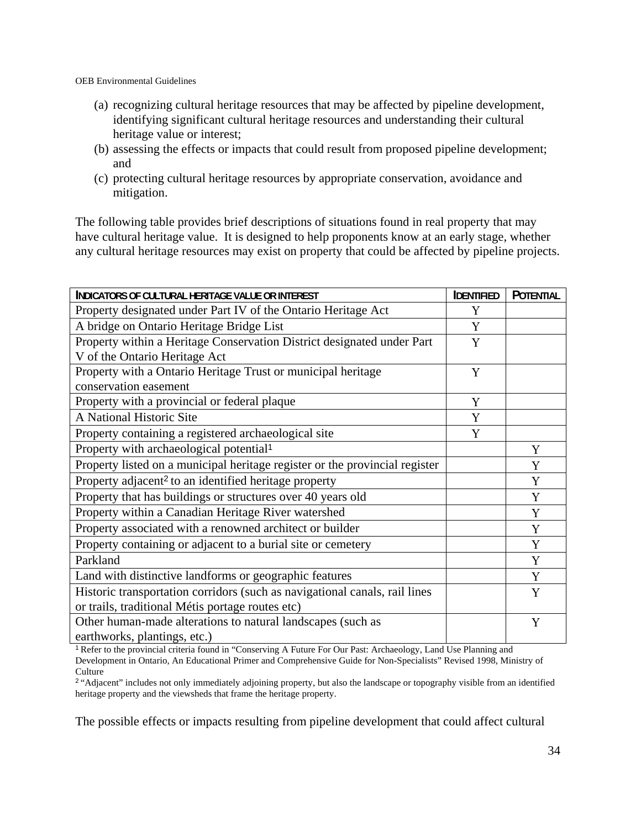- (a) recognizing cultural heritage resources that may be affected by pipeline development, identifying significant cultural heritage resources and understanding their cultural heritage value or interest;
- (b) assessing the effects or impacts that could result from proposed pipeline development; and
- (c) protecting cultural heritage resources by appropriate conservation, avoidance and mitigation.

The following table provides brief descriptions of situations found in real property that may have cultural heritage value. It is designed to help proponents know at an early stage, whether any cultural heritage resources may exist on property that could be affected by pipeline projects.

| INDICATORS OF CULTURAL HERITAGE VALUE OR INTEREST                           | <b>IDENTIFIED</b> | <b>POTENTIAL</b> |
|-----------------------------------------------------------------------------|-------------------|------------------|
| Property designated under Part IV of the Ontario Heritage Act               | Y                 |                  |
| A bridge on Ontario Heritage Bridge List                                    | Y                 |                  |
| Property within a Heritage Conservation District designated under Part      | Y                 |                  |
| V of the Ontario Heritage Act                                               |                   |                  |
| Property with a Ontario Heritage Trust or municipal heritage                | Y                 |                  |
| conservation easement                                                       |                   |                  |
| Property with a provincial or federal plaque                                | Y                 |                  |
| A National Historic Site                                                    | Y                 |                  |
| Property containing a registered archaeological site                        | Y                 |                  |
| Property with archaeological potential <sup>1</sup>                         |                   | Y                |
| Property listed on a municipal heritage register or the provincial register |                   | Y                |
| Property adjacent <sup>2</sup> to an identified heritage property           |                   | Y                |
| Property that has buildings or structures over 40 years old                 |                   | Y                |
| Property within a Canadian Heritage River watershed                         |                   | Y                |
| Property associated with a renowned architect or builder                    |                   | Y                |
| Property containing or adjacent to a burial site or cemetery                |                   | Y                |
| Parkland                                                                    |                   | Y                |
| Land with distinctive landforms or geographic features                      |                   | Y                |
| Historic transportation corridors (such as navigational canals, rail lines  |                   | Y                |
| or trails, traditional Métis portage routes etc)                            |                   |                  |
| Other human-made alterations to natural landscapes (such as                 |                   | Y                |
| earthworks, plantings, etc.)                                                |                   |                  |

<sup>1</sup> Refer to the provincial criteria found in "Conserving A Future For Our Past: Archaeology, Land Use Planning and Development in Ontario, An Educational Primer and Comprehensive Guide for Non-Specialists" Revised 1998, Ministry of **Culture** 

<sup>2</sup> "Adjacent" includes not only immediately adjoining property, but also the landscape or topography visible from an identified heritage property and the viewsheds that frame the heritage property.

The possible effects or impacts resulting from pipeline development that could affect cultural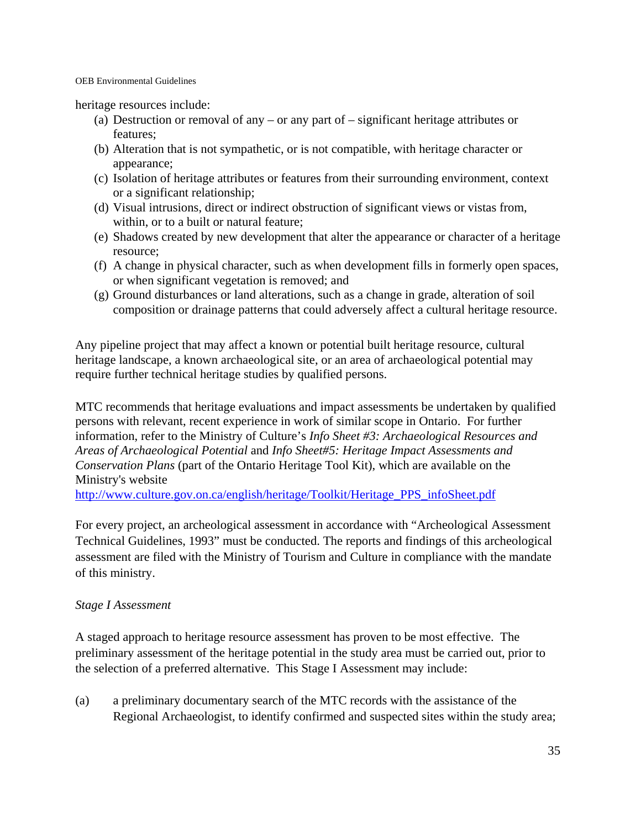heritage resources include:

- (a) Destruction or removal of any or any part of significant heritage attributes or features;
- (b) Alteration that is not sympathetic, or is not compatible, with heritage character or appearance;
- (c) Isolation of heritage attributes or features from their surrounding environment, context or a significant relationship;
- (d) Visual intrusions, direct or indirect obstruction of significant views or vistas from, within, or to a built or natural feature;
- (e) Shadows created by new development that alter the appearance or character of a heritage resource;
- (f) A change in physical character, such as when development fills in formerly open spaces, or when significant vegetation is removed; and
- (g) Ground disturbances or land alterations, such as a change in grade, alteration of soil composition or drainage patterns that could adversely affect a cultural heritage resource.

Any pipeline project that may affect a known or potential built heritage resource, cultural heritage landscape, a known archaeological site, or an area of archaeological potential may require further technical heritage studies by qualified persons.

MTC recommends that heritage evaluations and impact assessments be undertaken by qualified persons with relevant, recent experience in work of similar scope in Ontario. For further information, refer to the Ministry of Culture's *Info Sheet #3: Archaeological Resources and Areas of Archaeological Potential* and *Info Sheet#5: Heritage Impact Assessments and Conservation Plans* (part of the Ontario Heritage Tool Kit), which are available on the Ministry's website

http://www.culture.gov.on.ca/english/heritage/Toolkit/Heritage\_PPS\_infoSheet.pdf

For every project, an archeological assessment in accordance with "Archeological Assessment Technical Guidelines, 1993" must be conducted. The reports and findings of this archeological assessment are filed with the Ministry of Tourism and Culture in compliance with the mandate of this ministry.

### *Stage I Assessment*

A staged approach to heritage resource assessment has proven to be most effective. The preliminary assessment of the heritage potential in the study area must be carried out, prior to the selection of a preferred alternative. This Stage I Assessment may include:

(a) a preliminary documentary search of the MTC records with the assistance of the Regional Archaeologist, to identify confirmed and suspected sites within the study area;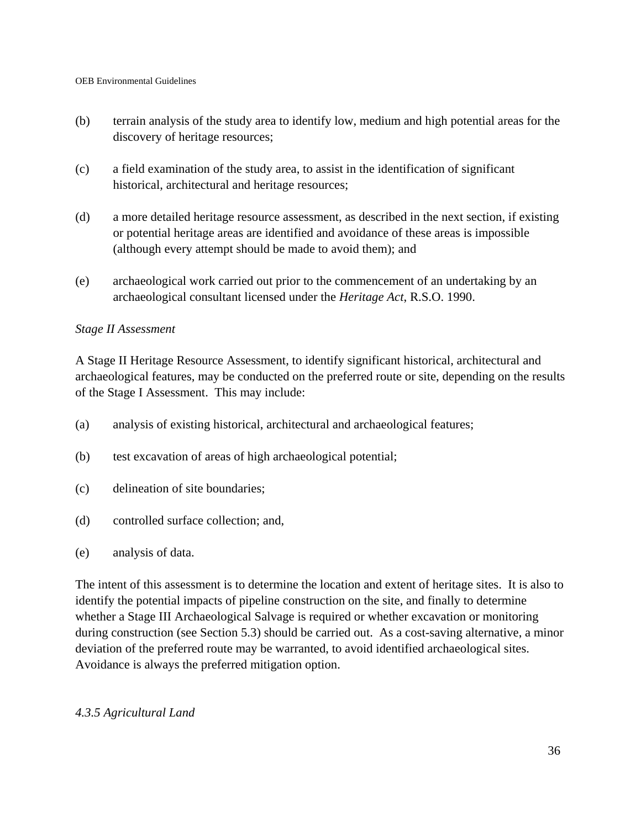- (b) terrain analysis of the study area to identify low, medium and high potential areas for the discovery of heritage resources;
- (c) a field examination of the study area, to assist in the identification of significant historical, architectural and heritage resources;
- (d) a more detailed heritage resource assessment, as described in the next section, if existing or potential heritage areas are identified and avoidance of these areas is impossible (although every attempt should be made to avoid them); and
- (e) archaeological work carried out prior to the commencement of an undertaking by an archaeological consultant licensed under the *Heritage Act*, R.S.O. 1990.

#### *Stage II Assessment*

A Stage II Heritage Resource Assessment, to identify significant historical, architectural and archaeological features, may be conducted on the preferred route or site, depending on the results of the Stage I Assessment. This may include:

- (a) analysis of existing historical, architectural and archaeological features;
- (b) test excavation of areas of high archaeological potential;
- (c) delineation of site boundaries;
- (d) controlled surface collection; and,
- (e) analysis of data.

The intent of this assessment is to determine the location and extent of heritage sites. It is also to identify the potential impacts of pipeline construction on the site, and finally to determine whether a Stage III Archaeological Salvage is required or whether excavation or monitoring during construction (see Section 5.3) should be carried out. As a cost-saving alternative, a minor deviation of the preferred route may be warranted, to avoid identified archaeological sites. Avoidance is always the preferred mitigation option.

### *4.3.5 Agricultural Land*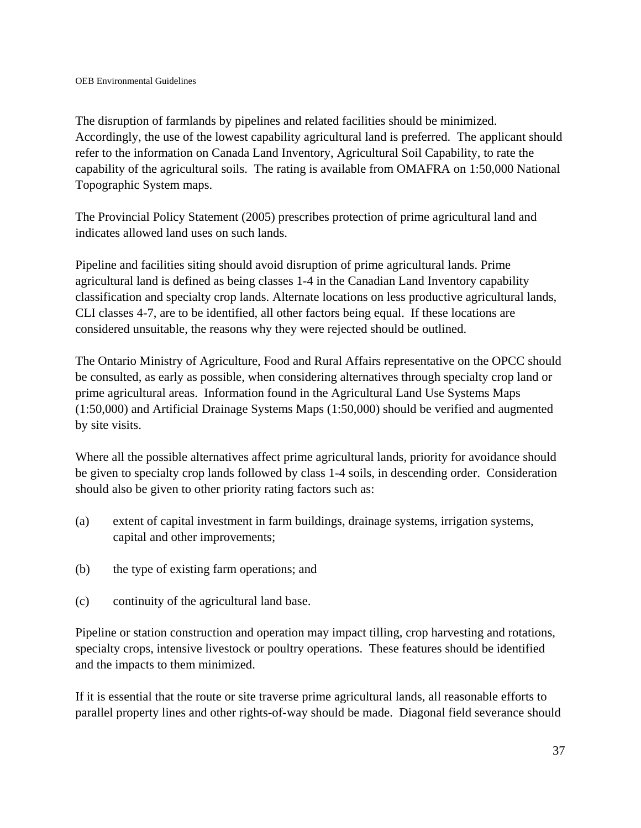The disruption of farmlands by pipelines and related facilities should be minimized. Accordingly, the use of the lowest capability agricultural land is preferred. The applicant should refer to the information on Canada Land Inventory, Agricultural Soil Capability, to rate the capability of the agricultural soils. The rating is available from OMAFRA on 1:50,000 National Topographic System maps.

The Provincial Policy Statement (2005) prescribes protection of prime agricultural land and indicates allowed land uses on such lands.

Pipeline and facilities siting should avoid disruption of prime agricultural lands. Prime agricultural land is defined as being classes 1-4 in the Canadian Land Inventory capability classification and specialty crop lands. Alternate locations on less productive agricultural lands, CLI classes 4-7, are to be identified, all other factors being equal. If these locations are considered unsuitable, the reasons why they were rejected should be outlined.

The Ontario Ministry of Agriculture, Food and Rural Affairs representative on the OPCC should be consulted, as early as possible, when considering alternatives through specialty crop land or prime agricultural areas. Information found in the Agricultural Land Use Systems Maps (1:50,000) and Artificial Drainage Systems Maps (1:50,000) should be verified and augmented by site visits.

Where all the possible alternatives affect prime agricultural lands, priority for avoidance should be given to specialty crop lands followed by class 1-4 soils, in descending order. Consideration should also be given to other priority rating factors such as:

- (a) extent of capital investment in farm buildings, drainage systems, irrigation systems, capital and other improvements;
- (b) the type of existing farm operations; and
- (c) continuity of the agricultural land base.

Pipeline or station construction and operation may impact tilling, crop harvesting and rotations, specialty crops, intensive livestock or poultry operations. These features should be identified and the impacts to them minimized.

If it is essential that the route or site traverse prime agricultural lands, all reasonable efforts to parallel property lines and other rights-of-way should be made. Diagonal field severance should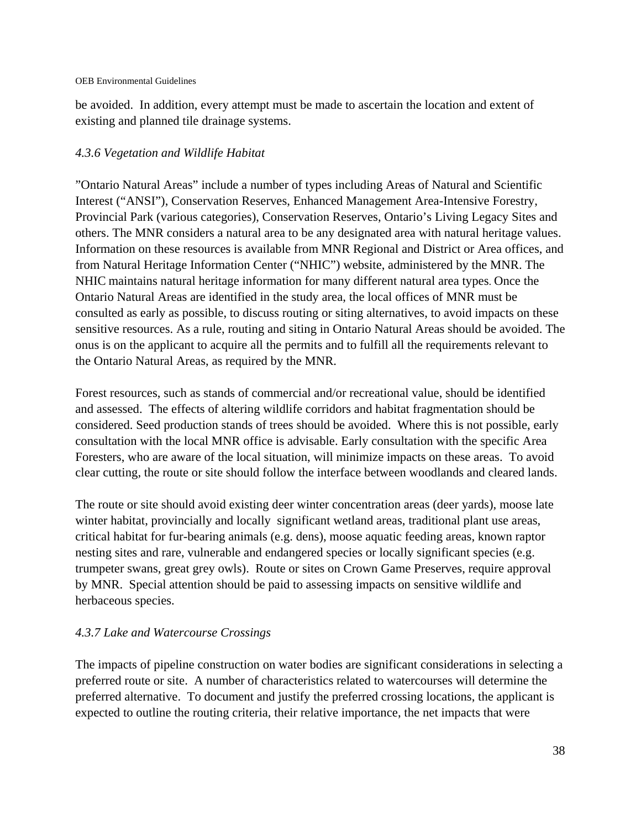be avoided. In addition, every attempt must be made to ascertain the location and extent of existing and planned tile drainage systems.

#### *4.3.6 Vegetation and Wildlife Habitat*

"Ontario Natural Areas" include a number of types including Areas of Natural and Scientific Interest ("ANSI"), Conservation Reserves, Enhanced Management Area-Intensive Forestry, Provincial Park (various categories), Conservation Reserves, Ontario's Living Legacy Sites and others. The MNR considers a natural area to be any designated area with natural heritage values. Information on these resources is available from MNR Regional and District or Area offices, and from Natural Heritage Information Center ("NHIC") website, administered by the MNR. The NHIC maintains natural heritage information for many different natural area types. Once the Ontario Natural Areas are identified in the study area, the local offices of MNR must be consulted as early as possible, to discuss routing or siting alternatives, to avoid impacts on these sensitive resources. As a rule, routing and siting in Ontario Natural Areas should be avoided. The onus is on the applicant to acquire all the permits and to fulfill all the requirements relevant to the Ontario Natural Areas, as required by the MNR.

Forest resources, such as stands of commercial and/or recreational value, should be identified and assessed. The effects of altering wildlife corridors and habitat fragmentation should be considered. Seed production stands of trees should be avoided. Where this is not possible, early consultation with the local MNR office is advisable. Early consultation with the specific Area Foresters, who are aware of the local situation, will minimize impacts on these areas. To avoid clear cutting, the route or site should follow the interface between woodlands and cleared lands.

The route or site should avoid existing deer winter concentration areas (deer yards), moose late winter habitat, provincially and locally significant wetland areas, traditional plant use areas, critical habitat for fur-bearing animals (e.g. dens), moose aquatic feeding areas, known raptor nesting sites and rare, vulnerable and endangered species or locally significant species (e.g. trumpeter swans, great grey owls). Route or sites on Crown Game Preserves, require approval by MNR. Special attention should be paid to assessing impacts on sensitive wildlife and herbaceous species.

### *4.3.7 Lake and Watercourse Crossings*

The impacts of pipeline construction on water bodies are significant considerations in selecting a preferred route or site. A number of characteristics related to watercourses will determine the preferred alternative. To document and justify the preferred crossing locations, the applicant is expected to outline the routing criteria, their relative importance, the net impacts that were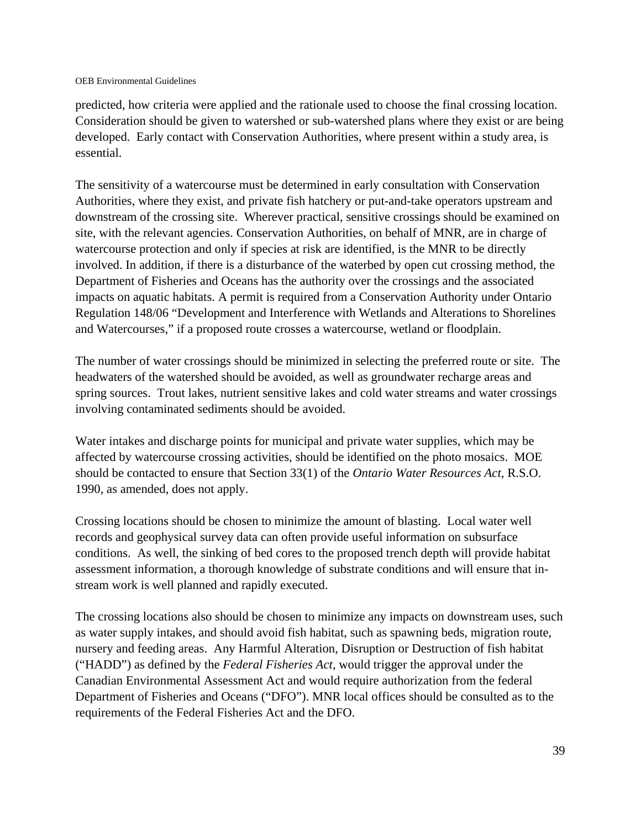predicted, how criteria were applied and the rationale used to choose the final crossing location. Consideration should be given to watershed or sub-watershed plans where they exist or are being developed. Early contact with Conservation Authorities, where present within a study area, is essential.

The sensitivity of a watercourse must be determined in early consultation with Conservation Authorities, where they exist, and private fish hatchery or put-and-take operators upstream and downstream of the crossing site. Wherever practical, sensitive crossings should be examined on site, with the relevant agencies. Conservation Authorities, on behalf of MNR, are in charge of watercourse protection and only if species at risk are identified, is the MNR to be directly involved. In addition, if there is a disturbance of the waterbed by open cut crossing method, the Department of Fisheries and Oceans has the authority over the crossings and the associated impacts on aquatic habitats. A permit is required from a Conservation Authority under Ontario Regulation 148/06 "Development and Interference with Wetlands and Alterations to Shorelines and Watercourses," if a proposed route crosses a watercourse, wetland or floodplain.

The number of water crossings should be minimized in selecting the preferred route or site. The headwaters of the watershed should be avoided, as well as groundwater recharge areas and spring sources. Trout lakes, nutrient sensitive lakes and cold water streams and water crossings involving contaminated sediments should be avoided.

Water intakes and discharge points for municipal and private water supplies, which may be affected by watercourse crossing activities, should be identified on the photo mosaics. MOE should be contacted to ensure that Section 33(1) of the *Ontario Water Resources Act*, R.S.O. 1990, as amended, does not apply.

Crossing locations should be chosen to minimize the amount of blasting. Local water well records and geophysical survey data can often provide useful information on subsurface conditions. As well, the sinking of bed cores to the proposed trench depth will provide habitat assessment information, a thorough knowledge of substrate conditions and will ensure that instream work is well planned and rapidly executed.

The crossing locations also should be chosen to minimize any impacts on downstream uses, such as water supply intakes, and should avoid fish habitat, such as spawning beds, migration route, nursery and feeding areas. Any Harmful Alteration, Disruption or Destruction of fish habitat ("HADD") as defined by the *Federal Fisheries Act,* would trigger the approval under the Canadian Environmental Assessment Act and would require authorization from the federal Department of Fisheries and Oceans ("DFO"). MNR local offices should be consulted as to the requirements of the Federal Fisheries Act and the DFO.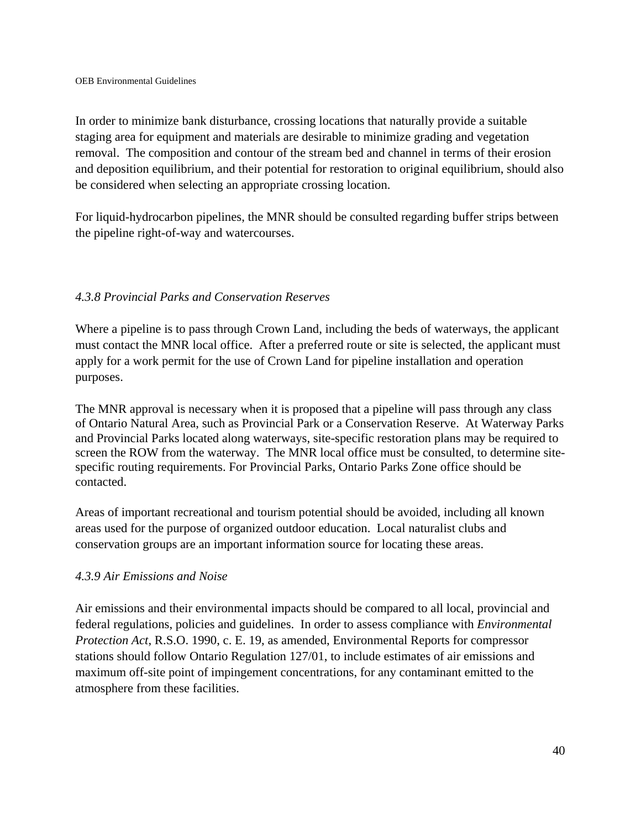In order to minimize bank disturbance, crossing locations that naturally provide a suitable staging area for equipment and materials are desirable to minimize grading and vegetation removal. The composition and contour of the stream bed and channel in terms of their erosion and deposition equilibrium, and their potential for restoration to original equilibrium, should also be considered when selecting an appropriate crossing location.

For liquid-hydrocarbon pipelines, the MNR should be consulted regarding buffer strips between the pipeline right-of-way and watercourses.

### *4.3.8 Provincial Parks and Conservation Reserves*

Where a pipeline is to pass through Crown Land, including the beds of waterways, the applicant must contact the MNR local office. After a preferred route or site is selected, the applicant must apply for a work permit for the use of Crown Land for pipeline installation and operation purposes.

The MNR approval is necessary when it is proposed that a pipeline will pass through any class of Ontario Natural Area, such as Provincial Park or a Conservation Reserve. At Waterway Parks and Provincial Parks located along waterways, site-specific restoration plans may be required to screen the ROW from the waterway. The MNR local office must be consulted, to determine sitespecific routing requirements. For Provincial Parks, Ontario Parks Zone office should be contacted.

Areas of important recreational and tourism potential should be avoided, including all known areas used for the purpose of organized outdoor education. Local naturalist clubs and conservation groups are an important information source for locating these areas.

### *4.3.9 Air Emissions and Noise*

Air emissions and their environmental impacts should be compared to all local, provincial and federal regulations, policies and guidelines. In order to assess compliance with *Environmental Protection Act*, R.S.O. 1990, c. E. 19, as amended, Environmental Reports for compressor stations should follow Ontario Regulation 127/01, to include estimates of air emissions and maximum off-site point of impingement concentrations, for any contaminant emitted to the atmosphere from these facilities.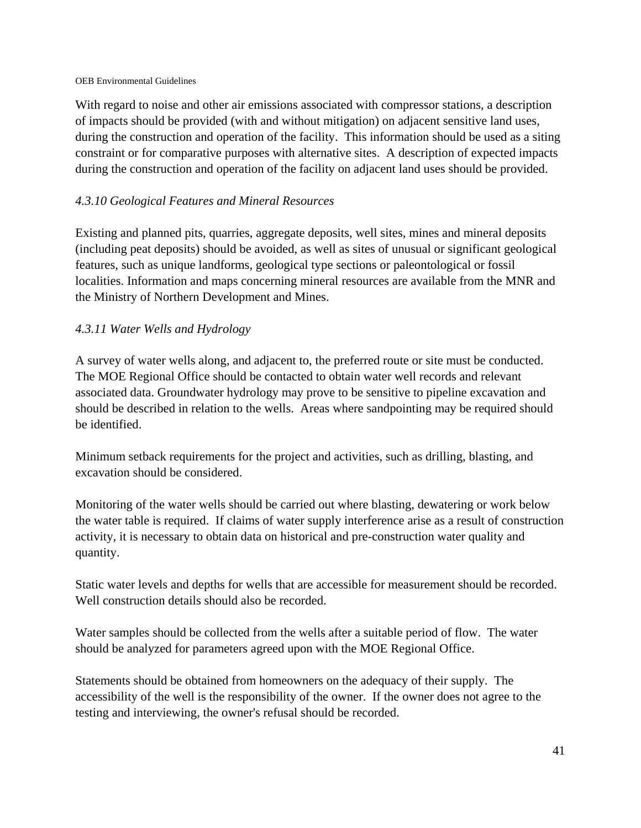With regard to noise and other air emissions associated with compressor stations, a description of impacts should be provided (with and without mitigation) on adjacent sensitive land uses, during the construction and operation of the facility. This information should be used as a siting constraint or for comparative purposes with alternative sites. A description of expected impacts during the construction and operation of the facility on adjacent land uses should be provided.

# *4.3.10 Geological Features and Mineral Resources*

Existing and planned pits, quarries, aggregate deposits, well sites, mines and mineral deposits (including peat deposits) should be avoided, as well as sites of unusual or significant geological features, such as unique landforms, geological type sections or paleontological or fossil localities. Information and maps concerning mineral resources are available from the MNR and the Ministry of Northern Development and Mines.

### *4.3.11 Water Wells and Hydrology*

A survey of water wells along, and adjacent to, the preferred route or site must be conducted. The MOE Regional Office should be contacted to obtain water well records and relevant associated data. Groundwater hydrology may prove to be sensitive to pipeline excavation and should be described in relation to the wells. Areas where sandpointing may be required should be identified.

Minimum setback requirements for the project and activities, such as drilling, blasting, and excavation should be considered.

Monitoring of the water wells should be carried out where blasting, dewatering or work below the water table is required. If claims of water supply interference arise as a result of construction activity, it is necessary to obtain data on historical and pre-construction water quality and quantity.

Static water levels and depths for wells that are accessible for measurement should be recorded. Well construction details should also be recorded.

Water samples should be collected from the wells after a suitable period of flow. The water should be analyzed for parameters agreed upon with the MOE Regional Office.

Statements should be obtained from homeowners on the adequacy of their supply. The accessibility of the well is the responsibility of the owner. If the owner does not agree to the testing and interviewing, the owner's refusal should be recorded.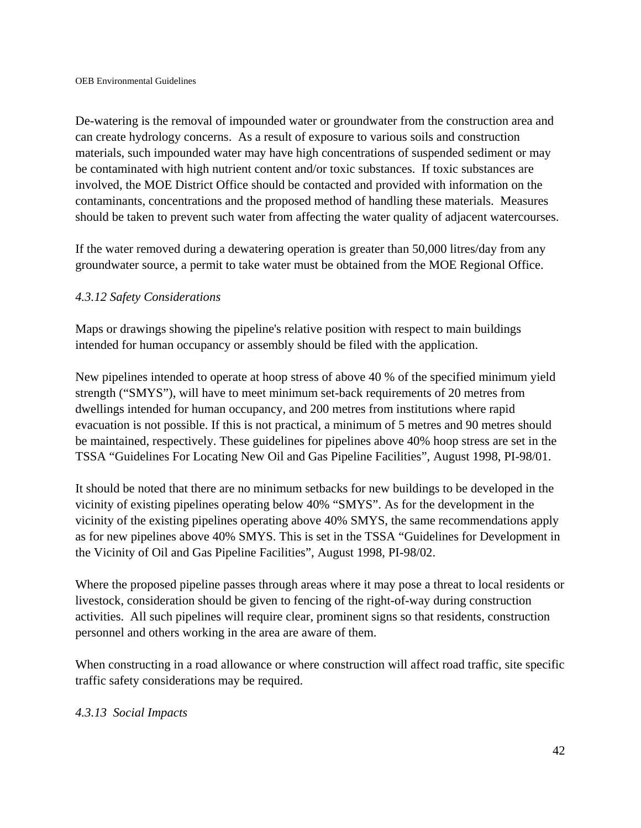De-watering is the removal of impounded water or groundwater from the construction area and can create hydrology concerns. As a result of exposure to various soils and construction materials, such impounded water may have high concentrations of suspended sediment or may be contaminated with high nutrient content and/or toxic substances. If toxic substances are involved, the MOE District Office should be contacted and provided with information on the contaminants, concentrations and the proposed method of handling these materials. Measures should be taken to prevent such water from affecting the water quality of adjacent watercourses.

If the water removed during a dewatering operation is greater than 50,000 litres/day from any groundwater source, a permit to take water must be obtained from the MOE Regional Office.

### *4.3.12 Safety Considerations*

Maps or drawings showing the pipeline's relative position with respect to main buildings intended for human occupancy or assembly should be filed with the application.

New pipelines intended to operate at hoop stress of above 40 % of the specified minimum yield strength ("SMYS"), will have to meet minimum set-back requirements of 20 metres from dwellings intended for human occupancy, and 200 metres from institutions where rapid evacuation is not possible. If this is not practical, a minimum of 5 metres and 90 metres should be maintained, respectively. These guidelines for pipelines above 40% hoop stress are set in the TSSA "Guidelines For Locating New Oil and Gas Pipeline Facilities", August 1998, PI-98/01.

It should be noted that there are no minimum setbacks for new buildings to be developed in the vicinity of existing pipelines operating below 40% "SMYS". As for the development in the vicinity of the existing pipelines operating above 40% SMYS, the same recommendations apply as for new pipelines above 40% SMYS. This is set in the TSSA "Guidelines for Development in the Vicinity of Oil and Gas Pipeline Facilities", August 1998, PI-98/02.

Where the proposed pipeline passes through areas where it may pose a threat to local residents or livestock, consideration should be given to fencing of the right-of-way during construction activities. All such pipelines will require clear, prominent signs so that residents, construction personnel and others working in the area are aware of them.

When constructing in a road allowance or where construction will affect road traffic, site specific traffic safety considerations may be required.

### *4.3.13 Social Impacts*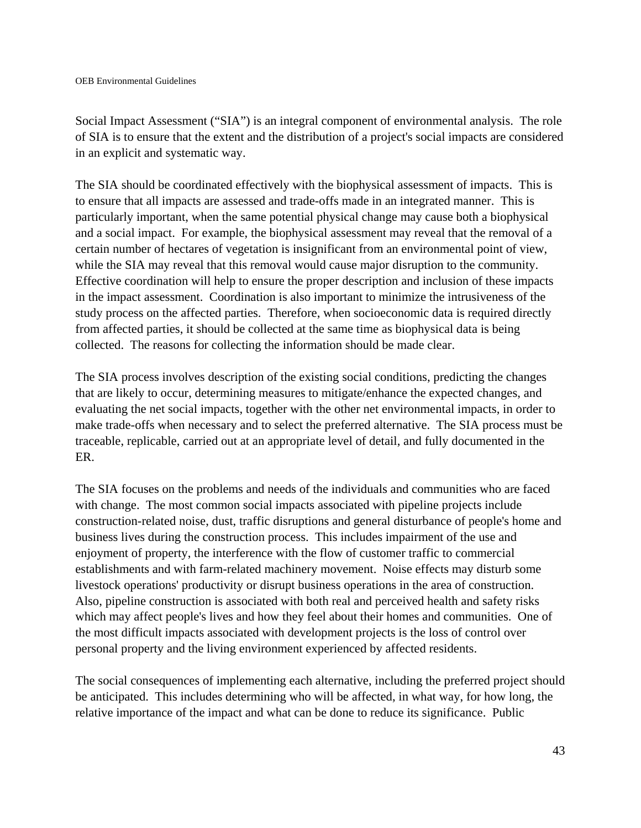Social Impact Assessment ("SIA") is an integral component of environmental analysis. The role of SIA is to ensure that the extent and the distribution of a project's social impacts are considered in an explicit and systematic way.

The SIA should be coordinated effectively with the biophysical assessment of impacts. This is to ensure that all impacts are assessed and trade-offs made in an integrated manner. This is particularly important, when the same potential physical change may cause both a biophysical and a social impact. For example, the biophysical assessment may reveal that the removal of a certain number of hectares of vegetation is insignificant from an environmental point of view, while the SIA may reveal that this removal would cause major disruption to the community. Effective coordination will help to ensure the proper description and inclusion of these impacts in the impact assessment. Coordination is also important to minimize the intrusiveness of the study process on the affected parties. Therefore, when socioeconomic data is required directly from affected parties, it should be collected at the same time as biophysical data is being collected. The reasons for collecting the information should be made clear.

The SIA process involves description of the existing social conditions, predicting the changes that are likely to occur, determining measures to mitigate/enhance the expected changes, and evaluating the net social impacts, together with the other net environmental impacts, in order to make trade-offs when necessary and to select the preferred alternative. The SIA process must be traceable, replicable, carried out at an appropriate level of detail, and fully documented in the ER.

The SIA focuses on the problems and needs of the individuals and communities who are faced with change. The most common social impacts associated with pipeline projects include construction-related noise, dust, traffic disruptions and general disturbance of people's home and business lives during the construction process. This includes impairment of the use and enjoyment of property, the interference with the flow of customer traffic to commercial establishments and with farm-related machinery movement. Noise effects may disturb some livestock operations' productivity or disrupt business operations in the area of construction. Also, pipeline construction is associated with both real and perceived health and safety risks which may affect people's lives and how they feel about their homes and communities. One of the most difficult impacts associated with development projects is the loss of control over personal property and the living environment experienced by affected residents.

The social consequences of implementing each alternative, including the preferred project should be anticipated. This includes determining who will be affected, in what way, for how long, the relative importance of the impact and what can be done to reduce its significance. Public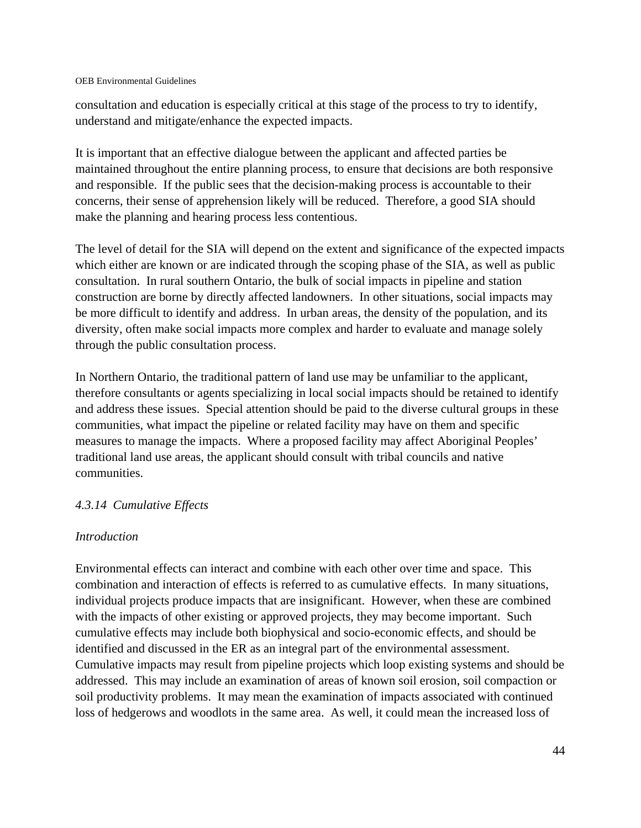consultation and education is especially critical at this stage of the process to try to identify, understand and mitigate/enhance the expected impacts.

It is important that an effective dialogue between the applicant and affected parties be maintained throughout the entire planning process, to ensure that decisions are both responsive and responsible. If the public sees that the decision-making process is accountable to their concerns, their sense of apprehension likely will be reduced. Therefore, a good SIA should make the planning and hearing process less contentious.

The level of detail for the SIA will depend on the extent and significance of the expected impacts which either are known or are indicated through the scoping phase of the SIA, as well as public consultation. In rural southern Ontario, the bulk of social impacts in pipeline and station construction are borne by directly affected landowners. In other situations, social impacts may be more difficult to identify and address. In urban areas, the density of the population, and its diversity, often make social impacts more complex and harder to evaluate and manage solely through the public consultation process.

In Northern Ontario, the traditional pattern of land use may be unfamiliar to the applicant, therefore consultants or agents specializing in local social impacts should be retained to identify and address these issues. Special attention should be paid to the diverse cultural groups in these communities, what impact the pipeline or related facility may have on them and specific measures to manage the impacts. Where a proposed facility may affect Aboriginal Peoples' traditional land use areas, the applicant should consult with tribal councils and native communities.

#### *4.3.14 Cumulative Effects*

#### *Introduction*

Environmental effects can interact and combine with each other over time and space. This combination and interaction of effects is referred to as cumulative effects. In many situations, individual projects produce impacts that are insignificant. However, when these are combined with the impacts of other existing or approved projects, they may become important. Such cumulative effects may include both biophysical and socio-economic effects, and should be identified and discussed in the ER as an integral part of the environmental assessment. Cumulative impacts may result from pipeline projects which loop existing systems and should be addressed. This may include an examination of areas of known soil erosion, soil compaction or soil productivity problems. It may mean the examination of impacts associated with continued loss of hedgerows and woodlots in the same area. As well, it could mean the increased loss of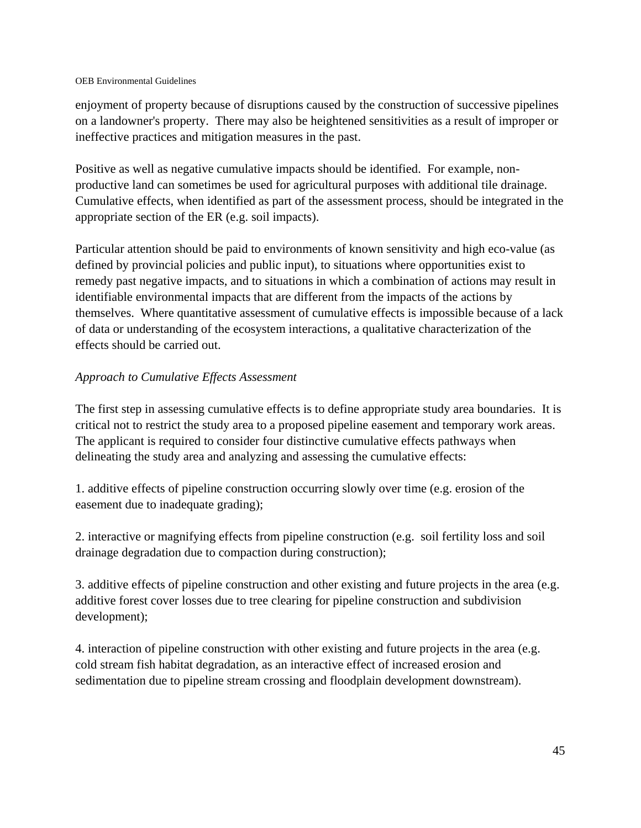enjoyment of property because of disruptions caused by the construction of successive pipelines on a landowner's property. There may also be heightened sensitivities as a result of improper or ineffective practices and mitigation measures in the past.

Positive as well as negative cumulative impacts should be identified. For example, nonproductive land can sometimes be used for agricultural purposes with additional tile drainage. Cumulative effects, when identified as part of the assessment process, should be integrated in the appropriate section of the ER (e.g. soil impacts).

Particular attention should be paid to environments of known sensitivity and high eco-value (as defined by provincial policies and public input), to situations where opportunities exist to remedy past negative impacts, and to situations in which a combination of actions may result in identifiable environmental impacts that are different from the impacts of the actions by themselves. Where quantitative assessment of cumulative effects is impossible because of a lack of data or understanding of the ecosystem interactions, a qualitative characterization of the effects should be carried out.

### *Approach to Cumulative Effects Assessment*

The first step in assessing cumulative effects is to define appropriate study area boundaries. It is critical not to restrict the study area to a proposed pipeline easement and temporary work areas. The applicant is required to consider four distinctive cumulative effects pathways when delineating the study area and analyzing and assessing the cumulative effects:

1. additive effects of pipeline construction occurring slowly over time (e.g. erosion of the easement due to inadequate grading);

2. interactive or magnifying effects from pipeline construction (e.g. soil fertility loss and soil drainage degradation due to compaction during construction);

3. additive effects of pipeline construction and other existing and future projects in the area (e.g. additive forest cover losses due to tree clearing for pipeline construction and subdivision development);

4. interaction of pipeline construction with other existing and future projects in the area (e.g. cold stream fish habitat degradation, as an interactive effect of increased erosion and sedimentation due to pipeline stream crossing and floodplain development downstream).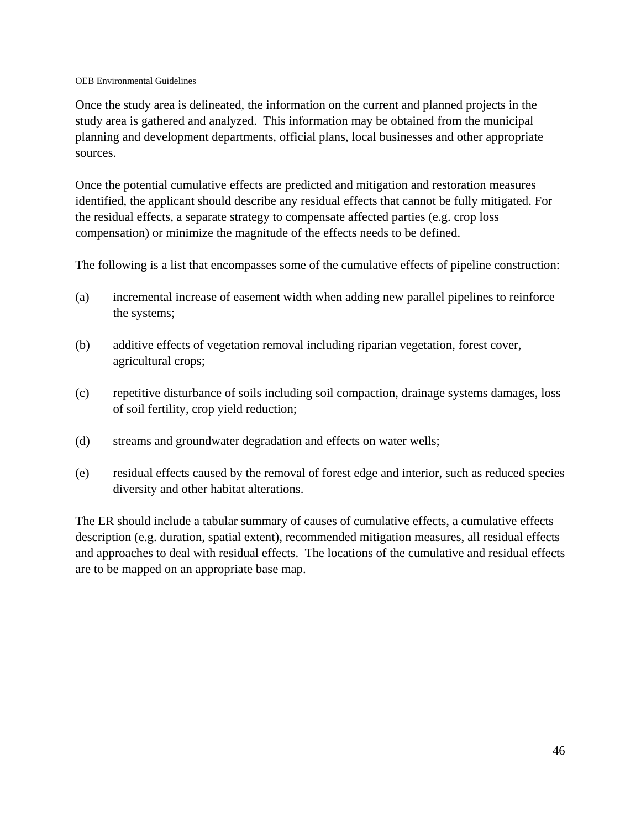Once the study area is delineated, the information on the current and planned projects in the study area is gathered and analyzed. This information may be obtained from the municipal planning and development departments, official plans, local businesses and other appropriate sources.

Once the potential cumulative effects are predicted and mitigation and restoration measures identified, the applicant should describe any residual effects that cannot be fully mitigated. For the residual effects, a separate strategy to compensate affected parties (e.g. crop loss compensation) or minimize the magnitude of the effects needs to be defined.

The following is a list that encompasses some of the cumulative effects of pipeline construction:

- (a) incremental increase of easement width when adding new parallel pipelines to reinforce the systems;
- (b) additive effects of vegetation removal including riparian vegetation, forest cover, agricultural crops;
- (c) repetitive disturbance of soils including soil compaction, drainage systems damages, loss of soil fertility, crop yield reduction;
- (d) streams and groundwater degradation and effects on water wells;
- (e) residual effects caused by the removal of forest edge and interior, such as reduced species diversity and other habitat alterations.

The ER should include a tabular summary of causes of cumulative effects, a cumulative effects description (e.g. duration, spatial extent), recommended mitigation measures, all residual effects and approaches to deal with residual effects. The locations of the cumulative and residual effects are to be mapped on an appropriate base map.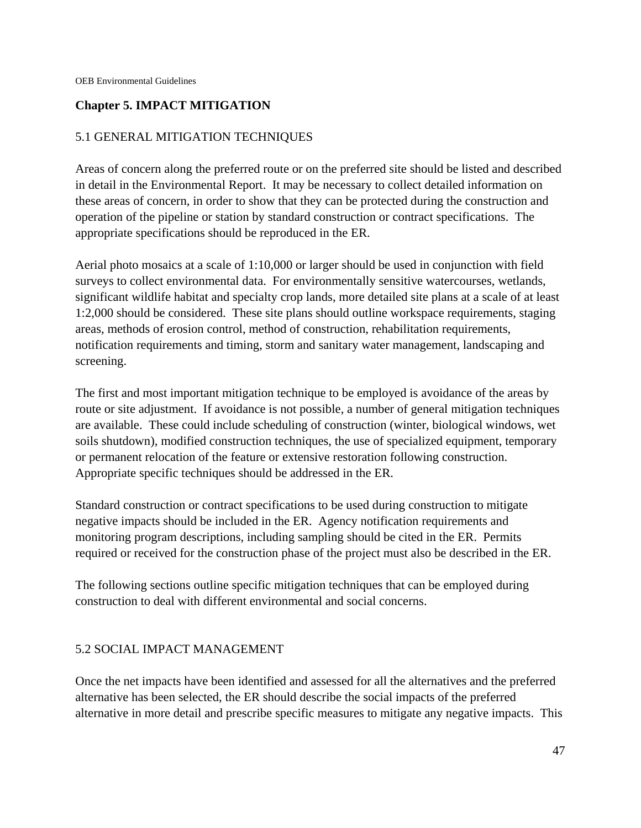## **Chapter 5. IMPACT MITIGATION**

# 5.1 GENERAL MITIGATION TECHNIQUES

Areas of concern along the preferred route or on the preferred site should be listed and described in detail in the Environmental Report. It may be necessary to collect detailed information on these areas of concern, in order to show that they can be protected during the construction and operation of the pipeline or station by standard construction or contract specifications. The appropriate specifications should be reproduced in the ER.

Aerial photo mosaics at a scale of 1:10,000 or larger should be used in conjunction with field surveys to collect environmental data. For environmentally sensitive watercourses, wetlands, significant wildlife habitat and specialty crop lands, more detailed site plans at a scale of at least 1:2,000 should be considered. These site plans should outline workspace requirements, staging areas, methods of erosion control, method of construction, rehabilitation requirements, notification requirements and timing, storm and sanitary water management, landscaping and screening.

The first and most important mitigation technique to be employed is avoidance of the areas by route or site adjustment. If avoidance is not possible, a number of general mitigation techniques are available. These could include scheduling of construction (winter, biological windows, wet soils shutdown), modified construction techniques, the use of specialized equipment, temporary or permanent relocation of the feature or extensive restoration following construction. Appropriate specific techniques should be addressed in the ER.

Standard construction or contract specifications to be used during construction to mitigate negative impacts should be included in the ER. Agency notification requirements and monitoring program descriptions, including sampling should be cited in the ER. Permits required or received for the construction phase of the project must also be described in the ER.

The following sections outline specific mitigation techniques that can be employed during construction to deal with different environmental and social concerns.

### 5.2 SOCIAL IMPACT MANAGEMENT

Once the net impacts have been identified and assessed for all the alternatives and the preferred alternative has been selected, the ER should describe the social impacts of the preferred alternative in more detail and prescribe specific measures to mitigate any negative impacts. This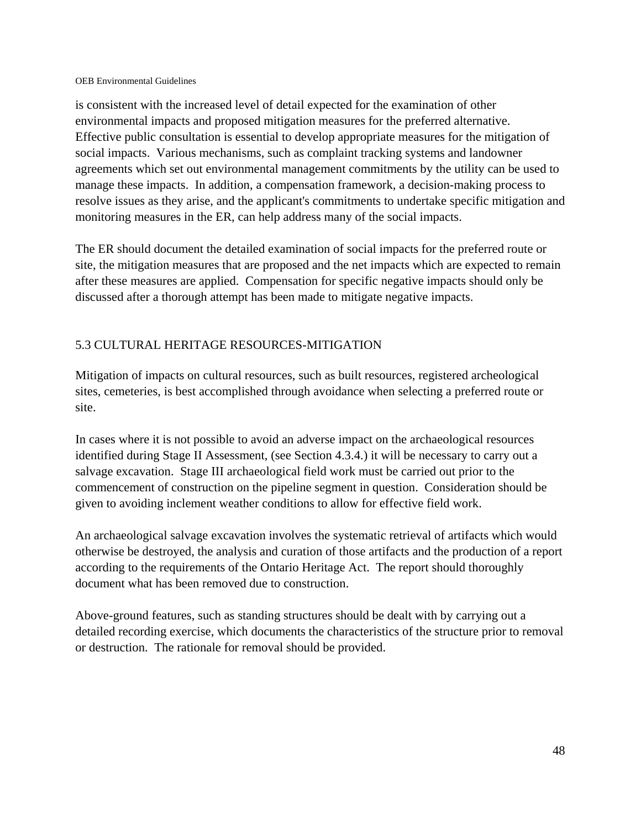is consistent with the increased level of detail expected for the examination of other environmental impacts and proposed mitigation measures for the preferred alternative. Effective public consultation is essential to develop appropriate measures for the mitigation of social impacts. Various mechanisms, such as complaint tracking systems and landowner agreements which set out environmental management commitments by the utility can be used to manage these impacts. In addition, a compensation framework, a decision-making process to resolve issues as they arise, and the applicant's commitments to undertake specific mitigation and monitoring measures in the ER, can help address many of the social impacts.

The ER should document the detailed examination of social impacts for the preferred route or site, the mitigation measures that are proposed and the net impacts which are expected to remain after these measures are applied. Compensation for specific negative impacts should only be discussed after a thorough attempt has been made to mitigate negative impacts.

# 5.3 CULTURAL HERITAGE RESOURCES-MITIGATION

Mitigation of impacts on cultural resources, such as built resources, registered archeological sites, cemeteries, is best accomplished through avoidance when selecting a preferred route or site.

In cases where it is not possible to avoid an adverse impact on the archaeological resources identified during Stage II Assessment, (see Section 4.3.4.) it will be necessary to carry out a salvage excavation. Stage III archaeological field work must be carried out prior to the commencement of construction on the pipeline segment in question. Consideration should be given to avoiding inclement weather conditions to allow for effective field work.

An archaeological salvage excavation involves the systematic retrieval of artifacts which would otherwise be destroyed, the analysis and curation of those artifacts and the production of a report according to the requirements of the Ontario Heritage Act. The report should thoroughly document what has been removed due to construction.

Above-ground features, such as standing structures should be dealt with by carrying out a detailed recording exercise, which documents the characteristics of the structure prior to removal or destruction. The rationale for removal should be provided.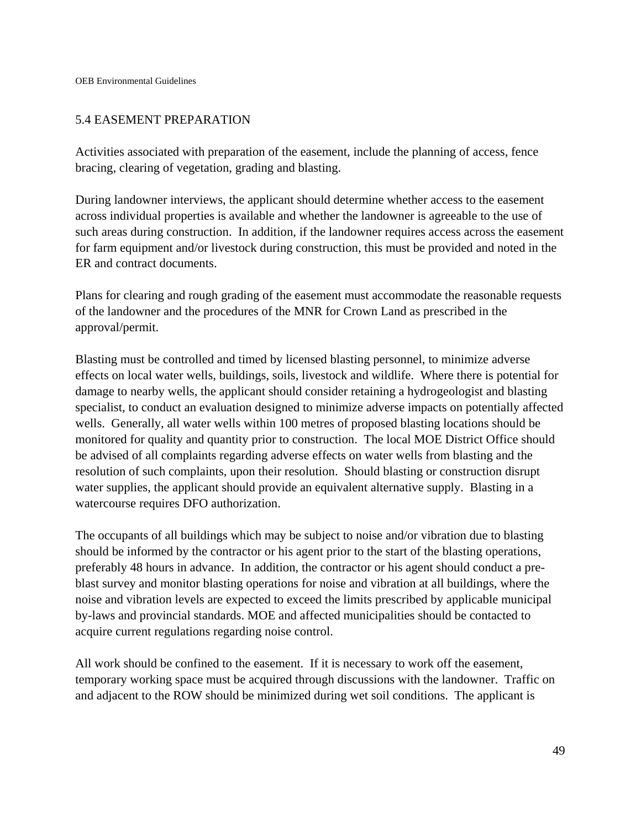### 5.4 EASEMENT PREPARATION

Activities associated with preparation of the easement, include the planning of access, fence bracing, clearing of vegetation, grading and blasting.

During landowner interviews, the applicant should determine whether access to the easement across individual properties is available and whether the landowner is agreeable to the use of such areas during construction. In addition, if the landowner requires access across the easement for farm equipment and/or livestock during construction, this must be provided and noted in the ER and contract documents.

Plans for clearing and rough grading of the easement must accommodate the reasonable requests of the landowner and the procedures of the MNR for Crown Land as prescribed in the approval/permit.

Blasting must be controlled and timed by licensed blasting personnel, to minimize adverse effects on local water wells, buildings, soils, livestock and wildlife. Where there is potential for damage to nearby wells, the applicant should consider retaining a hydrogeologist and blasting specialist, to conduct an evaluation designed to minimize adverse impacts on potentially affected wells. Generally, all water wells within 100 metres of proposed blasting locations should be monitored for quality and quantity prior to construction. The local MOE District Office should be advised of all complaints regarding adverse effects on water wells from blasting and the resolution of such complaints, upon their resolution. Should blasting or construction disrupt water supplies, the applicant should provide an equivalent alternative supply. Blasting in a watercourse requires DFO authorization.

The occupants of all buildings which may be subject to noise and/or vibration due to blasting should be informed by the contractor or his agent prior to the start of the blasting operations, preferably 48 hours in advance. In addition, the contractor or his agent should conduct a preblast survey and monitor blasting operations for noise and vibration at all buildings, where the noise and vibration levels are expected to exceed the limits prescribed by applicable municipal by-laws and provincial standards. MOE and affected municipalities should be contacted to acquire current regulations regarding noise control.

All work should be confined to the easement. If it is necessary to work off the easement, temporary working space must be acquired through discussions with the landowner. Traffic on and adjacent to the ROW should be minimized during wet soil conditions. The applicant is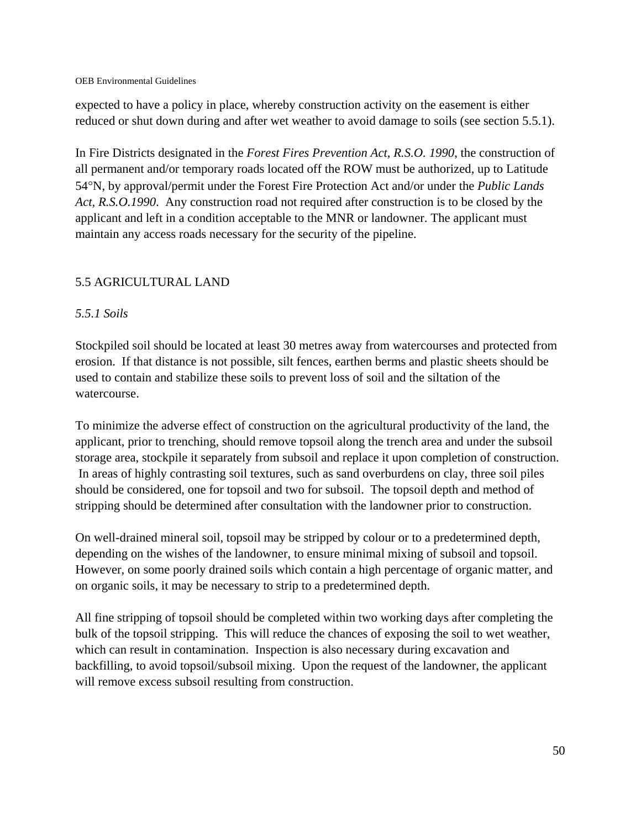expected to have a policy in place, whereby construction activity on the easement is either reduced or shut down during and after wet weather to avoid damage to soils (see section 5.5.1).

In Fire Districts designated in the *Forest Fires Prevention Act, R.S.O. 1990*, the construction of all permanent and/or temporary roads located off the ROW must be authorized, up to Latitude 54N, by approval/permit under the Forest Fire Protection Act and/or under the *Public Lands Act, R.S.O.1990*. Any construction road not required after construction is to be closed by the applicant and left in a condition acceptable to the MNR or landowner. The applicant must maintain any access roads necessary for the security of the pipeline.

# 5.5 AGRICULTURAL LAND

# *5.5.1 Soils*

Stockpiled soil should be located at least 30 metres away from watercourses and protected from erosion. If that distance is not possible, silt fences, earthen berms and plastic sheets should be used to contain and stabilize these soils to prevent loss of soil and the siltation of the watercourse.

To minimize the adverse effect of construction on the agricultural productivity of the land, the applicant, prior to trenching, should remove topsoil along the trench area and under the subsoil storage area, stockpile it separately from subsoil and replace it upon completion of construction. In areas of highly contrasting soil textures, such as sand overburdens on clay, three soil piles should be considered, one for topsoil and two for subsoil. The topsoil depth and method of stripping should be determined after consultation with the landowner prior to construction.

On well-drained mineral soil, topsoil may be stripped by colour or to a predetermined depth, depending on the wishes of the landowner, to ensure minimal mixing of subsoil and topsoil. However, on some poorly drained soils which contain a high percentage of organic matter, and on organic soils, it may be necessary to strip to a predetermined depth.

All fine stripping of topsoil should be completed within two working days after completing the bulk of the topsoil stripping. This will reduce the chances of exposing the soil to wet weather, which can result in contamination. Inspection is also necessary during excavation and backfilling, to avoid topsoil/subsoil mixing. Upon the request of the landowner, the applicant will remove excess subsoil resulting from construction.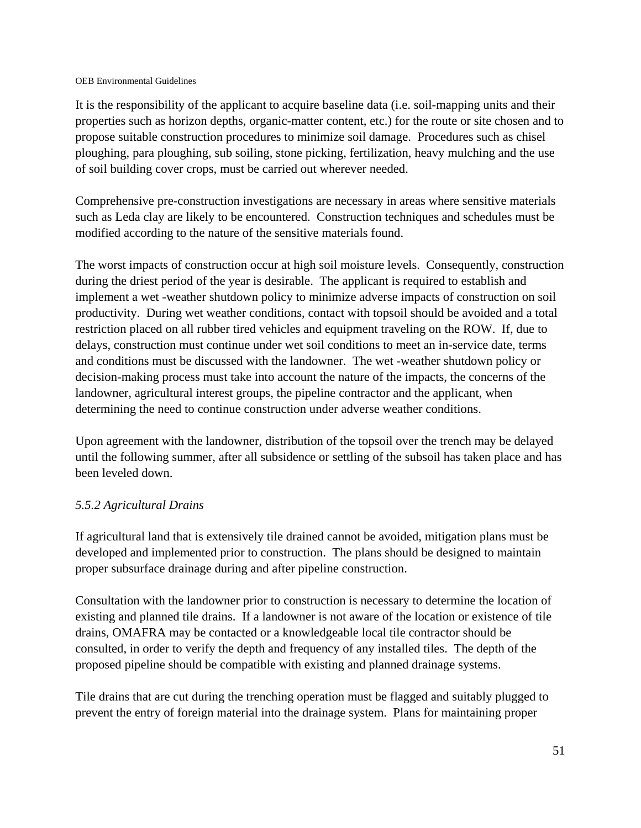It is the responsibility of the applicant to acquire baseline data (i.e. soil-mapping units and their properties such as horizon depths, organic-matter content, etc.) for the route or site chosen and to propose suitable construction procedures to minimize soil damage. Procedures such as chisel ploughing, para ploughing, sub soiling, stone picking, fertilization, heavy mulching and the use of soil building cover crops, must be carried out wherever needed.

Comprehensive pre-construction investigations are necessary in areas where sensitive materials such as Leda clay are likely to be encountered. Construction techniques and schedules must be modified according to the nature of the sensitive materials found.

The worst impacts of construction occur at high soil moisture levels. Consequently, construction during the driest period of the year is desirable. The applicant is required to establish and implement a wet -weather shutdown policy to minimize adverse impacts of construction on soil productivity. During wet weather conditions, contact with topsoil should be avoided and a total restriction placed on all rubber tired vehicles and equipment traveling on the ROW. If, due to delays, construction must continue under wet soil conditions to meet an in-service date, terms and conditions must be discussed with the landowner. The wet -weather shutdown policy or decision-making process must take into account the nature of the impacts, the concerns of the landowner, agricultural interest groups, the pipeline contractor and the applicant, when determining the need to continue construction under adverse weather conditions.

Upon agreement with the landowner, distribution of the topsoil over the trench may be delayed until the following summer, after all subsidence or settling of the subsoil has taken place and has been leveled down.

### *5.5.2 Agricultural Drains*

If agricultural land that is extensively tile drained cannot be avoided, mitigation plans must be developed and implemented prior to construction. The plans should be designed to maintain proper subsurface drainage during and after pipeline construction.

Consultation with the landowner prior to construction is necessary to determine the location of existing and planned tile drains. If a landowner is not aware of the location or existence of tile drains, OMAFRA may be contacted or a knowledgeable local tile contractor should be consulted, in order to verify the depth and frequency of any installed tiles. The depth of the proposed pipeline should be compatible with existing and planned drainage systems.

Tile drains that are cut during the trenching operation must be flagged and suitably plugged to prevent the entry of foreign material into the drainage system. Plans for maintaining proper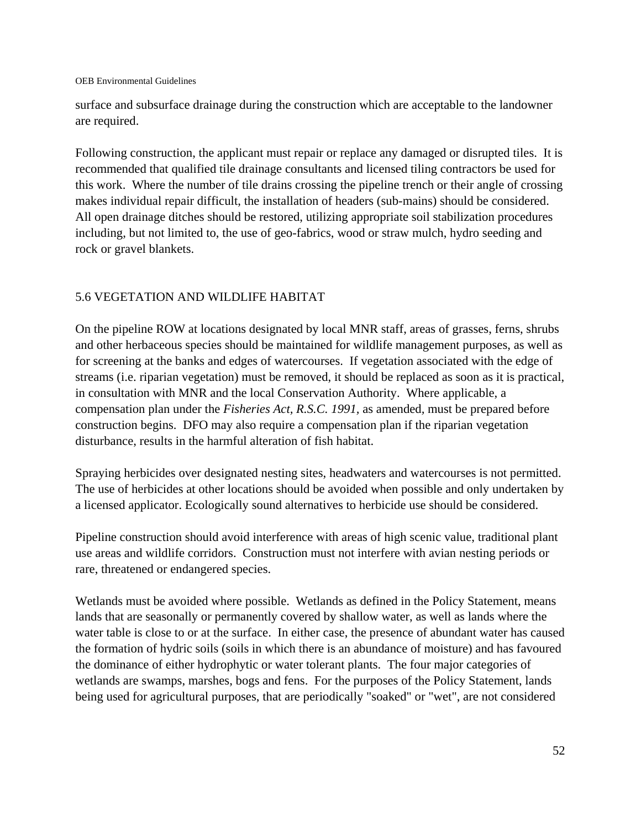surface and subsurface drainage during the construction which are acceptable to the landowner are required.

Following construction, the applicant must repair or replace any damaged or disrupted tiles. It is recommended that qualified tile drainage consultants and licensed tiling contractors be used for this work. Where the number of tile drains crossing the pipeline trench or their angle of crossing makes individual repair difficult, the installation of headers (sub-mains) should be considered. All open drainage ditches should be restored, utilizing appropriate soil stabilization procedures including, but not limited to, the use of geo-fabrics, wood or straw mulch, hydro seeding and rock or gravel blankets.

### 5.6 VEGETATION AND WILDLIFE HABITAT

On the pipeline ROW at locations designated by local MNR staff, areas of grasses, ferns, shrubs and other herbaceous species should be maintained for wildlife management purposes, as well as for screening at the banks and edges of watercourses. If vegetation associated with the edge of streams (i.e. riparian vegetation) must be removed, it should be replaced as soon as it is practical, in consultation with MNR and the local Conservation Authority. Where applicable, a compensation plan under the *Fisheries Act, R.S.C. 1991,* as amended*,* must be prepared before construction begins. DFO may also require a compensation plan if the riparian vegetation disturbance, results in the harmful alteration of fish habitat.

Spraying herbicides over designated nesting sites, headwaters and watercourses is not permitted. The use of herbicides at other locations should be avoided when possible and only undertaken by a licensed applicator. Ecologically sound alternatives to herbicide use should be considered.

Pipeline construction should avoid interference with areas of high scenic value, traditional plant use areas and wildlife corridors. Construction must not interfere with avian nesting periods or rare, threatened or endangered species.

Wetlands must be avoided where possible. Wetlands as defined in the Policy Statement, means lands that are seasonally or permanently covered by shallow water, as well as lands where the water table is close to or at the surface. In either case, the presence of abundant water has caused the formation of hydric soils (soils in which there is an abundance of moisture) and has favoured the dominance of either hydrophytic or water tolerant plants. The four major categories of wetlands are swamps, marshes, bogs and fens. For the purposes of the Policy Statement, lands being used for agricultural purposes, that are periodically "soaked" or "wet", are not considered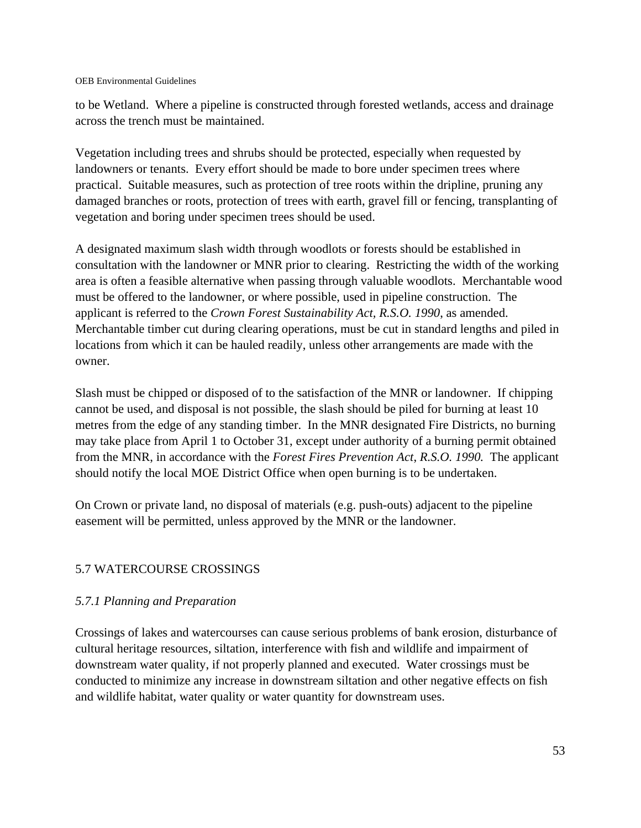to be Wetland. Where a pipeline is constructed through forested wetlands, access and drainage across the trench must be maintained.

Vegetation including trees and shrubs should be protected, especially when requested by landowners or tenants. Every effort should be made to bore under specimen trees where practical. Suitable measures, such as protection of tree roots within the dripline, pruning any damaged branches or roots, protection of trees with earth, gravel fill or fencing, transplanting of vegetation and boring under specimen trees should be used.

A designated maximum slash width through woodlots or forests should be established in consultation with the landowner or MNR prior to clearing. Restricting the width of the working area is often a feasible alternative when passing through valuable woodlots. Merchantable wood must be offered to the landowner, or where possible, used in pipeline construction. The applicant is referred to the *Crown Forest Sustainability Act, R.S.O. 1990*, as amended. Merchantable timber cut during clearing operations, must be cut in standard lengths and piled in locations from which it can be hauled readily, unless other arrangements are made with the owner.

Slash must be chipped or disposed of to the satisfaction of the MNR or landowner. If chipping cannot be used, and disposal is not possible, the slash should be piled for burning at least 10 metres from the edge of any standing timber. In the MNR designated Fire Districts, no burning may take place from April 1 to October 31, except under authority of a burning permit obtained from the MNR, in accordance with the *Forest Fires Prevention Act*, *R.S.O. 1990.* The applicant should notify the local MOE District Office when open burning is to be undertaken.

On Crown or private land, no disposal of materials (e.g. push-outs) adjacent to the pipeline easement will be permitted, unless approved by the MNR or the landowner.

# 5.7 WATERCOURSE CROSSINGS

### *5.7.1 Planning and Preparation*

Crossings of lakes and watercourses can cause serious problems of bank erosion, disturbance of cultural heritage resources, siltation, interference with fish and wildlife and impairment of downstream water quality, if not properly planned and executed. Water crossings must be conducted to minimize any increase in downstream siltation and other negative effects on fish and wildlife habitat, water quality or water quantity for downstream uses.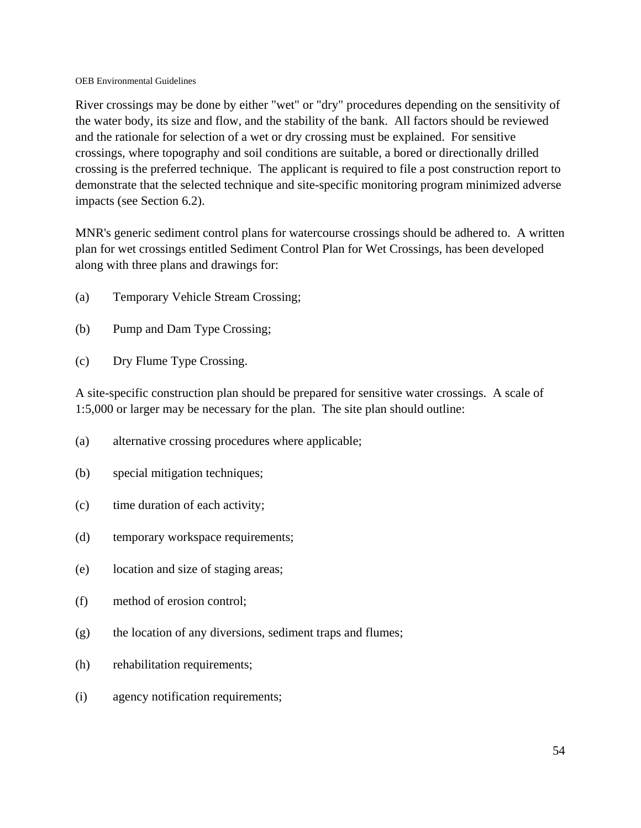River crossings may be done by either "wet" or "dry" procedures depending on the sensitivity of the water body, its size and flow, and the stability of the bank. All factors should be reviewed and the rationale for selection of a wet or dry crossing must be explained. For sensitive crossings, where topography and soil conditions are suitable, a bored or directionally drilled crossing is the preferred technique. The applicant is required to file a post construction report to demonstrate that the selected technique and site-specific monitoring program minimized adverse impacts (see Section 6.2).

MNR's generic sediment control plans for watercourse crossings should be adhered to. A written plan for wet crossings entitled Sediment Control Plan for Wet Crossings, has been developed along with three plans and drawings for:

- (a) Temporary Vehicle Stream Crossing;
- (b) Pump and Dam Type Crossing;
- (c) Dry Flume Type Crossing.

A site-specific construction plan should be prepared for sensitive water crossings. A scale of 1:5,000 or larger may be necessary for the plan. The site plan should outline:

- (a) alternative crossing procedures where applicable;
- (b) special mitigation techniques;
- (c) time duration of each activity;
- (d) temporary workspace requirements;
- (e) location and size of staging areas;
- (f) method of erosion control;
- (g) the location of any diversions, sediment traps and flumes;
- (h) rehabilitation requirements;
- (i) agency notification requirements;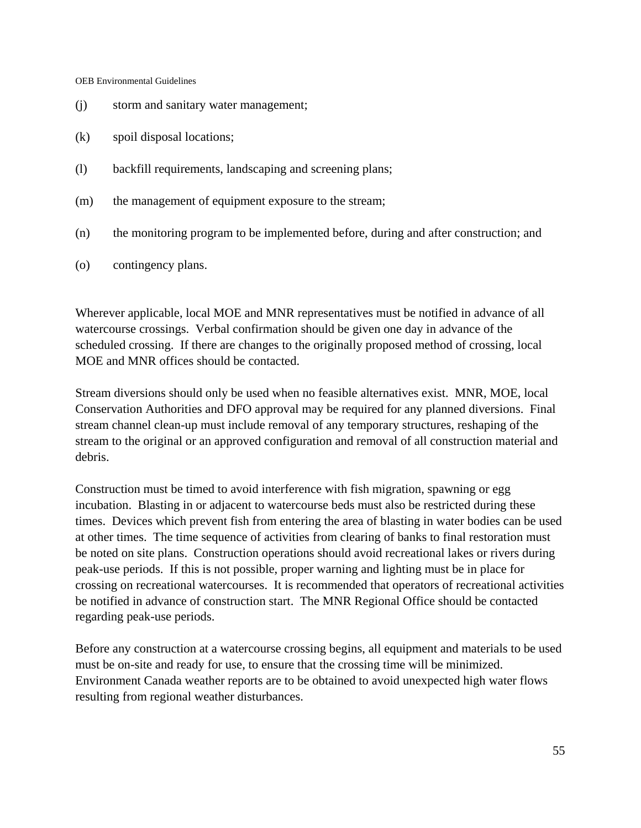- (j) storm and sanitary water management;
- (k) spoil disposal locations;
- (l) backfill requirements, landscaping and screening plans;
- (m) the management of equipment exposure to the stream;
- (n) the monitoring program to be implemented before, during and after construction; and
- (o) contingency plans.

Wherever applicable, local MOE and MNR representatives must be notified in advance of all watercourse crossings. Verbal confirmation should be given one day in advance of the scheduled crossing. If there are changes to the originally proposed method of crossing, local MOE and MNR offices should be contacted.

Stream diversions should only be used when no feasible alternatives exist. MNR, MOE, local Conservation Authorities and DFO approval may be required for any planned diversions. Final stream channel clean-up must include removal of any temporary structures, reshaping of the stream to the original or an approved configuration and removal of all construction material and debris.

Construction must be timed to avoid interference with fish migration, spawning or egg incubation. Blasting in or adjacent to watercourse beds must also be restricted during these times. Devices which prevent fish from entering the area of blasting in water bodies can be used at other times. The time sequence of activities from clearing of banks to final restoration must be noted on site plans. Construction operations should avoid recreational lakes or rivers during peak-use periods. If this is not possible, proper warning and lighting must be in place for crossing on recreational watercourses. It is recommended that operators of recreational activities be notified in advance of construction start. The MNR Regional Office should be contacted regarding peak-use periods.

Before any construction at a watercourse crossing begins, all equipment and materials to be used must be on-site and ready for use, to ensure that the crossing time will be minimized. Environment Canada weather reports are to be obtained to avoid unexpected high water flows resulting from regional weather disturbances.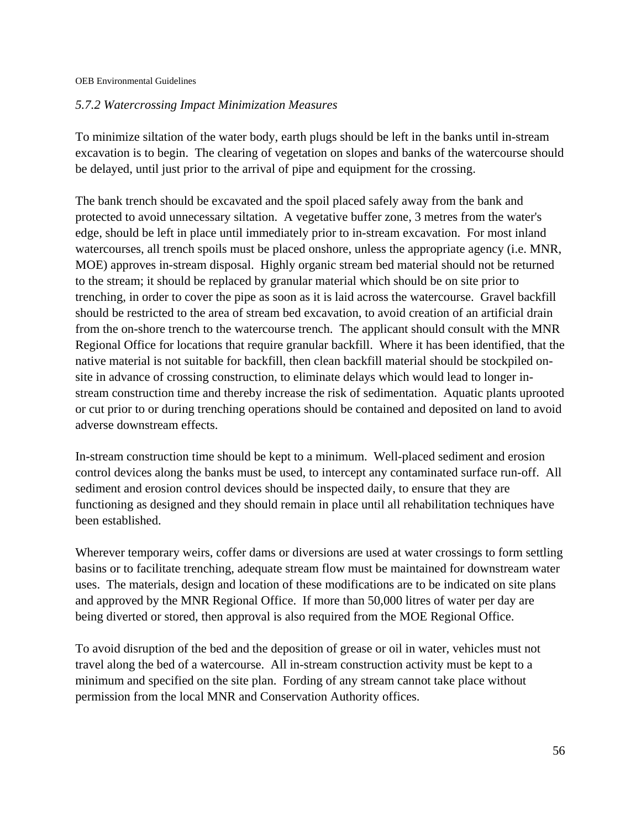#### *5.7.2 Watercrossing Impact Minimization Measures*

To minimize siltation of the water body, earth plugs should be left in the banks until in-stream excavation is to begin. The clearing of vegetation on slopes and banks of the watercourse should be delayed, until just prior to the arrival of pipe and equipment for the crossing.

The bank trench should be excavated and the spoil placed safely away from the bank and protected to avoid unnecessary siltation. A vegetative buffer zone, 3 metres from the water's edge, should be left in place until immediately prior to in-stream excavation. For most inland watercourses, all trench spoils must be placed onshore, unless the appropriate agency (i.e. MNR, MOE) approves in-stream disposal. Highly organic stream bed material should not be returned to the stream; it should be replaced by granular material which should be on site prior to trenching, in order to cover the pipe as soon as it is laid across the watercourse. Gravel backfill should be restricted to the area of stream bed excavation, to avoid creation of an artificial drain from the on-shore trench to the watercourse trench. The applicant should consult with the MNR Regional Office for locations that require granular backfill. Where it has been identified, that the native material is not suitable for backfill, then clean backfill material should be stockpiled onsite in advance of crossing construction, to eliminate delays which would lead to longer instream construction time and thereby increase the risk of sedimentation. Aquatic plants uprooted or cut prior to or during trenching operations should be contained and deposited on land to avoid adverse downstream effects.

In-stream construction time should be kept to a minimum. Well-placed sediment and erosion control devices along the banks must be used, to intercept any contaminated surface run-off. All sediment and erosion control devices should be inspected daily, to ensure that they are functioning as designed and they should remain in place until all rehabilitation techniques have been established.

Wherever temporary weirs, coffer dams or diversions are used at water crossings to form settling basins or to facilitate trenching, adequate stream flow must be maintained for downstream water uses. The materials, design and location of these modifications are to be indicated on site plans and approved by the MNR Regional Office. If more than 50,000 litres of water per day are being diverted or stored, then approval is also required from the MOE Regional Office.

To avoid disruption of the bed and the deposition of grease or oil in water, vehicles must not travel along the bed of a watercourse. All in-stream construction activity must be kept to a minimum and specified on the site plan. Fording of any stream cannot take place without permission from the local MNR and Conservation Authority offices.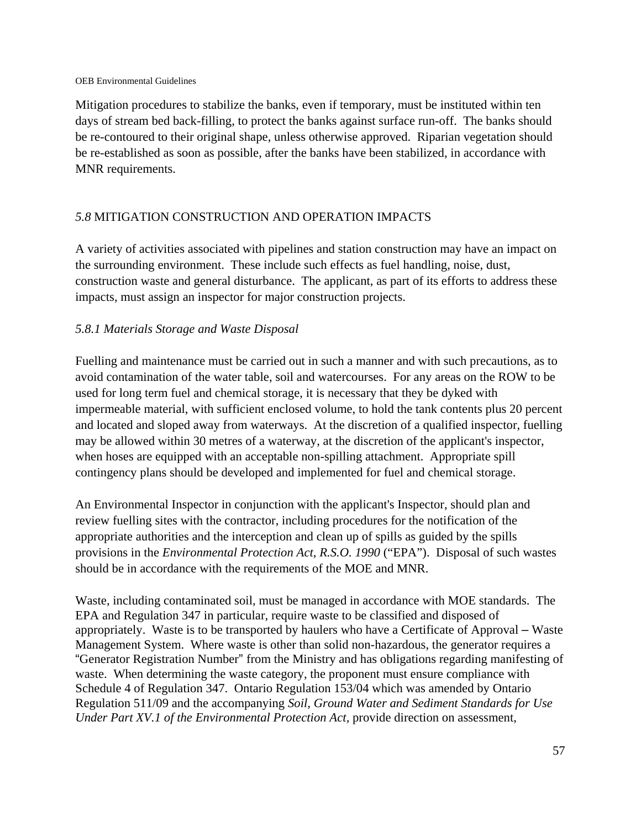Mitigation procedures to stabilize the banks, even if temporary, must be instituted within ten days of stream bed back-filling, to protect the banks against surface run-off. The banks should be re-contoured to their original shape, unless otherwise approved. Riparian vegetation should be re-established as soon as possible, after the banks have been stabilized, in accordance with MNR requirements.

# *5.8* MITIGATION CONSTRUCTION AND OPERATION IMPACTS

A variety of activities associated with pipelines and station construction may have an impact on the surrounding environment. These include such effects as fuel handling, noise, dust, construction waste and general disturbance. The applicant, as part of its efforts to address these impacts, must assign an inspector for major construction projects.

# *5.8.1 Materials Storage and Waste Disposal*

Fuelling and maintenance must be carried out in such a manner and with such precautions, as to avoid contamination of the water table, soil and watercourses. For any areas on the ROW to be used for long term fuel and chemical storage, it is necessary that they be dyked with impermeable material, with sufficient enclosed volume, to hold the tank contents plus 20 percent and located and sloped away from waterways. At the discretion of a qualified inspector, fuelling may be allowed within 30 metres of a waterway, at the discretion of the applicant's inspector, when hoses are equipped with an acceptable non-spilling attachment. Appropriate spill contingency plans should be developed and implemented for fuel and chemical storage.

An Environmental Inspector in conjunction with the applicant's Inspector, should plan and review fuelling sites with the contractor, including procedures for the notification of the appropriate authorities and the interception and clean up of spills as guided by the spills provisions in the *Environmental Protection Act*, *R.S.O. 1990* ("EPA"). Disposal of such wastes should be in accordance with the requirements of the MOE and MNR.

Waste, including contaminated soil, must be managed in accordance with MOE standards. The EPA and Regulation 347 in particular, require waste to be classified and disposed of appropriately. Waste is to be transported by haulers who have a Certificate of Approval – Waste Management System. Where waste is other than solid non-hazardous, the generator requires a "Generator Registration Number" from the Ministry and has obligations regarding manifesting of waste. When determining the waste category, the proponent must ensure compliance with Schedule 4 of Regulation 347. Ontario Regulation 153/04 which was amended by Ontario Regulation 511/09 and the accompanying *Soil, Ground Water and Sediment Standards for Use Under Part XV.1 of the Environmental Protection Act,* provide direction on assessment,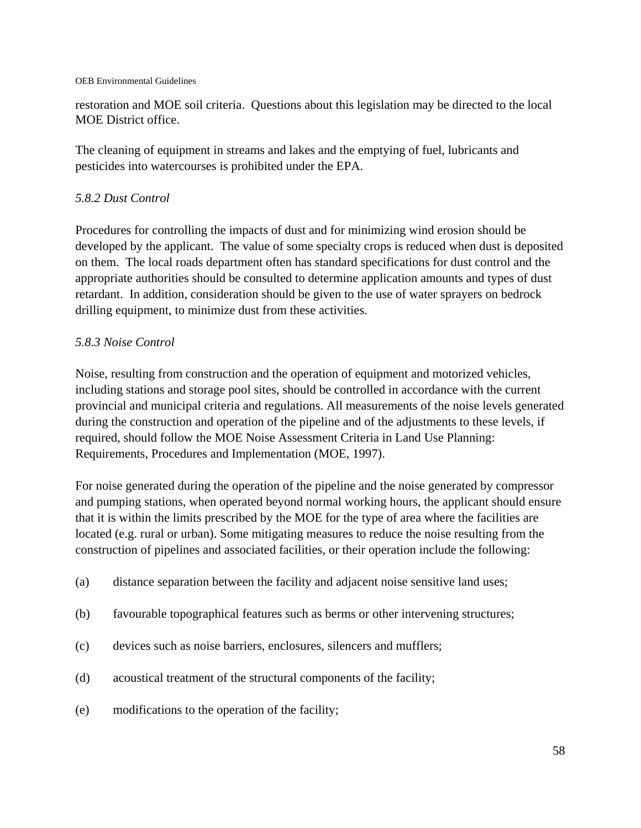restoration and MOE soil criteria. Questions about this legislation may be directed to the local MOE District office.

The cleaning of equipment in streams and lakes and the emptying of fuel, lubricants and pesticides into watercourses is prohibited under the EPA.

#### *5.8.2 Dust Control*

Procedures for controlling the impacts of dust and for minimizing wind erosion should be developed by the applicant. The value of some specialty crops is reduced when dust is deposited on them. The local roads department often has standard specifications for dust control and the appropriate authorities should be consulted to determine application amounts and types of dust retardant. In addition, consideration should be given to the use of water sprayers on bedrock drilling equipment, to minimize dust from these activities.

#### *5.8.3 Noise Control*

Noise, resulting from construction and the operation of equipment and motorized vehicles, including stations and storage pool sites, should be controlled in accordance with the current provincial and municipal criteria and regulations. All measurements of the noise levels generated during the construction and operation of the pipeline and of the adjustments to these levels, if required, should follow the MOE Noise Assessment Criteria in Land Use Planning: Requirements, Procedures and Implementation (MOE, 1997).

For noise generated during the operation of the pipeline and the noise generated by compressor and pumping stations, when operated beyond normal working hours, the applicant should ensure that it is within the limits prescribed by the MOE for the type of area where the facilities are located (e.g. rural or urban). Some mitigating measures to reduce the noise resulting from the construction of pipelines and associated facilities, or their operation include the following:

- (a) distance separation between the facility and adjacent noise sensitive land uses;
- (b) favourable topographical features such as berms or other intervening structures;
- (c) devices such as noise barriers, enclosures, silencers and mufflers;
- (d) acoustical treatment of the structural components of the facility;
- (e) modifications to the operation of the facility;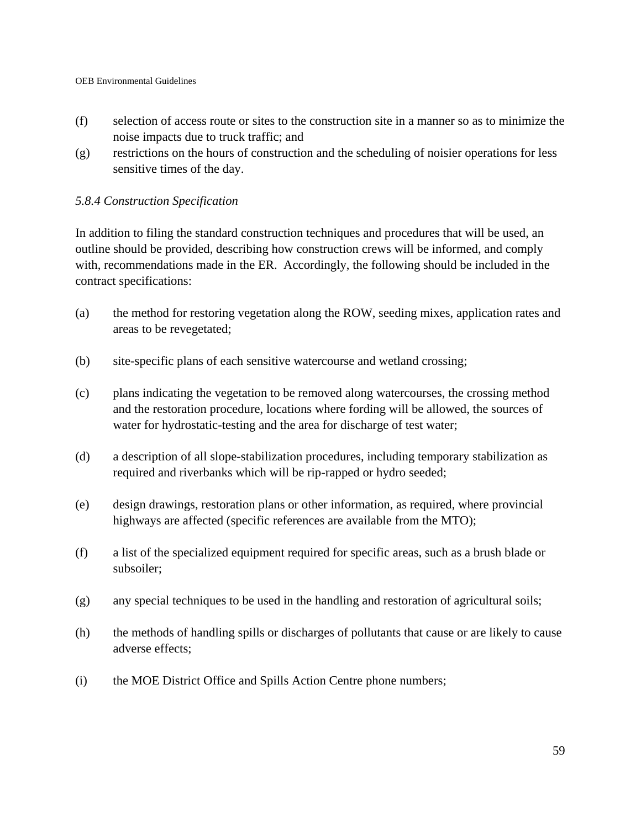- (f) selection of access route or sites to the construction site in a manner so as to minimize the noise impacts due to truck traffic; and
- (g) restrictions on the hours of construction and the scheduling of noisier operations for less sensitive times of the day.

#### *5.8.4 Construction Specification*

In addition to filing the standard construction techniques and procedures that will be used, an outline should be provided, describing how construction crews will be informed, and comply with, recommendations made in the ER. Accordingly, the following should be included in the contract specifications:

- (a) the method for restoring vegetation along the ROW, seeding mixes, application rates and areas to be revegetated;
- (b) site-specific plans of each sensitive watercourse and wetland crossing;
- (c) plans indicating the vegetation to be removed along watercourses, the crossing method and the restoration procedure, locations where fording will be allowed, the sources of water for hydrostatic-testing and the area for discharge of test water;
- (d) a description of all slope-stabilization procedures, including temporary stabilization as required and riverbanks which will be rip-rapped or hydro seeded;
- (e) design drawings, restoration plans or other information, as required, where provincial highways are affected (specific references are available from the MTO);
- (f) a list of the specialized equipment required for specific areas, such as a brush blade or subsoiler;
- (g) any special techniques to be used in the handling and restoration of agricultural soils;
- (h) the methods of handling spills or discharges of pollutants that cause or are likely to cause adverse effects;
- (i) the MOE District Office and Spills Action Centre phone numbers;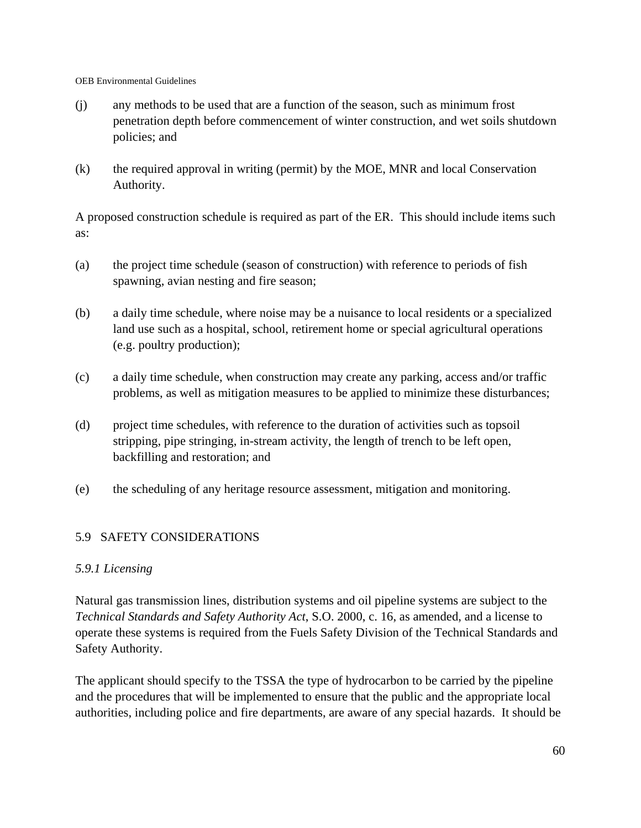- (j) any methods to be used that are a function of the season, such as minimum frost penetration depth before commencement of winter construction, and wet soils shutdown policies; and
- (k) the required approval in writing (permit) by the MOE, MNR and local Conservation Authority.

A proposed construction schedule is required as part of the ER. This should include items such as:

- (a) the project time schedule (season of construction) with reference to periods of fish spawning, avian nesting and fire season;
- (b) a daily time schedule, where noise may be a nuisance to local residents or a specialized land use such as a hospital, school, retirement home or special agricultural operations (e.g. poultry production);
- (c) a daily time schedule, when construction may create any parking, access and/or traffic problems, as well as mitigation measures to be applied to minimize these disturbances;
- (d) project time schedules, with reference to the duration of activities such as topsoil stripping, pipe stringing, in-stream activity, the length of trench to be left open, backfilling and restoration; and
- (e) the scheduling of any heritage resource assessment, mitigation and monitoring.

### 5.9 SAFETY CONSIDERATIONS

### *5.9.1 Licensing*

Natural gas transmission lines, distribution systems and oil pipeline systems are subject to the *Technical Standards and Safety Authority Act*, S.O. 2000, c. 16, as amended, and a license to operate these systems is required from the Fuels Safety Division of the Technical Standards and Safety Authority.

The applicant should specify to the TSSA the type of hydrocarbon to be carried by the pipeline and the procedures that will be implemented to ensure that the public and the appropriate local authorities, including police and fire departments, are aware of any special hazards. It should be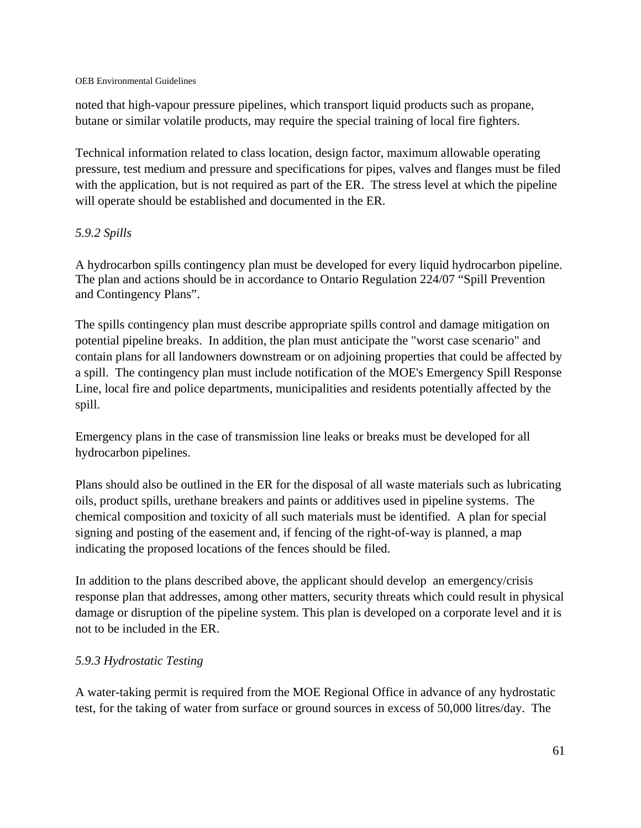noted that high-vapour pressure pipelines, which transport liquid products such as propane, butane or similar volatile products, may require the special training of local fire fighters.

Technical information related to class location, design factor, maximum allowable operating pressure, test medium and pressure and specifications for pipes, valves and flanges must be filed with the application, but is not required as part of the ER. The stress level at which the pipeline will operate should be established and documented in the ER.

# *5.9.2 Spills*

A hydrocarbon spills contingency plan must be developed for every liquid hydrocarbon pipeline. The plan and actions should be in accordance to Ontario Regulation 224/07 "Spill Prevention and Contingency Plans".

The spills contingency plan must describe appropriate spills control and damage mitigation on potential pipeline breaks. In addition, the plan must anticipate the "worst case scenario" and contain plans for all landowners downstream or on adjoining properties that could be affected by a spill. The contingency plan must include notification of the MOE's Emergency Spill Response Line, local fire and police departments, municipalities and residents potentially affected by the spill.

Emergency plans in the case of transmission line leaks or breaks must be developed for all hydrocarbon pipelines.

Plans should also be outlined in the ER for the disposal of all waste materials such as lubricating oils, product spills, urethane breakers and paints or additives used in pipeline systems. The chemical composition and toxicity of all such materials must be identified. A plan for special signing and posting of the easement and, if fencing of the right-of-way is planned, a map indicating the proposed locations of the fences should be filed.

In addition to the plans described above, the applicant should develop an emergency/crisis response plan that addresses, among other matters, security threats which could result in physical damage or disruption of the pipeline system. This plan is developed on a corporate level and it is not to be included in the ER.

### *5.9.3 Hydrostatic Testing*

A water-taking permit is required from the MOE Regional Office in advance of any hydrostatic test, for the taking of water from surface or ground sources in excess of 50,000 litres/day. The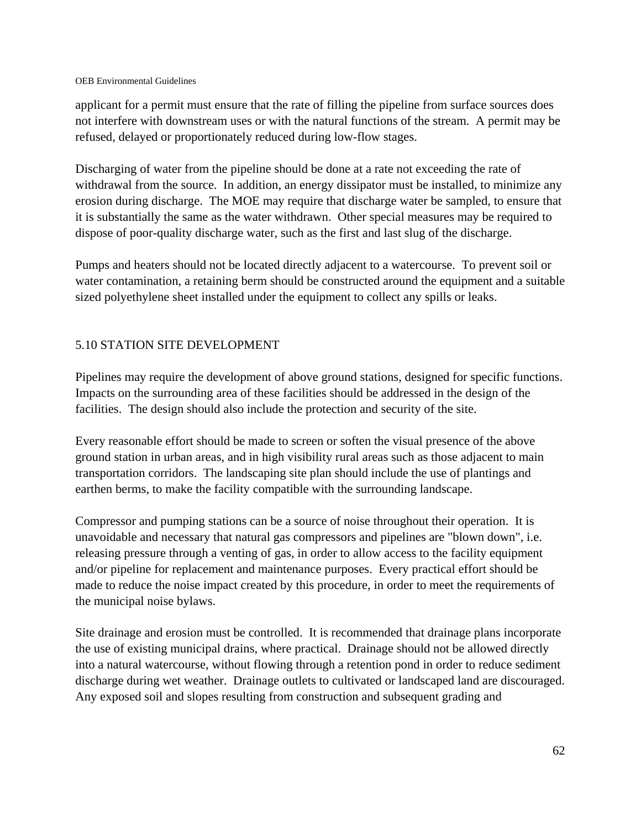applicant for a permit must ensure that the rate of filling the pipeline from surface sources does not interfere with downstream uses or with the natural functions of the stream. A permit may be refused, delayed or proportionately reduced during low-flow stages.

Discharging of water from the pipeline should be done at a rate not exceeding the rate of withdrawal from the source. In addition, an energy dissipator must be installed, to minimize any erosion during discharge. The MOE may require that discharge water be sampled, to ensure that it is substantially the same as the water withdrawn. Other special measures may be required to dispose of poor-quality discharge water, such as the first and last slug of the discharge.

Pumps and heaters should not be located directly adjacent to a watercourse. To prevent soil or water contamination, a retaining berm should be constructed around the equipment and a suitable sized polyethylene sheet installed under the equipment to collect any spills or leaks.

### 5.10 STATION SITE DEVELOPMENT

Pipelines may require the development of above ground stations, designed for specific functions. Impacts on the surrounding area of these facilities should be addressed in the design of the facilities. The design should also include the protection and security of the site.

Every reasonable effort should be made to screen or soften the visual presence of the above ground station in urban areas, and in high visibility rural areas such as those adjacent to main transportation corridors. The landscaping site plan should include the use of plantings and earthen berms, to make the facility compatible with the surrounding landscape.

Compressor and pumping stations can be a source of noise throughout their operation. It is unavoidable and necessary that natural gas compressors and pipelines are "blown down", i.e. releasing pressure through a venting of gas, in order to allow access to the facility equipment and/or pipeline for replacement and maintenance purposes. Every practical effort should be made to reduce the noise impact created by this procedure, in order to meet the requirements of the municipal noise bylaws.

Site drainage and erosion must be controlled. It is recommended that drainage plans incorporate the use of existing municipal drains, where practical. Drainage should not be allowed directly into a natural watercourse, without flowing through a retention pond in order to reduce sediment discharge during wet weather. Drainage outlets to cultivated or landscaped land are discouraged. Any exposed soil and slopes resulting from construction and subsequent grading and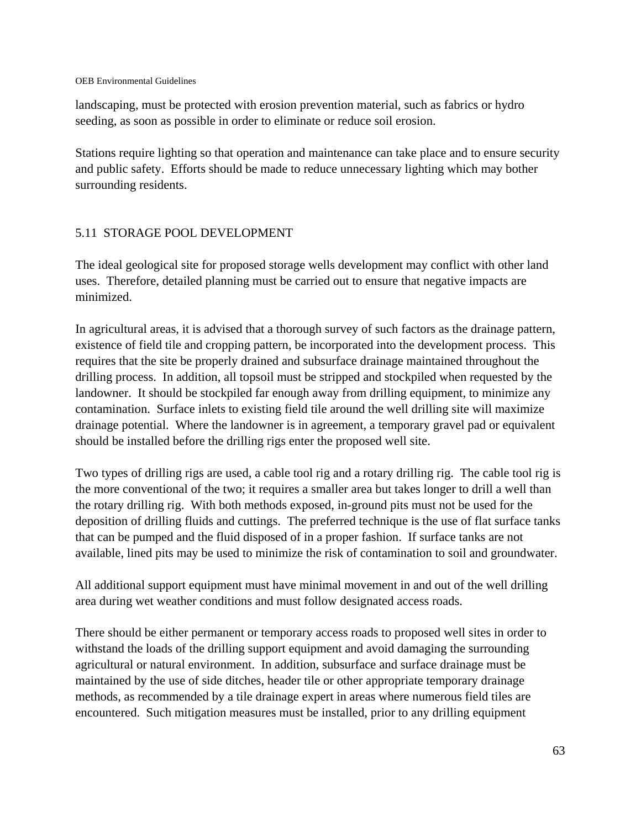landscaping, must be protected with erosion prevention material, such as fabrics or hydro seeding, as soon as possible in order to eliminate or reduce soil erosion.

Stations require lighting so that operation and maintenance can take place and to ensure security and public safety. Efforts should be made to reduce unnecessary lighting which may bother surrounding residents.

### 5.11 STORAGE POOL DEVELOPMENT

The ideal geological site for proposed storage wells development may conflict with other land uses. Therefore, detailed planning must be carried out to ensure that negative impacts are minimized.

In agricultural areas, it is advised that a thorough survey of such factors as the drainage pattern, existence of field tile and cropping pattern, be incorporated into the development process. This requires that the site be properly drained and subsurface drainage maintained throughout the drilling process. In addition, all topsoil must be stripped and stockpiled when requested by the landowner. It should be stockpiled far enough away from drilling equipment, to minimize any contamination. Surface inlets to existing field tile around the well drilling site will maximize drainage potential. Where the landowner is in agreement, a temporary gravel pad or equivalent should be installed before the drilling rigs enter the proposed well site.

Two types of drilling rigs are used, a cable tool rig and a rotary drilling rig. The cable tool rig is the more conventional of the two; it requires a smaller area but takes longer to drill a well than the rotary drilling rig. With both methods exposed, in-ground pits must not be used for the deposition of drilling fluids and cuttings. The preferred technique is the use of flat surface tanks that can be pumped and the fluid disposed of in a proper fashion. If surface tanks are not available, lined pits may be used to minimize the risk of contamination to soil and groundwater.

All additional support equipment must have minimal movement in and out of the well drilling area during wet weather conditions and must follow designated access roads.

There should be either permanent or temporary access roads to proposed well sites in order to withstand the loads of the drilling support equipment and avoid damaging the surrounding agricultural or natural environment. In addition, subsurface and surface drainage must be maintained by the use of side ditches, header tile or other appropriate temporary drainage methods, as recommended by a tile drainage expert in areas where numerous field tiles are encountered. Such mitigation measures must be installed, prior to any drilling equipment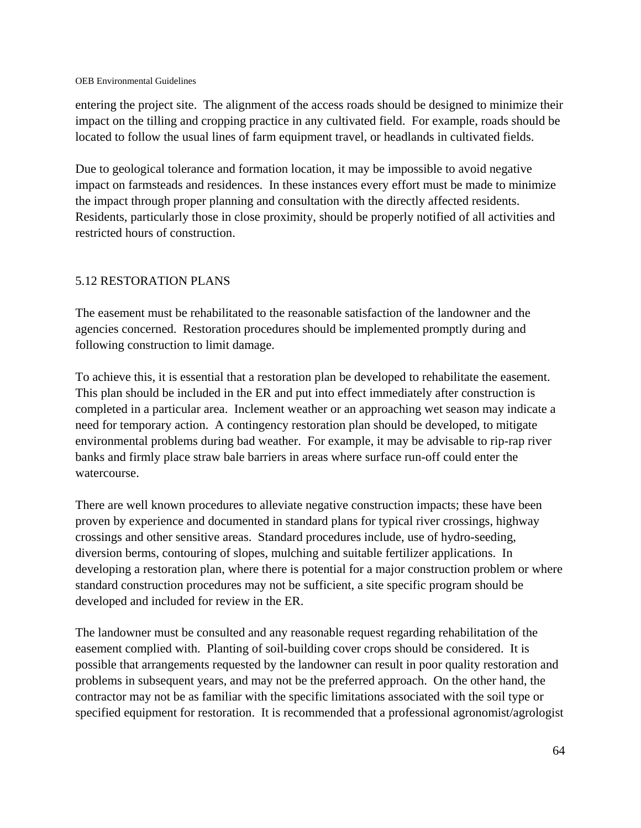entering the project site. The alignment of the access roads should be designed to minimize their impact on the tilling and cropping practice in any cultivated field. For example, roads should be located to follow the usual lines of farm equipment travel, or headlands in cultivated fields.

Due to geological tolerance and formation location, it may be impossible to avoid negative impact on farmsteads and residences. In these instances every effort must be made to minimize the impact through proper planning and consultation with the directly affected residents. Residents, particularly those in close proximity, should be properly notified of all activities and restricted hours of construction.

### 5.12 RESTORATION PLANS

The easement must be rehabilitated to the reasonable satisfaction of the landowner and the agencies concerned. Restoration procedures should be implemented promptly during and following construction to limit damage.

To achieve this, it is essential that a restoration plan be developed to rehabilitate the easement. This plan should be included in the ER and put into effect immediately after construction is completed in a particular area. Inclement weather or an approaching wet season may indicate a need for temporary action. A contingency restoration plan should be developed, to mitigate environmental problems during bad weather. For example, it may be advisable to rip-rap river banks and firmly place straw bale barriers in areas where surface run-off could enter the watercourse.

There are well known procedures to alleviate negative construction impacts; these have been proven by experience and documented in standard plans for typical river crossings, highway crossings and other sensitive areas. Standard procedures include, use of hydro-seeding, diversion berms, contouring of slopes, mulching and suitable fertilizer applications. In developing a restoration plan, where there is potential for a major construction problem or where standard construction procedures may not be sufficient, a site specific program should be developed and included for review in the ER.

The landowner must be consulted and any reasonable request regarding rehabilitation of the easement complied with. Planting of soil-building cover crops should be considered. It is possible that arrangements requested by the landowner can result in poor quality restoration and problems in subsequent years, and may not be the preferred approach. On the other hand, the contractor may not be as familiar with the specific limitations associated with the soil type or specified equipment for restoration. It is recommended that a professional agronomist/agrologist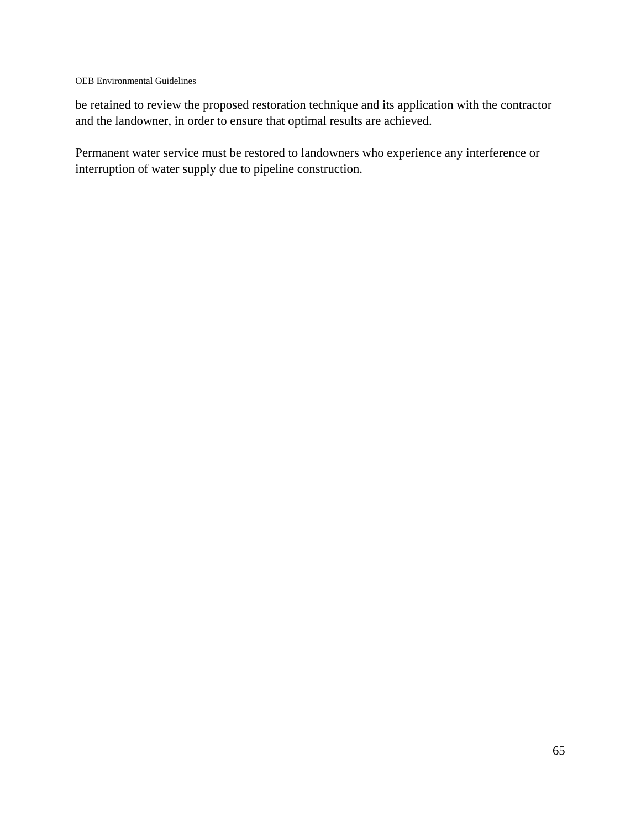be retained to review the proposed restoration technique and its application with the contractor and the landowner, in order to ensure that optimal results are achieved.

Permanent water service must be restored to landowners who experience any interference or interruption of water supply due to pipeline construction.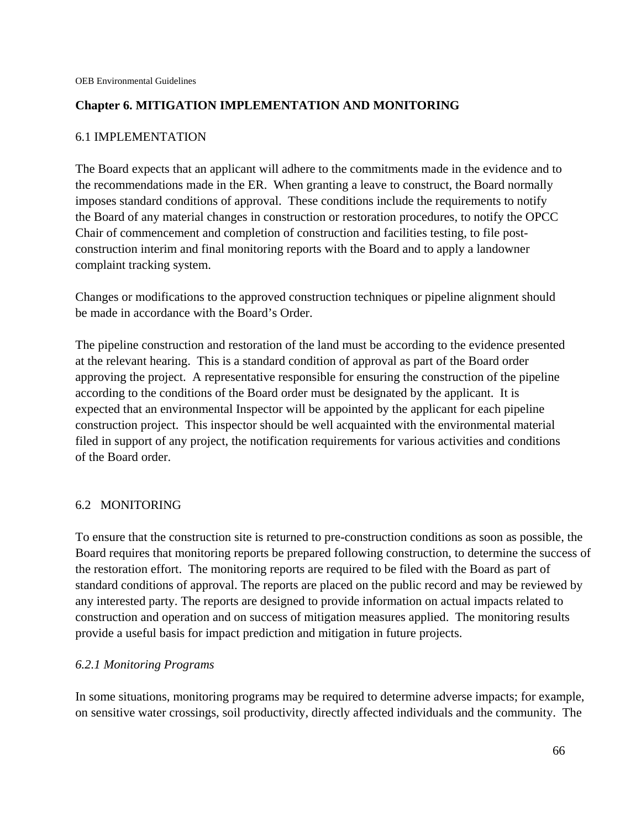### **Chapter 6. MITIGATION IMPLEMENTATION AND MONITORING**

## 6.1 IMPLEMENTATION

The Board expects that an applicant will adhere to the commitments made in the evidence and to the recommendations made in the ER. When granting a leave to construct, the Board normally imposes standard conditions of approval. These conditions include the requirements to notify the Board of any material changes in construction or restoration procedures, to notify the OPCC Chair of commencement and completion of construction and facilities testing, to file postconstruction interim and final monitoring reports with the Board and to apply a landowner complaint tracking system.

Changes or modifications to the approved construction techniques or pipeline alignment should be made in accordance with the Board's Order.

The pipeline construction and restoration of the land must be according to the evidence presented at the relevant hearing. This is a standard condition of approval as part of the Board order approving the project. A representative responsible for ensuring the construction of the pipeline according to the conditions of the Board order must be designated by the applicant. It is expected that an environmental Inspector will be appointed by the applicant for each pipeline construction project. This inspector should be well acquainted with the environmental material filed in support of any project, the notification requirements for various activities and conditions of the Board order.

### 6.2 MONITORING

To ensure that the construction site is returned to pre-construction conditions as soon as possible, the Board requires that monitoring reports be prepared following construction, to determine the success of the restoration effort. The monitoring reports are required to be filed with the Board as part of standard conditions of approval. The reports are placed on the public record and may be reviewed by any interested party. The reports are designed to provide information on actual impacts related to construction and operation and on success of mitigation measures applied. The monitoring results provide a useful basis for impact prediction and mitigation in future projects.

### *6.2.1 Monitoring Programs*

In some situations, monitoring programs may be required to determine adverse impacts; for example, on sensitive water crossings, soil productivity, directly affected individuals and the community. The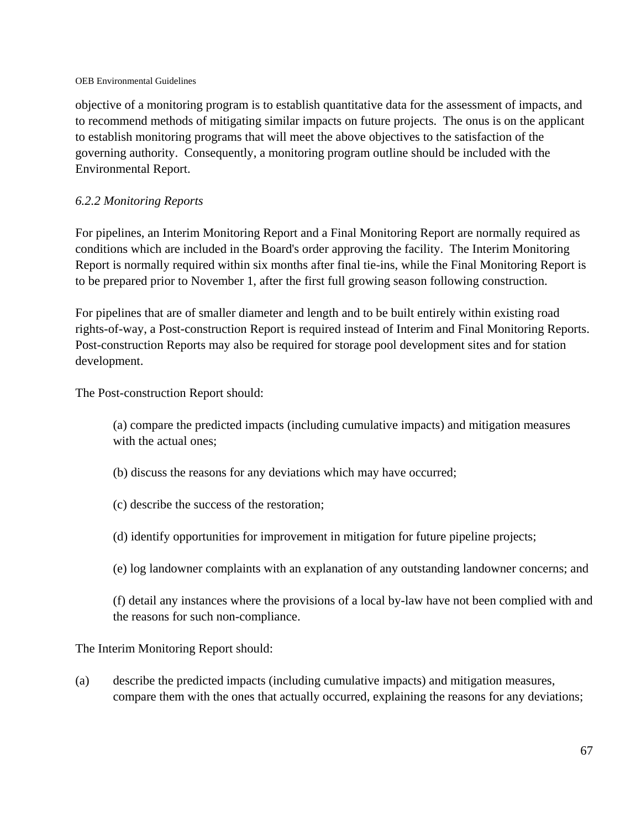objective of a monitoring program is to establish quantitative data for the assessment of impacts, and to recommend methods of mitigating similar impacts on future projects. The onus is on the applicant to establish monitoring programs that will meet the above objectives to the satisfaction of the governing authority. Consequently, a monitoring program outline should be included with the Environmental Report.

## *6.2.2 Monitoring Reports*

For pipelines, an Interim Monitoring Report and a Final Monitoring Report are normally required as conditions which are included in the Board's order approving the facility. The Interim Monitoring Report is normally required within six months after final tie-ins, while the Final Monitoring Report is to be prepared prior to November 1, after the first full growing season following construction.

For pipelines that are of smaller diameter and length and to be built entirely within existing road rights-of-way, a Post-construction Report is required instead of Interim and Final Monitoring Reports. Post-construction Reports may also be required for storage pool development sites and for station development.

The Post-construction Report should:

(a) compare the predicted impacts (including cumulative impacts) and mitigation measures with the actual ones;

- (b) discuss the reasons for any deviations which may have occurred;
- (c) describe the success of the restoration;
- (d) identify opportunities for improvement in mitigation for future pipeline projects;
- (e) log landowner complaints with an explanation of any outstanding landowner concerns; and

(f) detail any instances where the provisions of a local by-law have not been complied with and the reasons for such non-compliance.

The Interim Monitoring Report should:

(a) describe the predicted impacts (including cumulative impacts) and mitigation measures, compare them with the ones that actually occurred, explaining the reasons for any deviations;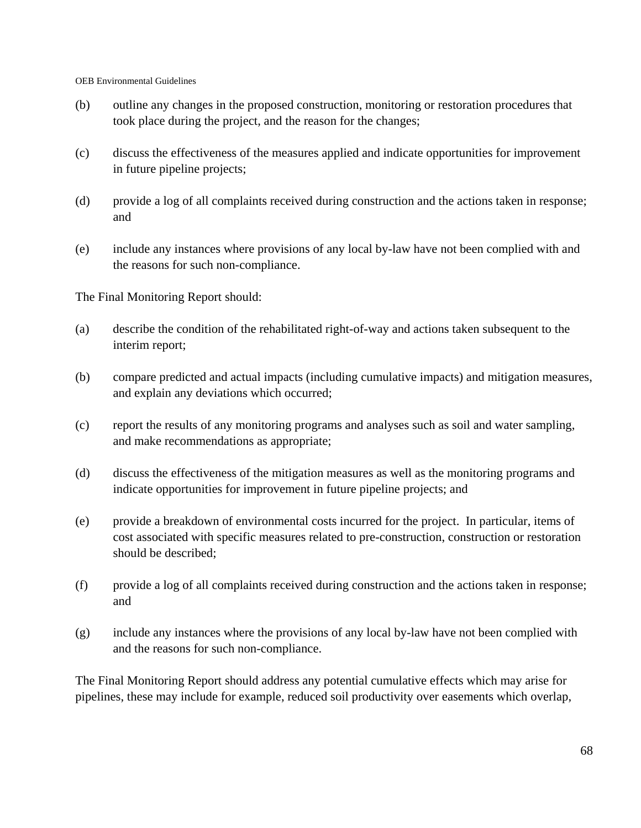- (b) outline any changes in the proposed construction, monitoring or restoration procedures that took place during the project, and the reason for the changes;
- (c) discuss the effectiveness of the measures applied and indicate opportunities for improvement in future pipeline projects;
- (d) provide a log of all complaints received during construction and the actions taken in response; and
- (e) include any instances where provisions of any local by-law have not been complied with and the reasons for such non-compliance.

The Final Monitoring Report should:

- (a) describe the condition of the rehabilitated right-of-way and actions taken subsequent to the interim report;
- (b) compare predicted and actual impacts (including cumulative impacts) and mitigation measures, and explain any deviations which occurred;
- (c) report the results of any monitoring programs and analyses such as soil and water sampling, and make recommendations as appropriate;
- (d) discuss the effectiveness of the mitigation measures as well as the monitoring programs and indicate opportunities for improvement in future pipeline projects; and
- (e) provide a breakdown of environmental costs incurred for the project. In particular, items of cost associated with specific measures related to pre-construction, construction or restoration should be described;
- (f) provide a log of all complaints received during construction and the actions taken in response; and
- (g) include any instances where the provisions of any local by-law have not been complied with and the reasons for such non-compliance.

The Final Monitoring Report should address any potential cumulative effects which may arise for pipelines, these may include for example, reduced soil productivity over easements which overlap,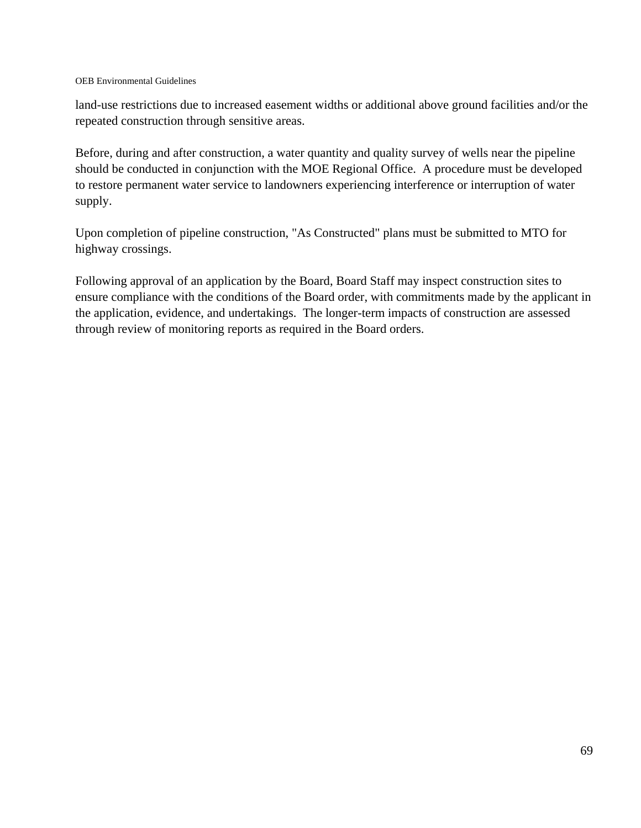land-use restrictions due to increased easement widths or additional above ground facilities and/or the repeated construction through sensitive areas.

Before, during and after construction, a water quantity and quality survey of wells near the pipeline should be conducted in conjunction with the MOE Regional Office. A procedure must be developed to restore permanent water service to landowners experiencing interference or interruption of water supply.

Upon completion of pipeline construction, "As Constructed" plans must be submitted to MTO for highway crossings.

Following approval of an application by the Board, Board Staff may inspect construction sites to ensure compliance with the conditions of the Board order, with commitments made by the applicant in the application, evidence, and undertakings. The longer-term impacts of construction are assessed through review of monitoring reports as required in the Board orders.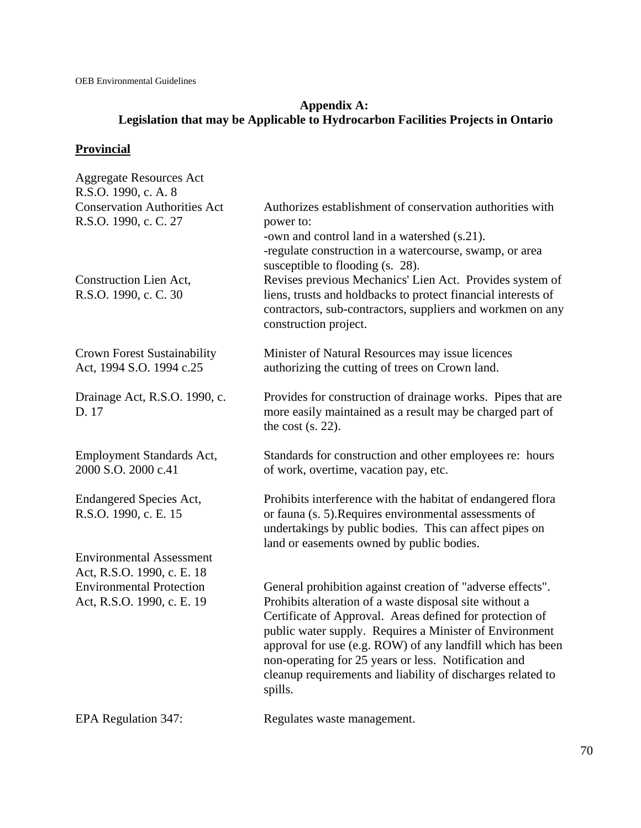# **Appendix A: Legislation that may be Applicable to Hydrocarbon Facilities Projects in Ontario**

# **Provincial**

| <b>Aggregate Resources Act</b><br>R.S.O. 1990, c. A. 8         |                                                                                                                                                                                                                                                                                                                                                                                |
|----------------------------------------------------------------|--------------------------------------------------------------------------------------------------------------------------------------------------------------------------------------------------------------------------------------------------------------------------------------------------------------------------------------------------------------------------------|
| <b>Conservation Authorities Act</b><br>R.S.O. 1990, c. C. 27   | Authorizes establishment of conservation authorities with<br>power to:<br>-own and control land in a watershed (s.21).<br>-regulate construction in a watercourse, swamp, or area                                                                                                                                                                                              |
| Construction Lien Act,<br>R.S.O. 1990, c. C. 30                | susceptible to flooding (s. 28).<br>Revises previous Mechanics' Lien Act. Provides system of<br>liens, trusts and holdbacks to protect financial interests of<br>contractors, sub-contractors, suppliers and workmen on any<br>construction project.                                                                                                                           |
| <b>Crown Forest Sustainability</b><br>Act, 1994 S.O. 1994 c.25 | Minister of Natural Resources may issue licences<br>authorizing the cutting of trees on Crown land.                                                                                                                                                                                                                                                                            |
| Drainage Act, R.S.O. 1990, c.<br>D. 17                         | Provides for construction of drainage works. Pipes that are<br>more easily maintained as a result may be charged part of<br>the cost $(s. 22)$ .                                                                                                                                                                                                                               |
| <b>Employment Standards Act,</b><br>2000 S.O. 2000 c.41        | Standards for construction and other employees re: hours<br>of work, overtime, vacation pay, etc.                                                                                                                                                                                                                                                                              |
| <b>Endangered Species Act,</b><br>R.S.O. 1990, c. E. 15        | Prohibits interference with the habitat of endangered flora<br>or fauna (s. 5). Requires environmental assessments of<br>undertakings by public bodies. This can affect pipes on<br>land or easements owned by public bodies.                                                                                                                                                  |
| <b>Environmental Assessment</b>                                |                                                                                                                                                                                                                                                                                                                                                                                |
| Act, R.S.O. 1990, c. E. 18<br><b>Environmental Protection</b>  | General prohibition against creation of "adverse effects".                                                                                                                                                                                                                                                                                                                     |
| Act, R.S.O. 1990, c. E. 19                                     | Prohibits alteration of a waste disposal site without a<br>Certificate of Approval. Areas defined for protection of<br>public water supply. Requires a Minister of Environment<br>approval for use (e.g. ROW) of any landfill which has been<br>non-operating for 25 years or less. Notification and<br>cleanup requirements and liability of discharges related to<br>spills. |
| EPA Regulation 347:                                            | Regulates waste management.                                                                                                                                                                                                                                                                                                                                                    |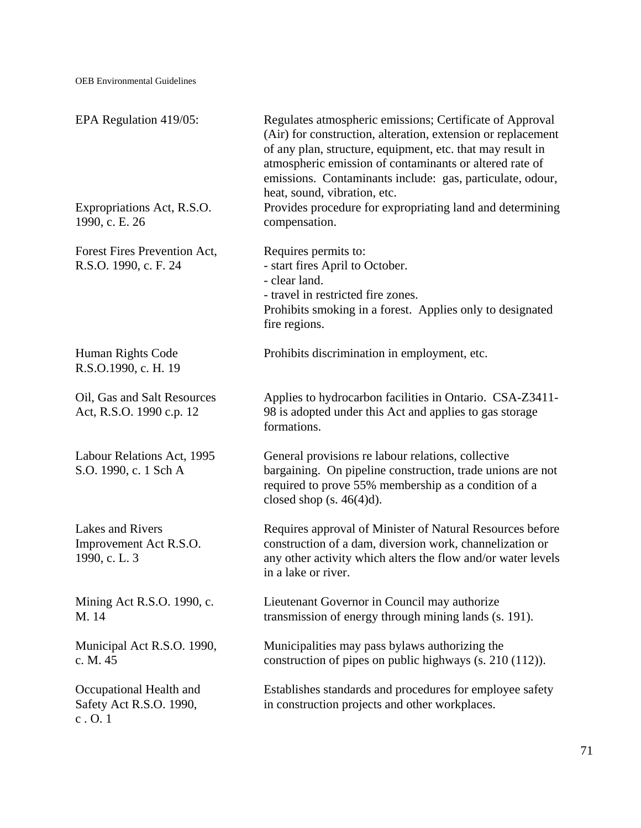| EPA Regulation 419/05:                                       | Regulates atmospheric emissions; Certificate of Approval<br>(Air) for construction, alteration, extension or replacement<br>of any plan, structure, equipment, etc. that may result in<br>atmospheric emission of contaminants or altered rate of<br>emissions. Contaminants include: gas, particulate, odour,<br>heat, sound, vibration, etc. |
|--------------------------------------------------------------|------------------------------------------------------------------------------------------------------------------------------------------------------------------------------------------------------------------------------------------------------------------------------------------------------------------------------------------------|
| Expropriations Act, R.S.O.<br>1990, c. E. 26                 | Provides procedure for expropriating land and determining<br>compensation.                                                                                                                                                                                                                                                                     |
| Forest Fires Prevention Act,<br>R.S.O. 1990, c. F. 24        | Requires permits to:<br>- start fires April to October.<br>- clear land.<br>- travel in restricted fire zones.<br>Prohibits smoking in a forest. Applies only to designated<br>fire regions.                                                                                                                                                   |
| Human Rights Code<br>R.S.O.1990, c. H. 19                    | Prohibits discrimination in employment, etc.                                                                                                                                                                                                                                                                                                   |
| Oil, Gas and Salt Resources<br>Act, R.S.O. 1990 c.p. 12      | Applies to hydrocarbon facilities in Ontario. CSA-Z3411-<br>98 is adopted under this Act and applies to gas storage<br>formations.                                                                                                                                                                                                             |
| Labour Relations Act, 1995<br>S.O. 1990, c. 1 Sch A          | General provisions re labour relations, collective<br>bargaining. On pipeline construction, trade unions are not<br>required to prove 55% membership as a condition of a<br>closed shop (s. $46(4)d$ ).                                                                                                                                        |
| Lakes and Rivers<br>Improvement Act R.S.O.<br>1990, c. L. 3  | Requires approval of Minister of Natural Resources before<br>construction of a dam, diversion work, channelization or<br>any other activity which alters the flow and/or water levels<br>in a lake or river.                                                                                                                                   |
| Mining Act R.S.O. 1990, c.<br>M. 14                          | Lieutenant Governor in Council may authorize<br>transmission of energy through mining lands (s. 191).                                                                                                                                                                                                                                          |
| Municipal Act R.S.O. 1990,<br>c. M. 45                       | Municipalities may pass bylaws authorizing the<br>construction of pipes on public highways $(s. 210 (112))$ .                                                                                                                                                                                                                                  |
| Occupational Health and<br>Safety Act R.S.O. 1990,<br>c. 0.1 | Establishes standards and procedures for employee safety<br>in construction projects and other workplaces.                                                                                                                                                                                                                                     |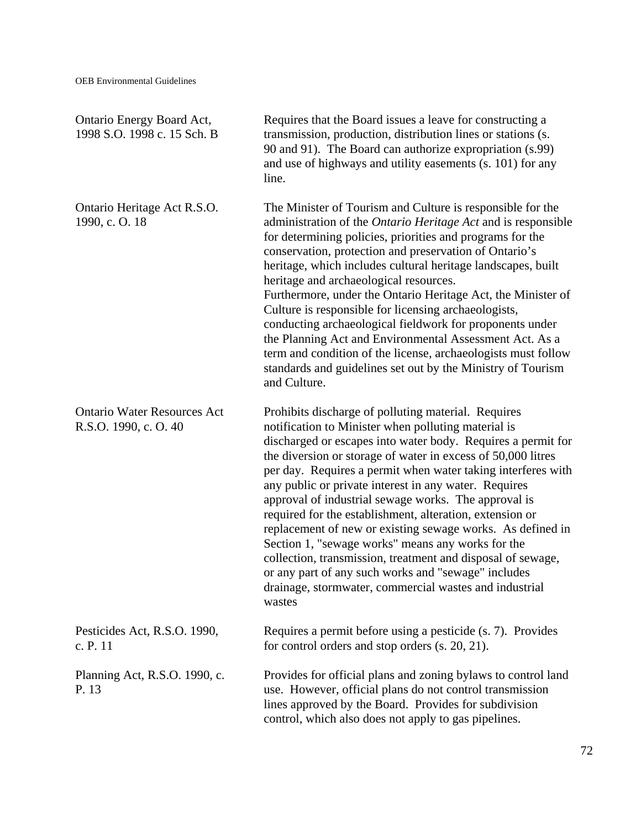| Ontario Energy Board Act,<br>1998 S.O. 1998 c. 15 Sch. B    | Requires that the Board issues a leave for constructing a<br>transmission, production, distribution lines or stations (s.<br>90 and 91). The Board can authorize expropriation (s.99)<br>and use of highways and utility easements (s. 101) for any<br>line.                                                                                                                                                                                                                                                                                                                                                                                                                                                                                                                                         |
|-------------------------------------------------------------|------------------------------------------------------------------------------------------------------------------------------------------------------------------------------------------------------------------------------------------------------------------------------------------------------------------------------------------------------------------------------------------------------------------------------------------------------------------------------------------------------------------------------------------------------------------------------------------------------------------------------------------------------------------------------------------------------------------------------------------------------------------------------------------------------|
| Ontario Heritage Act R.S.O.<br>1990, c. O. 18               | The Minister of Tourism and Culture is responsible for the<br>administration of the <i>Ontario Heritage Act</i> and is responsible<br>for determining policies, priorities and programs for the<br>conservation, protection and preservation of Ontario's<br>heritage, which includes cultural heritage landscapes, built<br>heritage and archaeological resources.<br>Furthermore, under the Ontario Heritage Act, the Minister of<br>Culture is responsible for licensing archaeologists,<br>conducting archaeological fieldwork for proponents under<br>the Planning Act and Environmental Assessment Act. As a<br>term and condition of the license, archaeologists must follow<br>standards and guidelines set out by the Ministry of Tourism<br>and Culture.                                   |
| <b>Ontario Water Resources Act</b><br>R.S.O. 1990, c. O. 40 | Prohibits discharge of polluting material. Requires<br>notification to Minister when polluting material is<br>discharged or escapes into water body. Requires a permit for<br>the diversion or storage of water in excess of 50,000 litres<br>per day. Requires a permit when water taking interferes with<br>any public or private interest in any water. Requires<br>approval of industrial sewage works. The approval is<br>required for the establishment, alteration, extension or<br>replacement of new or existing sewage works. As defined in<br>Section 1, "sewage works" means any works for the<br>collection, transmission, treatment and disposal of sewage,<br>or any part of any such works and "sewage" includes<br>drainage, stormwater, commercial wastes and industrial<br>wastes |
| Pesticides Act, R.S.O. 1990,<br>c. P. 11                    | Requires a permit before using a pesticide (s. 7). Provides<br>for control orders and stop orders (s. 20, 21).                                                                                                                                                                                                                                                                                                                                                                                                                                                                                                                                                                                                                                                                                       |
| Planning Act, R.S.O. 1990, c.<br>P. 13                      | Provides for official plans and zoning bylaws to control land<br>use. However, official plans do not control transmission<br>lines approved by the Board. Provides for subdivision<br>control, which also does not apply to gas pipelines.                                                                                                                                                                                                                                                                                                                                                                                                                                                                                                                                                           |